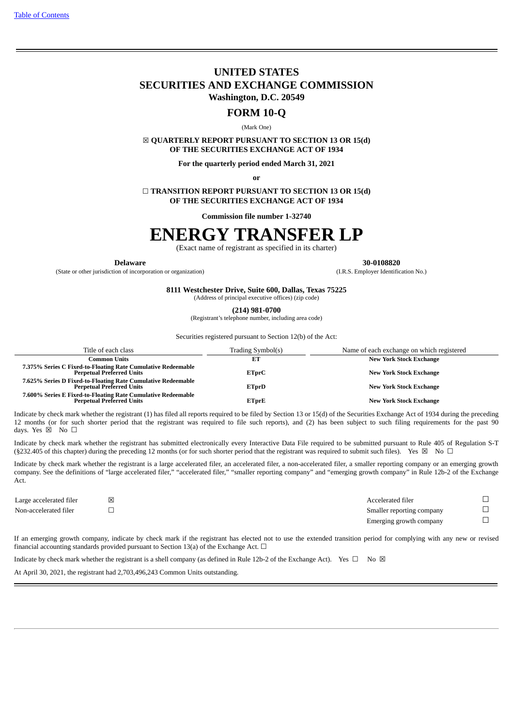# **UNITED STATES SECURITIES AND EXCHANGE COMMISSION Washington, D.C. 20549**

# **FORM 10-Q**

#### (Mark One)

☒ **QUARTERLY REPORT PURSUANT TO SECTION 13 OR 15(d) OF THE SECURITIES EXCHANGE ACT OF 1934**

**For the quarterly period ended March 31, 2021**

**or**

☐ **TRANSITION REPORT PURSUANT TO SECTION 13 OR 15(d) OF THE SECURITIES EXCHANGE ACT OF 1934**

**Commission file number 1-32740**

# **ENERGY TRANSFER LP**

(Exact name of registrant as specified in its charter)

(State or other jurisdiction of incorporation or organization) (I.R.S. Employer Identification No.)

**Delaware 30-0108820**

**8111 Westchester Drive, Suite 600, Dallas, Texas 75225**

(Address of principal executive offices) (zip code)

**(214) 981-0700**

(Registrant's telephone number, including area code)

Securities registered pursuant to Section 12(b) of the Act:

| Title of each class                                                                              | Trading Symbol(s) | Name of each exchange on which registered |
|--------------------------------------------------------------------------------------------------|-------------------|-------------------------------------------|
| Common Units                                                                                     | EТ                | <b>New York Stock Exchange</b>            |
| 7.375% Series C Fixed-to-Floating Rate Cumulative Redeemable<br>Perpetual Preferred Units        | ETprC             | <b>New York Stock Exchange</b>            |
| 7.625% Series D Fixed-to-Floating Rate Cumulative Redeemable<br><b>Perpetual Preferred Units</b> | <b>ETprD</b>      | <b>New York Stock Exchange</b>            |
| 7.600% Series E Fixed-to-Floating Rate Cumulative Redeemable<br>Perpetual Preferred Units        | <b>ETprE</b>      | <b>New York Stock Exchange</b>            |

Indicate by check mark whether the registrant (1) has filed all reports required to be filed by Section 13 or 15(d) of the Securities Exchange Act of 1934 during the preceding 12 months (or for such shorter period that the registrant was required to file such reports), and (2) has been subject to such filing requirements for the past 90 days. Yes ⊠ No □

Indicate by check mark whether the registrant has submitted electronically every Interactive Data File required to be submitted pursuant to Rule 405 of Regulation S-T (§232.405 of this chapter) during the preceding 12 months (or for such shorter period that the registrant was required to submit such files). Yes ⊠ No □

Indicate by check mark whether the registrant is a large accelerated filer, an accelerated filer, a non-accelerated filer, a smaller reporting company or an emerging growth company. See the definitions of "large accelerated filer," "accelerated filer," "smaller reporting company" and "emerging growth company" in Rule 12b-2 of the Exchange Act.

| Large accelerated filer | 10 | Accelerated filer         |  |
|-------------------------|----|---------------------------|--|
| Non-accelerated filer   |    | Smaller reporting company |  |
|                         |    | Emerging growth company   |  |

If an emerging growth company, indicate by check mark if the registrant has elected not to use the extended transition period for complying with any new or revised financial accounting standards provided pursuant to Section 13(a) of the Exchange Act.  $\Box$ 

Indicate by check mark whether the registrant is a shell company (as defined in Rule 12b-2 of the Exchange Act). Yes  $\Box$  No  $\boxtimes$ 

<span id="page-0-0"></span>At April 30, 2021, the registrant had 2,703,496,243 Common Units outstanding.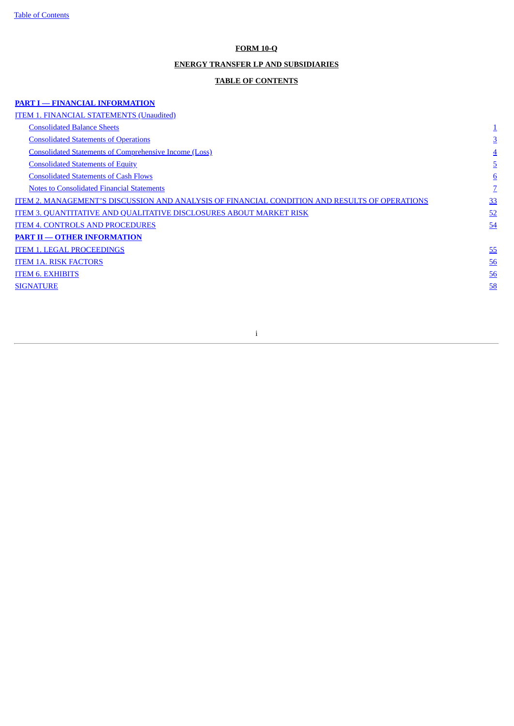[Table](#page-0-0) of [Contents](#page-0-0)

# **FORM 10-Q**

# **ENERGY TRANSFER LP AND SUBSIDIARIES**

# **TABLE OF CONTENTS**

# **PART I — FINANCIAL [INFORMATION](#page-3-0)**

| <b>ITEM 1. FINANCIAL STATEMENTS (Unaudited)</b>                                               |                 |
|-----------------------------------------------------------------------------------------------|-----------------|
| <b>Consolidated Balance Sheets</b>                                                            |                 |
| <b>Consolidated Statements of Operations</b>                                                  | $\overline{3}$  |
| <b>Consolidated Statements of Comprehensive Income (Loss)</b>                                 | $\overline{4}$  |
| <b>Consolidated Statements of Equity</b>                                                      |                 |
| <b>Consolidated Statements of Cash Flows</b>                                                  | $6\overline{6}$ |
| <b>Notes to Consolidated Financial Statements</b>                                             |                 |
| ITEM 2. MANAGEMENT'S DISCUSSION AND ANALYSIS OF FINANCIAL CONDITION AND RESULTS OF OPERATIONS | 33              |
| <b>ITEM 3. QUANTITATIVE AND QUALITATIVE DISCLOSURES ABOUT MARKET RISK</b>                     | 52              |
| <b>ITEM 4. CONTROLS AND PROCEDURES</b>                                                        | 54              |
| <b>PART II - OTHER INFORMATION</b>                                                            |                 |
| <b>ITEM 1. LEGAL PROCEEDINGS</b>                                                              | 55              |
| <b>ITEM 1A. RISK FACTORS</b>                                                                  | 56              |
| <b>ITEM 6. EXHIBITS</b>                                                                       | 56              |
| <b>SIGNATURE</b>                                                                              | 58              |
|                                                                                               |                 |

i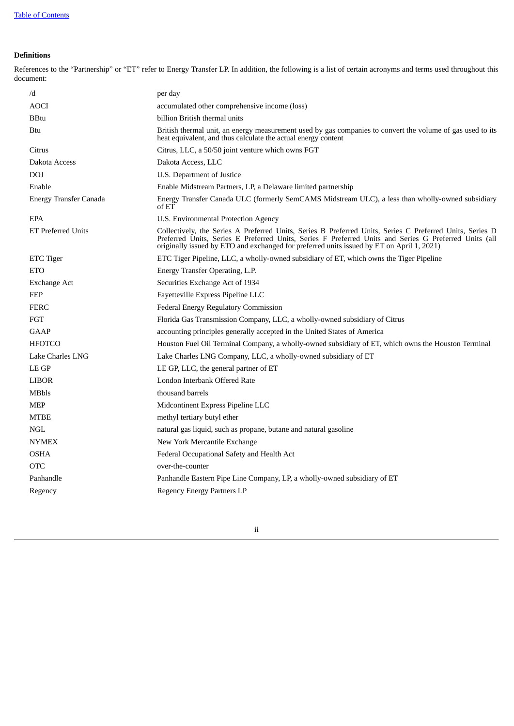# [Table](#page-0-0) of [Contents](#page-0-0)

# **Definitions**

References to the "Partnership" or "ET" refer to Energy Transfer LP. In addition, the following is a list of certain acronyms and terms used throughout this document:

| /d                        | per day                                                                                                                                                                                                                                                                                                        |
|---------------------------|----------------------------------------------------------------------------------------------------------------------------------------------------------------------------------------------------------------------------------------------------------------------------------------------------------------|
| <b>AOCI</b>               | accumulated other comprehensive income (loss)                                                                                                                                                                                                                                                                  |
| <b>BBtu</b>               | billion British thermal units                                                                                                                                                                                                                                                                                  |
| Btu                       | British thermal unit, an energy measurement used by gas companies to convert the volume of gas used to its<br>heat equivalent, and thus calculate the actual energy content                                                                                                                                    |
| Citrus                    | Citrus, LLC, a 50/50 joint venture which owns FGT                                                                                                                                                                                                                                                              |
| Dakota Access             | Dakota Access, LLC                                                                                                                                                                                                                                                                                             |
| <b>DOJ</b>                | U.S. Department of Justice                                                                                                                                                                                                                                                                                     |
| Enable                    | Enable Midstream Partners, LP, a Delaware limited partnership                                                                                                                                                                                                                                                  |
| Energy Transfer Canada    | Energy Transfer Canada ULC (formerly SemCAMS Midstream ULC), a less than wholly-owned subsidiary<br>of ET                                                                                                                                                                                                      |
| EPA                       | U.S. Environmental Protection Agency                                                                                                                                                                                                                                                                           |
| <b>ET Preferred Units</b> | Collectively, the Series A Preferred Units, Series B Preferred Units, Series C Preferred Units, Series D<br>Preferred Units, Series E Preferred Units, Series F Preferred Units and Series G Preferred Units (all<br>originally issued by ETO and exchanged for preferred units issued by ET on April 1, 2021) |
| ETC Tiger                 | ETC Tiger Pipeline, LLC, a wholly-owned subsidiary of ET, which owns the Tiger Pipeline                                                                                                                                                                                                                        |
| <b>ETO</b>                | Energy Transfer Operating, L.P.                                                                                                                                                                                                                                                                                |
| <b>Exchange Act</b>       | Securities Exchange Act of 1934                                                                                                                                                                                                                                                                                |
| FEP                       | Fayetteville Express Pipeline LLC                                                                                                                                                                                                                                                                              |
| FERC                      | <b>Federal Energy Regulatory Commission</b>                                                                                                                                                                                                                                                                    |
| FGT                       | Florida Gas Transmission Company, LLC, a wholly-owned subsidiary of Citrus                                                                                                                                                                                                                                     |
| GAAP                      | accounting principles generally accepted in the United States of America                                                                                                                                                                                                                                       |
| <b>HFOTCO</b>             | Houston Fuel Oil Terminal Company, a wholly-owned subsidiary of ET, which owns the Houston Terminal                                                                                                                                                                                                            |
| Lake Charles LNG          | Lake Charles LNG Company, LLC, a wholly-owned subsidiary of ET                                                                                                                                                                                                                                                 |
| LE GP                     | LE GP, LLC, the general partner of ET                                                                                                                                                                                                                                                                          |
| <b>LIBOR</b>              | London Interbank Offered Rate                                                                                                                                                                                                                                                                                  |
| MBbls                     | thousand barrels                                                                                                                                                                                                                                                                                               |
| <b>MEP</b>                | Midcontinent Express Pipeline LLC                                                                                                                                                                                                                                                                              |
| <b>MTBE</b>               | methyl tertiary butyl ether                                                                                                                                                                                                                                                                                    |
| NGL                       | natural gas liquid, such as propane, butane and natural gasoline                                                                                                                                                                                                                                               |
| <b>NYMEX</b>              | New York Mercantile Exchange                                                                                                                                                                                                                                                                                   |
| <b>OSHA</b>               | Federal Occupational Safety and Health Act                                                                                                                                                                                                                                                                     |
| <b>OTC</b>                | over-the-counter                                                                                                                                                                                                                                                                                               |
| Panhandle                 | Panhandle Eastern Pipe Line Company, LP, a wholly-owned subsidiary of ET                                                                                                                                                                                                                                       |
| Regency                   | Regency Energy Partners LP                                                                                                                                                                                                                                                                                     |
|                           |                                                                                                                                                                                                                                                                                                                |

## ii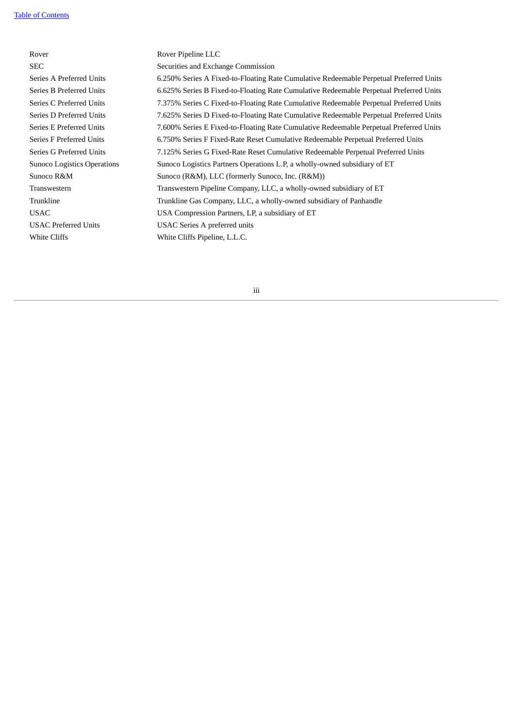Rover Pipeline LLC SEC Securities and Exchange Commission Series A Preferred Units 6.250% Series A Fixed-to-Floating Rate Cumulative Redeemable Perpetual Preferred Units Series B Preferred Units 6.625% Series B Fixed-to-Floating Rate Cumulative Redeemable Perpetual Preferred Units Series C Preferred Units 7.375% Series C Fixed-to-Floating Rate Cumulative Redeemable Perpetual Preferred Units Series D Preferred Units 7.625% Series D Fixed-to-Floating Rate Cumulative Redeemable Perpetual Preferred Units Series E Preferred Units 7.600% Series E Fixed-to-Floating Rate Cumulative Redeemable Perpetual Preferred Units Series F Preferred Units 6.750% Series F Fixed-Rate Reset Cumulative Redeemable Perpetual Preferred Units Series G Preferred Units 7.125% Series G Fixed-Rate Reset Cumulative Redeemable Perpetual Preferred Units Sunoco Logistics Operations Sunoco Logistics Partners Operations L.P, a wholly-owned subsidiary of ET Sunoco R&M Sunoco (R&M), LLC (formerly Sunoco, Inc. (R&M)) Transwestern Transwestern Pipeline Company, LLC, a wholly-owned subsidiary of ET Trunkline Trunkline Gas Company, LLC, a wholly-owned subsidiary of Panhandle USAC USA Compression Partners, LP, a subsidiary of ET USAC Preferred Units USAC Series A preferred units White Cliffs White Cliffs Pipeline, L.L.C.

<span id="page-3-0"></span>iii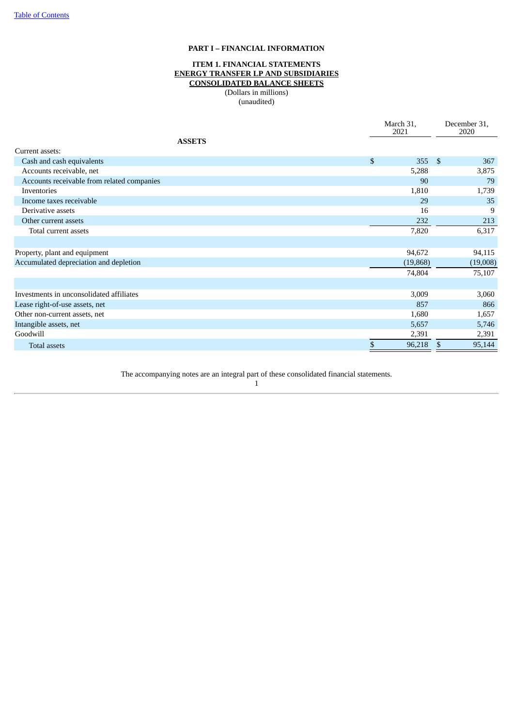## **PART I – FINANCIAL INFORMATION**

## **ITEM 1. FINANCIAL STATEMENTS ENERGY TRANSFER LP AND SUBSIDIARIES CONSOLIDATED BALANCE SHEETS** (Dollars in millions)

(unaudited)

<span id="page-4-1"></span><span id="page-4-0"></span>

|                                            | March 31,<br>2021   | December 31,<br>2020     |
|--------------------------------------------|---------------------|--------------------------|
| <b>ASSETS</b>                              |                     |                          |
| Current assets:                            |                     |                          |
| Cash and cash equivalents                  | $\mathbb{S}$<br>355 | \$<br>367                |
| Accounts receivable, net                   | 5,288               | 3,875                    |
| Accounts receivable from related companies | 90                  | 79                       |
| Inventories                                | 1,810               | 1,739                    |
| Income taxes receivable                    | 29                  | 35                       |
| Derivative assets                          | 16                  | 9                        |
| Other current assets                       | 232                 | 213                      |
| Total current assets                       | 7,820               | 6,317                    |
|                                            |                     |                          |
| Property, plant and equipment              | 94,672              | 94,115                   |
| Accumulated depreciation and depletion     | (19, 868)           | (19,008)                 |
|                                            | 74,804              | 75,107                   |
|                                            |                     |                          |
| Investments in unconsolidated affiliates   | 3,009               | 3,060                    |
| Lease right-of-use assets, net             | 857                 | 866                      |
| Other non-current assets, net              | 1,680               | 1,657                    |
| Intangible assets, net                     | 5,657               | 5,746                    |
| Goodwill                                   | 2,391               | 2,391                    |
| Total assets                               | \$<br>96,218        | $\mathfrak{F}$<br>95,144 |

The accompanying notes are an integral part of these consolidated financial statements.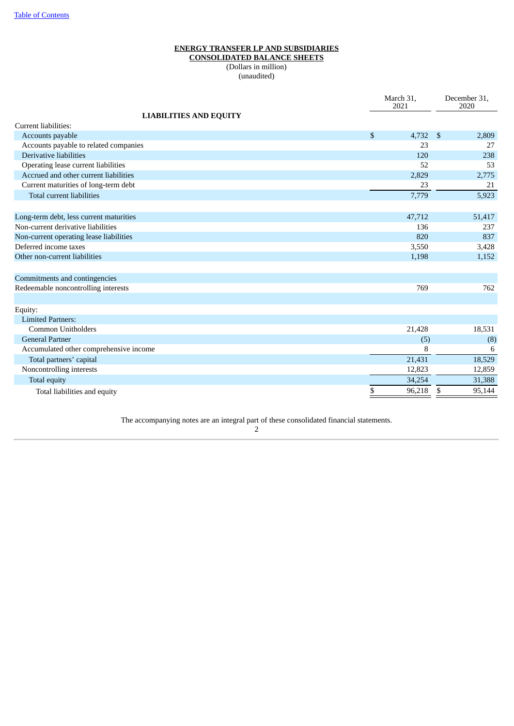## **ENERGY TRANSFER LP AND SUBSIDIARIES CONSOLIDATED BALANCE SHEETS** (Dollars in million)

(unaudited)

|                                         | March 31,<br>2021 | December 31,<br>2020 |
|-----------------------------------------|-------------------|----------------------|
| <b>LIABILITIES AND EQUITY</b>           |                   |                      |
| Current liabilities:                    |                   |                      |
| Accounts payable                        | \$<br>4,732       | \$<br>2,809          |
| Accounts payable to related companies   | 23                | 27                   |
| Derivative liabilities                  | 120               | 238                  |
| Operating lease current liabilities     | 52                | 53                   |
| Accrued and other current liabilities   | 2,829             | 2,775                |
| Current maturities of long-term debt    | 23                | 21                   |
| Total current liabilities               | 7,779             | 5,923                |
|                                         |                   |                      |
| Long-term debt, less current maturities | 47,712            | 51,417               |
| Non-current derivative liabilities      | 136               | 237                  |
| Non-current operating lease liabilities | 820               | 837                  |
| Deferred income taxes                   | 3,550             | 3,428                |
| Other non-current liabilities           | 1,198             | 1,152                |
|                                         |                   |                      |
| Commitments and contingencies           |                   |                      |
| Redeemable noncontrolling interests     | 769               | 762                  |
|                                         |                   |                      |
| Equity:                                 |                   |                      |
| <b>Limited Partners:</b>                |                   |                      |
| <b>Common Unitholders</b>               | 21,428            | 18,531               |
| <b>General Partner</b>                  | (5)               | (8)                  |
| Accumulated other comprehensive income  | 8                 | 6                    |
| Total partners' capital                 | 21,431            | 18,529               |
| Noncontrolling interests                | 12,823            | 12,859               |
| <b>Total equity</b>                     | 34,254            | 31,388               |
| Total liabilities and equity            | \$<br>96,218      | \$<br>95,144         |
|                                         |                   |                      |

<span id="page-5-0"></span>The accompanying notes are an integral part of these consolidated financial statements.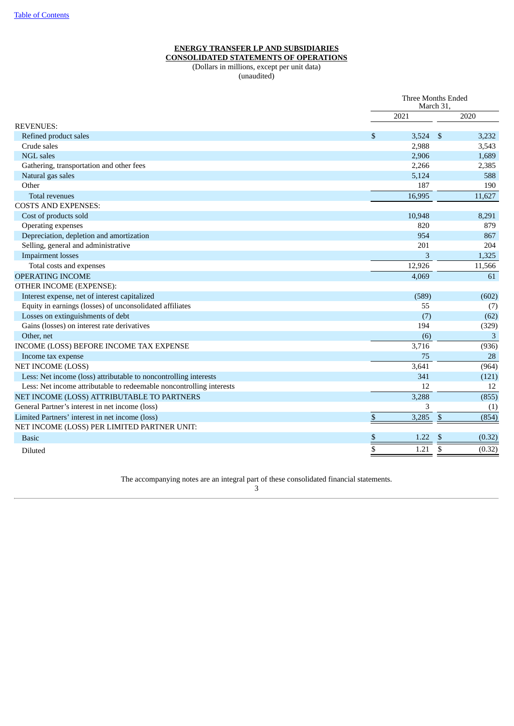# **ENERGY TRANSFER LP AND SUBSIDIARIES CONSOLIDATED STATEMENTS OF OPERATIONS**

(Dollars in millions, except per unit data) (unaudited)

|                                                                      |              | Three Months Ended<br>March 31. |                          |              |
|----------------------------------------------------------------------|--------------|---------------------------------|--------------------------|--------------|
|                                                                      |              | 2021                            |                          | 2020         |
| <b>REVENUES:</b>                                                     |              |                                 |                          |              |
| Refined product sales                                                | $\mathbb{S}$ | 3,524                           | $\mathbf{\mathcal{S}}$   | 3,232        |
| Crude sales                                                          |              | 2,988                           |                          | 3,543        |
| <b>NGL</b> sales                                                     |              | 2,906                           |                          | 1,689        |
| Gathering, transportation and other fees                             |              | 2,266                           |                          | 2,385        |
| Natural gas sales                                                    |              | 5,124                           |                          | 588          |
| Other                                                                |              | 187                             |                          | 190          |
| <b>Total revenues</b>                                                |              | 16,995                          |                          | 11,627       |
| <b>COSTS AND EXPENSES:</b>                                           |              |                                 |                          |              |
| Cost of products sold                                                |              | 10,948                          |                          | 8,291        |
| Operating expenses                                                   |              | 820                             |                          | 879          |
| Depreciation, depletion and amortization                             |              | 954                             |                          | 867          |
| Selling, general and administrative                                  |              | 201                             |                          | 204          |
| <b>Impairment losses</b>                                             |              | 3                               |                          | 1,325        |
| Total costs and expenses                                             |              | 12,926                          |                          | 11,566       |
| <b>OPERATING INCOME</b>                                              |              | 4,069                           |                          | 61           |
| OTHER INCOME (EXPENSE):                                              |              |                                 |                          |              |
| Interest expense, net of interest capitalized                        |              | (589)                           |                          | (602)        |
| Equity in earnings (losses) of unconsolidated affiliates             |              | 55                              |                          | (7)          |
| Losses on extinguishments of debt                                    |              | (7)                             |                          | (62)         |
| Gains (losses) on interest rate derivatives                          |              | 194                             |                          | (329)        |
| Other, net                                                           |              | (6)                             |                          | $\mathbf{3}$ |
| INCOME (LOSS) BEFORE INCOME TAX EXPENSE                              |              | 3,716                           |                          | (936)        |
| Income tax expense                                                   |              | 75                              |                          | 28           |
| <b>NET INCOME (LOSS)</b>                                             |              | 3,641                           |                          | (964)        |
| Less: Net income (loss) attributable to noncontrolling interests     |              | 341                             |                          | (121)        |
| Less: Net income attributable to redeemable noncontrolling interests |              | 12                              |                          | 12           |
| NET INCOME (LOSS) ATTRIBUTABLE TO PARTNERS                           |              | 3,288                           |                          | (855)        |
| General Partner's interest in net income (loss)                      |              | 3                               |                          | (1)          |
| Limited Partners' interest in net income (loss)                      | \$           | 3,285                           | $\overline{\mathcal{L}}$ | (854)        |
| NET INCOME (LOSS) PER LIMITED PARTNER UNIT:                          |              |                                 |                          |              |
| <b>Basic</b>                                                         | \$           | 1.22                            | \$                       | (0.32)       |
| Diluted                                                              | \$           | 1.21                            | \$                       | (0.32)       |

<span id="page-6-0"></span>The accompanying notes are an integral part of these consolidated financial statements.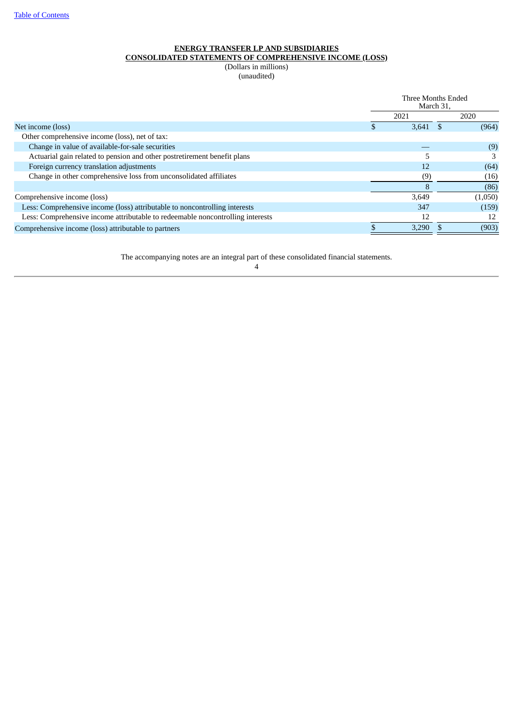## **ENERGY TRANSFER LP AND SUBSIDIARIES CONSOLIDATED STATEMENTS OF COMPREHENSIVE INCOME (LOSS)**

(Dollars in millions)

|  | ----------------- |  |
|--|-------------------|--|
|  | (unaudited)       |  |

|                                                                                | Three Months Ended<br>March 31, |       |  |         |
|--------------------------------------------------------------------------------|---------------------------------|-------|--|---------|
|                                                                                |                                 | 2021  |  | 2020    |
| Net income (loss)                                                              |                                 | 3,641 |  | (964)   |
| Other comprehensive income (loss), net of tax:                                 |                                 |       |  |         |
| Change in value of available-for-sale securities                               |                                 |       |  | (9)     |
| Actuarial gain related to pension and other postretirement benefit plans       |                                 |       |  |         |
| Foreign currency translation adjustments                                       |                                 | 12    |  | (64)    |
| Change in other comprehensive loss from unconsolidated affiliates              |                                 | (9)   |  | (16)    |
|                                                                                |                                 | 8     |  | (86)    |
| Comprehensive income (loss)                                                    |                                 | 3.649 |  | (1,050) |
| Less: Comprehensive income (loss) attributable to noncontrolling interests     |                                 | 347   |  | (159)   |
| Less: Comprehensive income attributable to redeemable noncontrolling interests |                                 | 12    |  | 12      |
| Comprehensive income (loss) attributable to partners                           |                                 | 3,290 |  | (903)   |

<span id="page-7-0"></span>The accompanying notes are an integral part of these consolidated financial statements.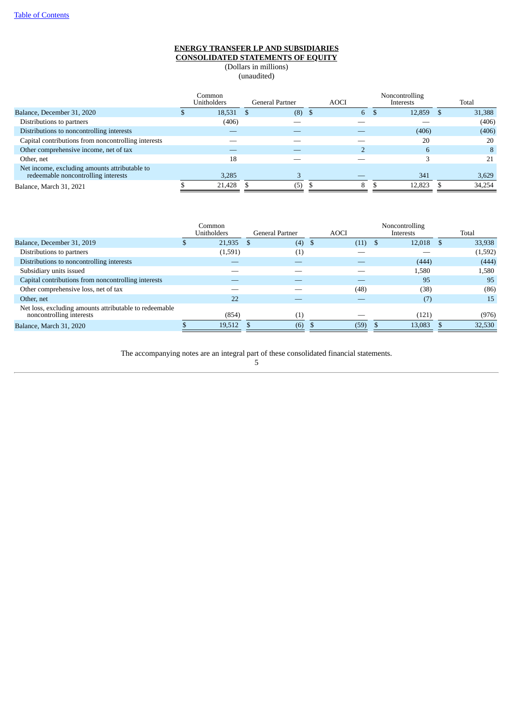## **ENERGY TRANSFER LP AND SUBSIDIARIES CONSOLIDATED STATEMENTS OF EQUITY** (Dollars in millions)

(unaudited)

|                                                                                      | Common<br>Unitholders | General Partner | <b>AOCI</b> | Noncontrolling<br>Interests | Total  |
|--------------------------------------------------------------------------------------|-----------------------|-----------------|-------------|-----------------------------|--------|
| Balance, December 31, 2020                                                           | 18,531                | (8)             | 6           | 12.859                      | 31,388 |
| Distributions to partners                                                            | (406)                 |                 |             |                             | (406)  |
| Distributions to noncontrolling interests                                            |                       |                 |             | (406)                       | (406)  |
| Capital contributions from noncontrolling interests                                  |                       |                 |             | 20                          | 20     |
| Other comprehensive income, net of tax                                               |                       |                 |             |                             | 8      |
| Other, net                                                                           | 18                    |                 |             |                             | 21     |
| Net income, excluding amounts attributable to<br>redeemable noncontrolling interests | 3,285                 |                 |             | 341                         | 3,629  |
| Balance, March 31, 2021                                                              | 21,428                | (5)             | 8           | 12.823                      | 34,254 |

|                                                                                    |    | Common             |                 |     |     |             |   | Noncontrolling |          |
|------------------------------------------------------------------------------------|----|--------------------|-----------------|-----|-----|-------------|---|----------------|----------|
|                                                                                    |    | <b>Unitholders</b> | General Partner |     |     | <b>AOCI</b> |   | Interests      | Total    |
| Balance, December 31, 2019                                                         | .D | 21,935             |                 | (4) | -\$ | (11)        | ъ | 12,018         | 33,938   |
| Distributions to partners                                                          |    | (1,591)            |                 | (1) |     |             |   |                | (1, 592) |
| Distributions to noncontrolling interests                                          |    |                    |                 |     |     |             |   | (444)          | (444)    |
| Subsidiary units issued                                                            |    |                    |                 |     |     |             |   | 1,580          | 1,580    |
| Capital contributions from noncontrolling interests                                |    |                    |                 |     |     |             |   | 95             | 95       |
| Other comprehensive loss, net of tax                                               |    |                    |                 |     |     | (48)        |   | (38)           | (86)     |
| Other, net                                                                         |    | 22                 |                 |     |     |             |   | (7)            | 15       |
| Net loss, excluding amounts attributable to redeemable<br>noncontrolling interests |    | (854)              |                 | (1) |     |             |   | (121)          | (976)    |
| Balance, March 31, 2020                                                            |    | 19,512             |                 | (6) |     | (59)        |   | 13.083         | 32,530   |

<span id="page-8-0"></span>The accompanying notes are an integral part of these consolidated financial statements.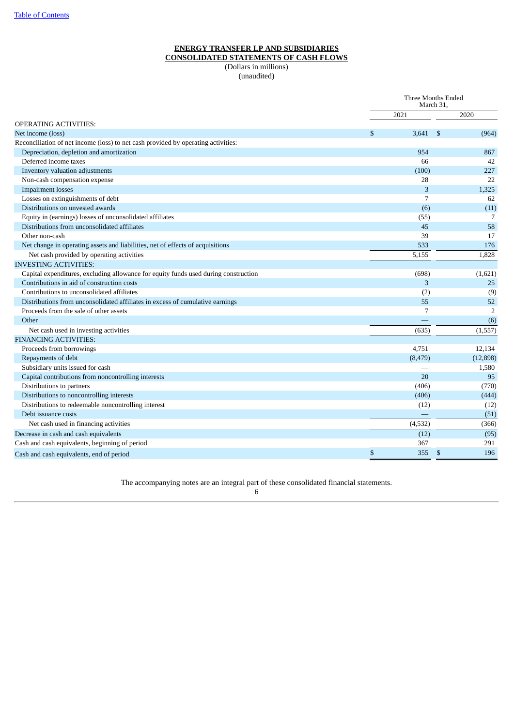## **ENERGY TRANSFER LP AND SUBSIDIARIES CONSOLIDATED STATEMENTS OF CASH FLOWS** (Dollars in millions)

(unaudited)

| 2021<br>2020<br><b>OPERATING ACTIVITIES:</b><br>3.641<br>-\$<br>(964)<br>Net income (loss)<br>\$<br>Reconciliation of net income (loss) to net cash provided by operating activities:<br>954<br>Depreciation, depletion and amortization<br>867<br>Deferred income taxes<br>66<br>42<br>Inventory valuation adjustments<br>227<br>(100) |
|-----------------------------------------------------------------------------------------------------------------------------------------------------------------------------------------------------------------------------------------------------------------------------------------------------------------------------------------|
|                                                                                                                                                                                                                                                                                                                                         |
|                                                                                                                                                                                                                                                                                                                                         |
|                                                                                                                                                                                                                                                                                                                                         |
|                                                                                                                                                                                                                                                                                                                                         |
|                                                                                                                                                                                                                                                                                                                                         |
|                                                                                                                                                                                                                                                                                                                                         |
|                                                                                                                                                                                                                                                                                                                                         |
| Non-cash compensation expense<br>28<br>22                                                                                                                                                                                                                                                                                               |
| 3<br><b>Impairment losses</b><br>1,325                                                                                                                                                                                                                                                                                                  |
| Losses on extinguishments of debt<br>7<br>62                                                                                                                                                                                                                                                                                            |
| Distributions on unvested awards<br>(6)<br>(11)                                                                                                                                                                                                                                                                                         |
| Equity in (earnings) losses of unconsolidated affiliates<br>7<br>(55)                                                                                                                                                                                                                                                                   |
| Distributions from unconsolidated affiliates<br>58<br>45                                                                                                                                                                                                                                                                                |
| Other non-cash<br>39<br>17                                                                                                                                                                                                                                                                                                              |
| 533<br>176<br>Net change in operating assets and liabilities, net of effects of acquisitions                                                                                                                                                                                                                                            |
| 5,155<br>Net cash provided by operating activities<br>1,828                                                                                                                                                                                                                                                                             |
| <b>INVESTING ACTIVITIES:</b>                                                                                                                                                                                                                                                                                                            |
| Capital expenditures, excluding allowance for equity funds used during construction<br>(698)<br>(1,621)                                                                                                                                                                                                                                 |
| Contributions in aid of construction costs<br>3<br>25                                                                                                                                                                                                                                                                                   |
| Contributions to unconsolidated affiliates<br>(2)<br>(9)                                                                                                                                                                                                                                                                                |
| Distributions from unconsolidated affiliates in excess of cumulative earnings<br>55<br>52                                                                                                                                                                                                                                               |
| 7<br>Proceeds from the sale of other assets<br>$\overline{2}$                                                                                                                                                                                                                                                                           |
| Other<br>(6)                                                                                                                                                                                                                                                                                                                            |
| (635)<br>(1,557)<br>Net cash used in investing activities                                                                                                                                                                                                                                                                               |
| <b>FINANCING ACTIVITIES:</b>                                                                                                                                                                                                                                                                                                            |
| Proceeds from borrowings<br>4,751<br>12,134                                                                                                                                                                                                                                                                                             |
| Repayments of debt<br>(8, 479)<br>(12,898)                                                                                                                                                                                                                                                                                              |
| Subsidiary units issued for cash<br>1,580                                                                                                                                                                                                                                                                                               |
| Capital contributions from noncontrolling interests<br>95<br>20                                                                                                                                                                                                                                                                         |
| Distributions to partners<br>(406)<br>(770)                                                                                                                                                                                                                                                                                             |
| Distributions to noncontrolling interests<br>(406)<br>(444)                                                                                                                                                                                                                                                                             |
| Distributions to redeemable noncontrolling interest<br>(12)<br>(12)                                                                                                                                                                                                                                                                     |
| Debt issuance costs<br>(51)                                                                                                                                                                                                                                                                                                             |
| (4, 532)<br>Net cash used in financing activities<br>(366)                                                                                                                                                                                                                                                                              |
| Decrease in cash and cash equivalents<br>(95)<br>(12)                                                                                                                                                                                                                                                                                   |
| Cash and cash equivalents, beginning of period<br>367<br>291                                                                                                                                                                                                                                                                            |
| \$<br>355<br>$\mathbf{s}$<br>196<br>Cash and cash equivalents, end of period                                                                                                                                                                                                                                                            |

<span id="page-9-0"></span>The accompanying notes are an integral part of these consolidated financial statements.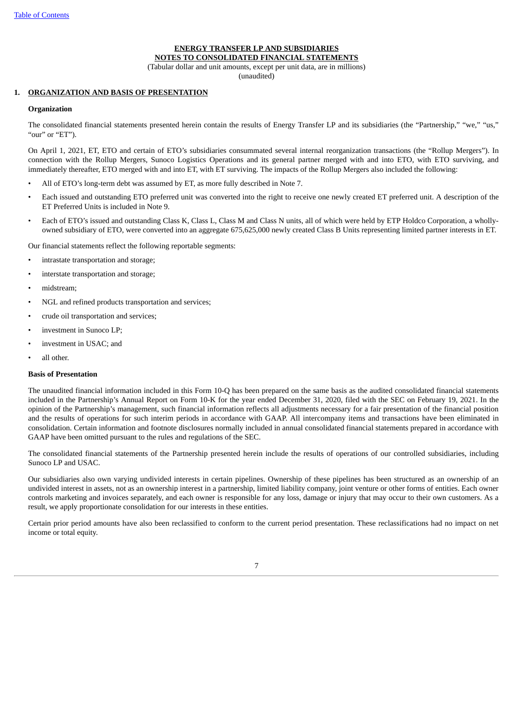# **ENERGY TRANSFER LP AND SUBSIDIARIES NOTES TO CONSOLIDATED FINANCIAL STATEMENTS**

(Tabular dollar and unit amounts, except per unit data, are in millions)

(unaudited)

## **1. ORGANIZATION AND BASIS OF PRESENTATION**

## **Organization**

The consolidated financial statements presented herein contain the results of Energy Transfer LP and its subsidiaries (the "Partnership," "we," "us," "our" or "ET").

On April 1, 2021, ET, ETO and certain of ETO's subsidiaries consummated several internal reorganization transactions (the "Rollup Mergers"). In connection with the Rollup Mergers, Sunoco Logistics Operations and its general partner merged with and into ETO, with ETO surviving, and immediately thereafter, ETO merged with and into ET, with ET surviving. The impacts of the Rollup Mergers also included the following:

- All of ETO's long-term debt was assumed by ET, as more fully described in Note 7.
- Each issued and outstanding ETO preferred unit was converted into the right to receive one newly created ET preferred unit. A description of the ET Preferred Units is included in Note 9.
- Each of ETO's issued and outstanding Class K, Class L, Class M and Class N units, all of which were held by ETP Holdco Corporation, a whollyowned subsidiary of ETO, were converted into an aggregate 675,625,000 newly created Class B Units representing limited partner interests in ET.

Our financial statements reflect the following reportable segments:

- intrastate transportation and storage;
- interstate transportation and storage;
- midstream;
- NGL and refined products transportation and services;
- crude oil transportation and services;
- investment in Sunoco LP:
- investment in USAC; and
- all other.

## **Basis of Presentation**

The unaudited financial information included in this Form 10-Q has been prepared on the same basis as the audited consolidated financial statements included in the Partnership's Annual Report on Form 10-K for the year ended December 31, 2020, filed with the SEC on February 19, 2021. In the opinion of the Partnership's management, such financial information reflects all adjustments necessary for a fair presentation of the financial position and the results of operations for such interim periods in accordance with GAAP. All intercompany items and transactions have been eliminated in consolidation. Certain information and footnote disclosures normally included in annual consolidated financial statements prepared in accordance with GAAP have been omitted pursuant to the rules and regulations of the SEC.

The consolidated financial statements of the Partnership presented herein include the results of operations of our controlled subsidiaries, including Sunoco LP and USAC.

Our subsidiaries also own varying undivided interests in certain pipelines. Ownership of these pipelines has been structured as an ownership of an undivided interest in assets, not as an ownership interest in a partnership, limited liability company, joint venture or other forms of entities. Each owner controls marketing and invoices separately, and each owner is responsible for any loss, damage or injury that may occur to their own customers. As a result, we apply proportionate consolidation for our interests in these entities.

Certain prior period amounts have also been reclassified to conform to the current period presentation. These reclassifications had no impact on net income or total equity.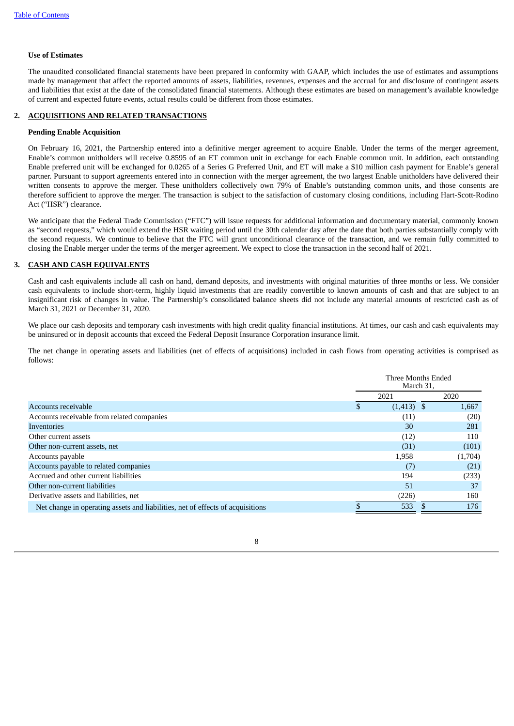#### **Use of Estimates**

The unaudited consolidated financial statements have been prepared in conformity with GAAP, which includes the use of estimates and assumptions made by management that affect the reported amounts of assets, liabilities, revenues, expenses and the accrual for and disclosure of contingent assets and liabilities that exist at the date of the consolidated financial statements. Although these estimates are based on management's available knowledge of current and expected future events, actual results could be different from those estimates.

#### **2. ACQUISITIONS AND RELATED TRANSACTIONS**

#### **Pending Enable Acquisition**

On February 16, 2021, the Partnership entered into a definitive merger agreement to acquire Enable. Under the terms of the merger agreement, Enable's common unitholders will receive 0.8595 of an ET common unit in exchange for each Enable common unit. In addition, each outstanding Enable preferred unit will be exchanged for 0.0265 of a Series G Preferred Unit, and ET will make a \$10 million cash payment for Enable's general partner. Pursuant to support agreements entered into in connection with the merger agreement, the two largest Enable unitholders have delivered their written consents to approve the merger. These unitholders collectively own 79% of Enable's outstanding common units, and those consents are therefore sufficient to approve the merger. The transaction is subject to the satisfaction of customary closing conditions, including Hart-Scott-Rodino Act ("HSR") clearance.

We anticipate that the Federal Trade Commission ("FTC") will issue requests for additional information and documentary material, commonly known as "second requests," which would extend the HSR waiting period until the 30th calendar day after the date that both parties substantially comply with the second requests. We continue to believe that the FTC will grant unconditional clearance of the transaction, and we remain fully committed to closing the Enable merger under the terms of the merger agreement. We expect to close the transaction in the second half of 2021.

## **3. CASH AND CASH EQUIVALENTS**

Cash and cash equivalents include all cash on hand, demand deposits, and investments with original maturities of three months or less. We consider cash equivalents to include short-term, highly liquid investments that are readily convertible to known amounts of cash and that are subject to an insignificant risk of changes in value. The Partnership's consolidated balance sheets did not include any material amounts of restricted cash as of March 31, 2021 or December 31, 2020.

We place our cash deposits and temporary cash investments with high credit quality financial institutions. At times, our cash and cash equivalents may be uninsured or in deposit accounts that exceed the Federal Deposit Insurance Corporation insurance limit.

The net change in operating assets and liabilities (net of effects of acquisitions) included in cash flows from operating activities is comprised as follows:

|                                                                                | Three Months Ended<br>March 31, |              |  |         |
|--------------------------------------------------------------------------------|---------------------------------|--------------|--|---------|
|                                                                                |                                 | 2021         |  | 2020    |
| Accounts receivable                                                            |                                 | $(1,413)$ \$ |  | 1,667   |
| Accounts receivable from related companies                                     |                                 | (11)         |  | (20)    |
| Inventories                                                                    |                                 | 30           |  | 281     |
| Other current assets                                                           |                                 | (12)         |  | 110     |
| Other non-current assets, net                                                  |                                 | (31)         |  | (101)   |
| Accounts payable                                                               |                                 | 1,958        |  | (1,704) |
| Accounts payable to related companies                                          |                                 | (7)          |  | (21)    |
| Accrued and other current liabilities                                          |                                 | 194          |  | (233)   |
| Other non-current liabilities                                                  |                                 | 51           |  | 37      |
| Derivative assets and liabilities, net                                         |                                 | (226)        |  | 160     |
| Net change in operating assets and liabilities, net of effects of acquisitions |                                 | 533          |  | 176     |

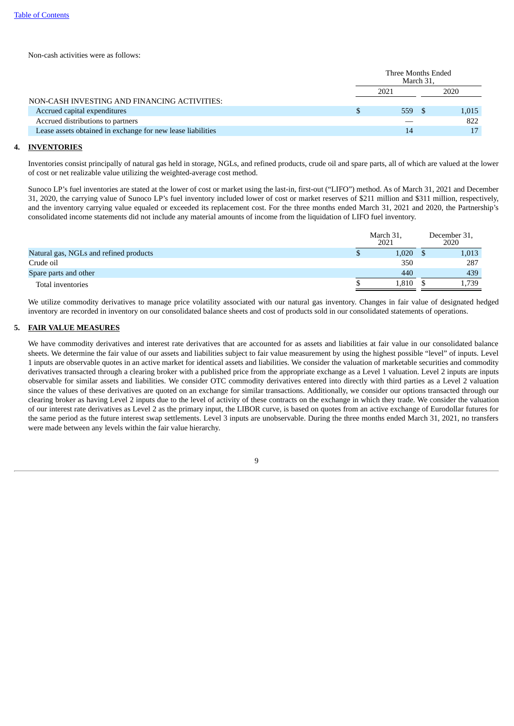#### Non-cash activities were as follows:

|                                                             | Three Months Ended<br>March 31. |     |  |       |
|-------------------------------------------------------------|---------------------------------|-----|--|-------|
|                                                             | 2021                            |     |  | 2020  |
| NON-CASH INVESTING AND FINANCING ACTIVITIES:                |                                 |     |  |       |
| Accrued capital expenditures                                | æ                               | 559 |  | 1,015 |
| Accrued distributions to partners                           |                                 |     |  | 822   |
| Lease assets obtained in exchange for new lease liabilities |                                 | 14  |  | 17    |

#### **4. INVENTORIES**

Inventories consist principally of natural gas held in storage, NGLs, and refined products, crude oil and spare parts, all of which are valued at the lower of cost or net realizable value utilizing the weighted-average cost method.

Sunoco LP's fuel inventories are stated at the lower of cost or market using the last-in, first-out ("LIFO") method. As of March 31, 2021 and December 31, 2020, the carrying value of Sunoco LP's fuel inventory included lower of cost or market reserves of \$211 million and \$311 million, respectively, and the inventory carrying value equaled or exceeded its replacement cost. For the three months ended March 31, 2021 and 2020, the Partnership's consolidated income statements did not include any material amounts of income from the liquidation of LIFO fuel inventory.

|                                        | March 31,<br>2021 | December 31,<br>2020 |
|----------------------------------------|-------------------|----------------------|
| Natural gas, NGLs and refined products | 1,020             | 1,013                |
| Crude oil                              | 350               | 287                  |
| Spare parts and other                  | 440               | 439                  |
| Total inventories                      | 1.810             | 1,739                |

We utilize commodity derivatives to manage price volatility associated with our natural gas inventory. Changes in fair value of designated hedged inventory are recorded in inventory on our consolidated balance sheets and cost of products sold in our consolidated statements of operations.

## **5. FAIR VALUE MEASURES**

We have commodity derivatives and interest rate derivatives that are accounted for as assets and liabilities at fair value in our consolidated balance sheets. We determine the fair value of our assets and liabilities subject to fair value measurement by using the highest possible "level" of inputs. Level 1 inputs are observable quotes in an active market for identical assets and liabilities. We consider the valuation of marketable securities and commodity derivatives transacted through a clearing broker with a published price from the appropriate exchange as a Level 1 valuation. Level 2 inputs are inputs observable for similar assets and liabilities. We consider OTC commodity derivatives entered into directly with third parties as a Level 2 valuation since the values of these derivatives are quoted on an exchange for similar transactions. Additionally, we consider our options transacted through our clearing broker as having Level 2 inputs due to the level of activity of these contracts on the exchange in which they trade. We consider the valuation of our interest rate derivatives as Level 2 as the primary input, the LIBOR curve, is based on quotes from an active exchange of Eurodollar futures for the same period as the future interest swap settlements. Level 3 inputs are unobservable. During the three months ended March 31, 2021, no transfers were made between any levels within the fair value hierarchy.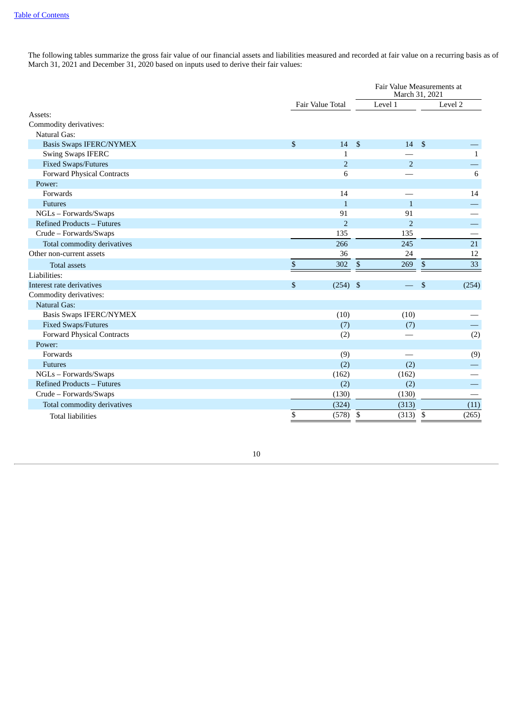The following tables summarize the gross fair value of our financial assets and liabilities measured and recorded at fair value on a recurring basis as of March 31, 2021 and December 31, 2020 based on inputs used to derive their fair values:

|                                   |                |                  |    |                | Fair Value Measurements at<br>March 31, 2021 |              |  |
|-----------------------------------|----------------|------------------|----|----------------|----------------------------------------------|--------------|--|
|                                   |                | Fair Value Total |    | Level 1        |                                              | Level 2      |  |
| Assets:                           |                |                  |    |                |                                              |              |  |
| Commodity derivatives:            |                |                  |    |                |                                              |              |  |
| Natural Gas:                      |                |                  |    |                |                                              |              |  |
| <b>Basis Swaps IFERC/NYMEX</b>    | $\mathfrak{S}$ | 14               | \$ | 14             | $\mathcal{S}$                                |              |  |
| <b>Swing Swaps IFERC</b>          |                | $\mathbf{1}$     |    |                |                                              | $\mathbf{1}$ |  |
| <b>Fixed Swaps/Futures</b>        |                | $\overline{2}$   |    | $\overline{2}$ |                                              |              |  |
| <b>Forward Physical Contracts</b> |                | 6                |    |                |                                              | 6            |  |
| Power:                            |                |                  |    |                |                                              |              |  |
| Forwards                          |                | 14               |    |                |                                              | 14           |  |
| <b>Futures</b>                    |                | $\mathbf{1}$     |    | $\mathbf{1}$   |                                              |              |  |
| NGLs - Forwards/Swaps             |                | 91               |    | 91             |                                              |              |  |
| <b>Refined Products - Futures</b> |                | $\overline{2}$   |    | $\overline{2}$ |                                              |              |  |
| Crude - Forwards/Swaps            |                | 135              |    | 135            |                                              |              |  |
| Total commodity derivatives       |                | 266              |    | 245            |                                              | 21           |  |
| Other non-current assets          |                | 36               |    | 24             |                                              | 12           |  |
| <b>Total assets</b>               | \$             | 302              | \$ | 269            | \$                                           | 33           |  |
| Liabilities:                      |                |                  |    |                |                                              |              |  |
| Interest rate derivatives         | $\mathbb{S}$   | $(254)$ \$       |    |                | \$                                           | (254)        |  |
| Commodity derivatives:            |                |                  |    |                |                                              |              |  |
| <b>Natural Gas:</b>               |                |                  |    |                |                                              |              |  |
| <b>Basis Swaps IFERC/NYMEX</b>    |                | (10)             |    | (10)           |                                              |              |  |
| <b>Fixed Swaps/Futures</b>        |                | (7)              |    | (7)            |                                              |              |  |
| <b>Forward Physical Contracts</b> |                | (2)              |    |                |                                              | (2)          |  |
| Power:                            |                |                  |    |                |                                              |              |  |
| Forwards                          |                | (9)              |    |                |                                              | (9)          |  |
| <b>Futures</b>                    |                | (2)              |    | (2)            |                                              |              |  |
| NGLs - Forwards/Swaps             |                | (162)            |    | (162)          |                                              |              |  |
| <b>Refined Products - Futures</b> |                | (2)              |    | (2)            |                                              |              |  |
| Crude - Forwards/Swaps            |                | (130)            |    | (130)          |                                              |              |  |
| Total commodity derivatives       |                | (324)            |    | (313)          |                                              | (11)         |  |
| <b>Total liabilities</b>          | \$             | (578)            | \$ | (313)          | $\mathfrak s$                                | (265)        |  |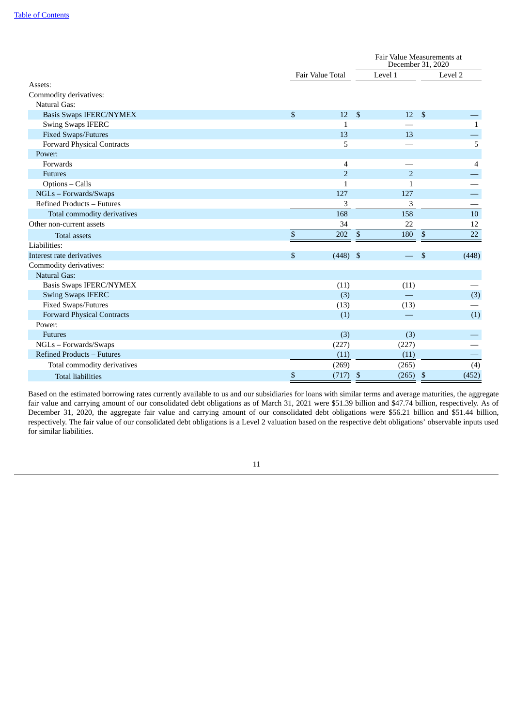|                                   |                  |                |              |                | Fair Value Measurements at<br>December 31, 2020 |                |  |
|-----------------------------------|------------------|----------------|--------------|----------------|-------------------------------------------------|----------------|--|
|                                   | Fair Value Total |                |              | Level 1        |                                                 | Level 2        |  |
| Assets:                           |                  |                |              |                |                                                 |                |  |
| Commodity derivatives:            |                  |                |              |                |                                                 |                |  |
| <b>Natural Gas:</b>               |                  |                |              |                |                                                 |                |  |
| <b>Basis Swaps IFERC/NYMEX</b>    | $\mathbb{S}$     | 12             | \$           | 12             | $\mathbf{s}$                                    |                |  |
| <b>Swing Swaps IFERC</b>          |                  | 1              |              |                |                                                 | $\mathbf{1}$   |  |
| <b>Fixed Swaps/Futures</b>        |                  | 13             |              | 13             |                                                 |                |  |
| <b>Forward Physical Contracts</b> |                  | 5              |              |                |                                                 | 5              |  |
| Power:                            |                  |                |              |                |                                                 |                |  |
| Forwards                          |                  | 4              |              |                |                                                 | $\overline{4}$ |  |
| <b>Futures</b>                    |                  | $\overline{2}$ |              | $\overline{2}$ |                                                 |                |  |
| Options - Calls                   |                  | $\mathbf{1}$   |              | $\mathbf{1}$   |                                                 |                |  |
| NGLs - Forwards/Swaps             |                  | 127            |              | 127            |                                                 |                |  |
| <b>Refined Products - Futures</b> |                  | 3              |              | 3              |                                                 |                |  |
| Total commodity derivatives       |                  | 168            |              | 158            |                                                 | 10             |  |
| Other non-current assets          |                  | 34             |              | 22             |                                                 | 12             |  |
| <b>Total assets</b>               | \$               | 202            | $\mathbb{S}$ | 180            | $\mathbb{S}$                                    | 22             |  |
| Liabilities:                      |                  |                |              |                |                                                 |                |  |
| Interest rate derivatives         | \$               | $(448)$ \$     |              |                | $\mathbb{S}$                                    | (448)          |  |
| Commodity derivatives:            |                  |                |              |                |                                                 |                |  |
| <b>Natural Gas:</b>               |                  |                |              |                |                                                 |                |  |
| <b>Basis Swaps IFERC/NYMEX</b>    |                  | (11)           |              | (11)           |                                                 |                |  |
| <b>Swing Swaps IFERC</b>          |                  | (3)            |              |                |                                                 | (3)            |  |
| <b>Fixed Swaps/Futures</b>        |                  | (13)           |              | (13)           |                                                 |                |  |
| <b>Forward Physical Contracts</b> |                  | (1)            |              |                |                                                 | (1)            |  |
| Power:                            |                  |                |              |                |                                                 |                |  |
| <b>Futures</b>                    |                  | (3)            |              | (3)            |                                                 |                |  |
| NGLs - Forwards/Swaps             |                  | (227)          |              | (227)          |                                                 |                |  |
| <b>Refined Products - Futures</b> |                  | (11)           |              | (11)           |                                                 |                |  |
| Total commodity derivatives       |                  | (269)          |              | (265)          |                                                 | (4)            |  |
| <b>Total liabilities</b>          | \$               | (717)          | $\$$         | (265)          | $\mathfrak{S}$                                  | (452)          |  |

Based on the estimated borrowing rates currently available to us and our subsidiaries for loans with similar terms and average maturities, the aggregate fair value and carrying amount of our consolidated debt obligations as of March 31, 2021 were \$51.39 billion and \$47.74 billion, respectively. As of December 31, 2020, the aggregate fair value and carrying amount of our consolidated debt obligations were \$56.21 billion and \$51.44 billion, respectively. The fair value of our consolidated debt obligations is a Level 2 valuation based on the respective debt obligations' observable inputs used for similar liabilities.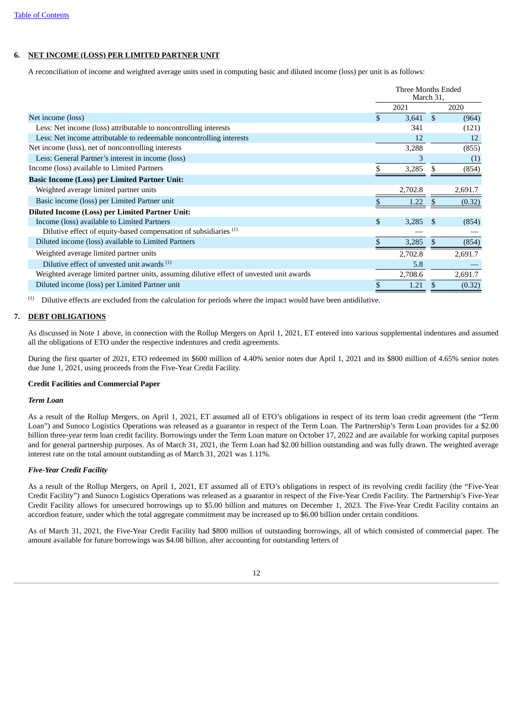## **6. NET INCOME (LOSS) PER LIMITED PARTNER UNIT**

A reconciliation of income and weighted average units used in computing basic and diluted income (loss) per unit is as follows:

|                                                                                          | Three Months Ended<br>March 31, |     |         |
|------------------------------------------------------------------------------------------|---------------------------------|-----|---------|
|                                                                                          | 2021                            |     | 2020    |
| Net income (loss)                                                                        | \$<br>3,641                     | -\$ | (964)   |
| Less: Net income (loss) attributable to noncontrolling interests                         | 341                             |     | (121)   |
| Less: Net income attributable to redeemable noncontrolling interests                     | 12                              |     | 12      |
| Net income (loss), net of noncontrolling interests                                       | 3,288                           |     | (855)   |
| Less: General Partner's interest in income (loss)                                        | 3                               |     | (1)     |
| Income (loss) available to Limited Partners                                              | 3,285                           |     | (854)   |
| <b>Basic Income (Loss) per Limited Partner Unit:</b>                                     |                                 |     |         |
| Weighted average limited partner units                                                   | 2,702.8                         |     | 2,691.7 |
| Basic income (loss) per Limited Partner unit                                             | 1.22                            |     | (0.32)  |
| <b>Diluted Income (Loss) per Limited Partner Unit:</b>                                   |                                 |     |         |
| Income (loss) available to Limited Partners                                              | \$<br>3,285                     | -8  | (854)   |
| Dilutive effect of equity-based compensation of subsidiaries <sup>(1)</sup>              |                                 |     |         |
| Diluted income (loss) available to Limited Partners                                      | 3,285                           | \$  | (854)   |
| Weighted average limited partner units                                                   | 2,702.8                         |     | 2,691.7 |
| Dilutive effect of unvested unit awards <sup>(1)</sup>                                   | 5.8                             |     |         |
| Weighted average limited partner units, assuming dilutive effect of unvested unit awards | 2,708.6                         |     | 2,691.7 |
| Diluted income (loss) per Limited Partner unit                                           | 1.21                            |     | (0.32)  |

Dilutive effects are excluded from the calculation for periods where the impact would have been antidilutive. (1)

## **7. DEBT OBLIGATIONS**

As discussed in Note 1 above, in connection with the Rollup Mergers on April 1, 2021, ET entered into various supplemental indentures and assumed all the obligations of ETO under the respective indentures and credit agreements.

During the first quarter of 2021, ETO redeemed its \$600 million of 4.40% senior notes due April 1, 2021 and its \$800 million of 4.65% senior notes due June 1, 2021, using proceeds from the Five-Year Credit Facility.

#### **Credit Facilities and Commercial Paper**

## *Term Loan*

As a result of the Rollup Mergers, on April 1, 2021, ET assumed all of ETO's obligations in respect of its term loan credit agreement (the "Term Loan") and Sunoco Logistics Operations was released as a guarantor in respect of the Term Loan. The Partnership's Term Loan provides for a \$2.00 billion three-year term loan credit facility. Borrowings under the Term Loan mature on October 17, 2022 and are available for working capital purposes and for general partnership purposes. As of March 31, 2021, the Term Loan had \$2.00 billion outstanding and was fully drawn. The weighted average interest rate on the total amount outstanding as of March 31, 2021 was 1.11%.

## *Five-Year Credit Facility*

As a result of the Rollup Mergers, on April 1, 2021, ET assumed all of ETO's obligations in respect of its revolving credit facility (the "Five-Year Credit Facility") and Sunoco Logistics Operations was released as a guarantor in respect of the Five-Year Credit Facility. The Partnership's Five-Year Credit Facility allows for unsecured borrowings up to \$5.00 billion and matures on December 1, 2023. The Five-Year Credit Facility contains an accordion feature, under which the total aggregate commitment may be increased up to \$6.00 billion under certain conditions.

As of March 31, 2021, the Five-Year Credit Facility had \$800 million of outstanding borrowings, all of which consisted of commercial paper. The amount available for future borrowings was \$4.08 billion, after accounting for outstanding letters of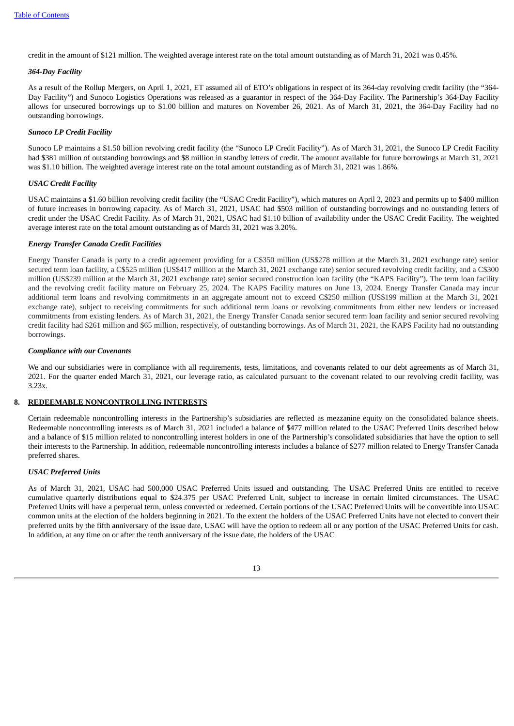credit in the amount of \$121 million. The weighted average interest rate on the total amount outstanding as of March 31, 2021 was 0.45%.

## *364-Day Facility*

As a result of the Rollup Mergers, on April 1, 2021, ET assumed all of ETO's obligations in respect of its 364-day revolving credit facility (the "364- Day Facility") and Sunoco Logistics Operations was released as a guarantor in respect of the 364-Day Facility. The Partnership's 364-Day Facility allows for unsecured borrowings up to \$1.00 billion and matures on November 26, 2021. As of March 31, 2021, the 364-Day Facility had no outstanding borrowings.

#### *Sunoco LP Credit Facility*

Sunoco LP maintains a \$1.50 billion revolving credit facility (the "Sunoco LP Credit Facility"). As of March 31, 2021, the Sunoco LP Credit Facility had \$381 million of outstanding borrowings and \$8 million in standby letters of credit. The amount available for future borrowings at March 31, 2021 was \$1.10 billion. The weighted average interest rate on the total amount outstanding as of March 31, 2021 was 1.86%.

## *USAC Credit Facility*

USAC maintains a \$1.60 billion revolving credit facility (the "USAC Credit Facility"), which matures on April 2, 2023 and permits up to \$400 million of future increases in borrowing capacity. As of March 31, 2021, USAC had \$503 million of outstanding borrowings and no outstanding letters of credit under the USAC Credit Facility. As of March 31, 2021, USAC had \$1.10 billion of availability under the USAC Credit Facility. The weighted average interest rate on the total amount outstanding as of March 31, 2021 was 3.20%.

## *Energy Transfer Canada Credit Facilities*

Energy Transfer Canada is party to a credit agreement providing for a C\$350 million (US\$278 million at the March 31, 2021 exchange rate) senior secured term loan facility, a C\$525 million (US\$417 million at the March 31, 2021 exchange rate) senior secured revolving credit facility, and a C\$300 million (US\$239 million at the March 31, 2021 exchange rate) senior secured construction loan facility (the "KAPS Facility"). The term loan facility and the revolving credit facility mature on February 25, 2024. The KAPS Facility matures on June 13, 2024. Energy Transfer Canada may incur additional term loans and revolving commitments in an aggregate amount not to exceed C\$250 million (US\$199 million at the March 31, 2021 exchange rate), subject to receiving commitments for such additional term loans or revolving commitments from either new lenders or increased commitments from existing lenders. As of March 31, 2021, the Energy Transfer Canada senior secured term loan facility and senior secured revolving credit facility had \$261 million and \$65 million, respectively, of outstanding borrowings. As of March 31, 2021, the KAPS Facility had no outstanding borrowings.

## *Compliance with our Covenants*

We and our subsidiaries were in compliance with all requirements, tests, limitations, and covenants related to our debt agreements as of March 31, 2021. For the quarter ended March 31, 2021, our leverage ratio, as calculated pursuant to the covenant related to our revolving credit facility, was 3.23x.

## **8. REDEEMABLE NONCONTROLLING INTERESTS**

Certain redeemable noncontrolling interests in the Partnership's subsidiaries are reflected as mezzanine equity on the consolidated balance sheets. Redeemable noncontrolling interests as of March 31, 2021 included a balance of \$477 million related to the USAC Preferred Units described below and a balance of \$15 million related to noncontrolling interest holders in one of the Partnership's consolidated subsidiaries that have the option to sell their interests to the Partnership. In addition, redeemable noncontrolling interests includes a balance of \$277 million related to Energy Transfer Canada preferred shares.

#### *USAC Preferred Units*

As of March 31, 2021, USAC had 500,000 USAC Preferred Units issued and outstanding. The USAC Preferred Units are entitled to receive cumulative quarterly distributions equal to \$24.375 per USAC Preferred Unit, subject to increase in certain limited circumstances. The USAC Preferred Units will have a perpetual term, unless converted or redeemed. Certain portions of the USAC Preferred Units will be convertible into USAC common units at the election of the holders beginning in 2021. To the extent the holders of the USAC Preferred Units have not elected to convert their preferred units by the fifth anniversary of the issue date, USAC will have the option to redeem all or any portion of the USAC Preferred Units for cash. In addition, at any time on or after the tenth anniversary of the issue date, the holders of the USAC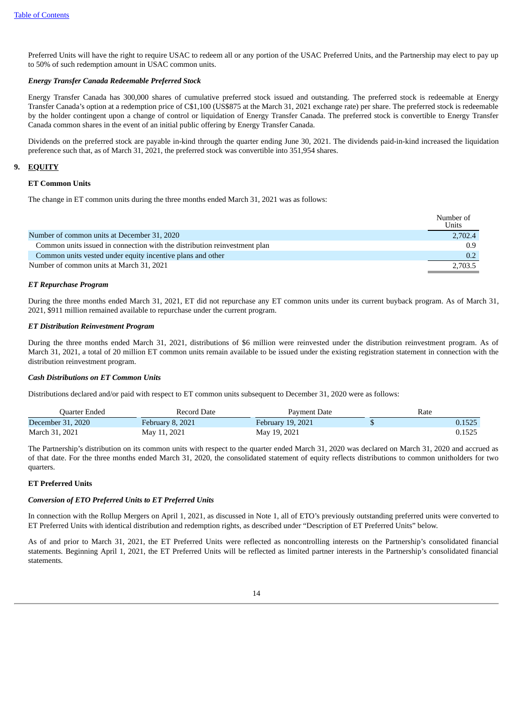Preferred Units will have the right to require USAC to redeem all or any portion of the USAC Preferred Units, and the Partnership may elect to pay up to 50% of such redemption amount in USAC common units.

## *Energy Transfer Canada Redeemable Preferred Stock*

Energy Transfer Canada has 300,000 shares of cumulative preferred stock issued and outstanding. The preferred stock is redeemable at Energy Transfer Canada's option at a redemption price of C\$1,100 (US\$875 at the March 31, 2021 exchange rate) per share. The preferred stock is redeemable by the holder contingent upon a change of control or liquidation of Energy Transfer Canada. The preferred stock is convertible to Energy Transfer Canada common shares in the event of an initial public offering by Energy Transfer Canada.

Dividends on the preferred stock are payable in-kind through the quarter ending June 30, 2021. The dividends paid-in-kind increased the liquidation preference such that, as of March 31, 2021, the preferred stock was convertible into 351,954 shares.

## **9. EQUITY**

## **ET Common Units**

The change in ET common units during the three months ended March 31, 2021 was as follows:

|                                                                           | Number of<br>Units |
|---------------------------------------------------------------------------|--------------------|
| Number of common units at December 31, 2020                               | 2,702.4            |
| Common units issued in connection with the distribution reinvestment plan | 0.9                |
| Common units vested under equity incentive plans and other                | 0.2                |
| Number of common units at March 31, 2021                                  | 2,703.5            |

## *ET Repurchase Program*

During the three months ended March 31, 2021, ET did not repurchase any ET common units under its current buyback program. As of March 31, 2021, \$911 million remained available to repurchase under the current program.

#### *ET Distribution Reinvestment Program*

During the three months ended March 31, 2021, distributions of \$6 million were reinvested under the distribution reinvestment program. As of March 31, 2021, a total of 20 million ET common units remain available to be issued under the existing registration statement in connection with the distribution reinvestment program.

#### *Cash Distributions on ET Common Units*

Distributions declared and/or paid with respect to ET common units subsequent to December 31, 2020 were as follows:

| Ouarter Ended     | Record Date      | Payment Date             | Rate   |
|-------------------|------------------|--------------------------|--------|
| December 31, 2020 | February 8, 2021 | <b>February 19, 2021</b> | 0.1525 |
| March 31, 2021    | May 11, 2021     | May 19, 2021             | 0.1525 |

The Partnership's distribution on its common units with respect to the quarter ended March 31, 2020 was declared on March 31, 2020 and accrued as of that date. For the three months ended March 31, 2020, the consolidated statement of equity reflects distributions to common unitholders for two quarters.

#### **ET Preferred Units**

## *Conversion of ETO Preferred Units to ET Preferred Units*

In connection with the Rollup Mergers on April 1, 2021, as discussed in Note 1, all of ETO's previously outstanding preferred units were converted to ET Preferred Units with identical distribution and redemption rights, as described under "Description of ET Preferred Units" below.

As of and prior to March 31, 2021, the ET Preferred Units were reflected as noncontrolling interests on the Partnership's consolidated financial statements. Beginning April 1, 2021, the ET Preferred Units will be reflected as limited partner interests in the Partnership's consolidated financial statements.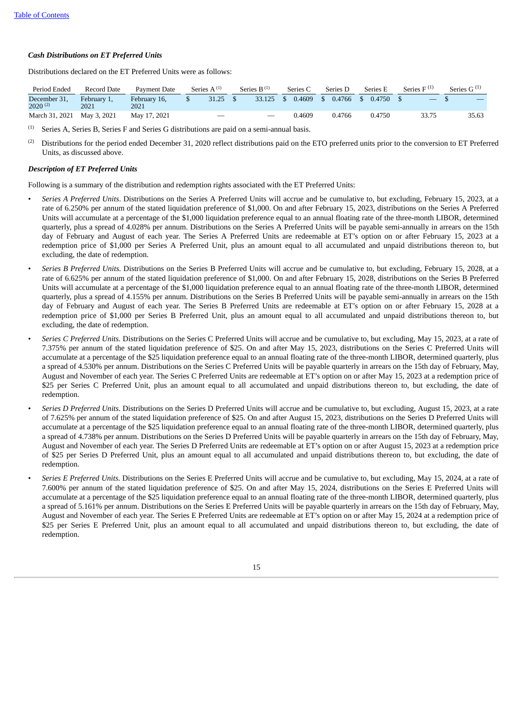## *Cash Distributions on ET Preferred Units*

Distributions declared on the ET Preferred Units were as follows:

| Period Ended                 | <b>Record Date</b>  | Payment Date         | Series $A^{(1)}$         | Series $B^{(1)}$ | Series C |              | Series D |      | Series E | Series $F^{(1)}$ | Series $G^{(1)}$ |
|------------------------------|---------------------|----------------------|--------------------------|------------------|----------|--------------|----------|------|----------|------------------|------------------|
| December 31,<br>$2020^{(2)}$ | February 1,<br>2021 | February 16,<br>2021 | 31.25                    | $33.125$ \$      | 0.4609   | $\mathbf{s}$ | 0.4766   | - \$ | 0.4750   |                  |                  |
| March 31, 2021               | May 3, 2021         | May 17, 2021         | $\overline{\phantom{m}}$ |                  | ).4609   |              | 0.4766   |      | 0.4750   | 33.75            | 35.63            |

Series A, Series B, Series F and Series G distributions are paid on a semi-annual basis. (1)

Distributions for the period ended December 31, 2020 reflect distributions paid on the ETO preferred units prior to the conversion to ET Preferred Units, as discussed above. (2)

#### *Description of ET Preferred Units*

Following is a summary of the distribution and redemption rights associated with the ET Preferred Units:

- *Series A Preferred Units*. Distributions on the Series A Preferred Units will accrue and be cumulative to, but excluding, February 15, 2023, at a rate of 6.250% per annum of the stated liquidation preference of \$1,000. On and after February 15, 2023, distributions on the Series A Preferred Units will accumulate at a percentage of the \$1,000 liquidation preference equal to an annual floating rate of the three-month LIBOR, determined quarterly, plus a spread of 4.028% per annum. Distributions on the Series A Preferred Units will be payable semi-annually in arrears on the 15th day of February and August of each year. The Series A Preferred Units are redeemable at ET's option on or after February 15, 2023 at a redemption price of \$1,000 per Series A Preferred Unit, plus an amount equal to all accumulated and unpaid distributions thereon to, but excluding, the date of redemption.
- *Series B Preferred Units.* Distributions on the Series B Preferred Units will accrue and be cumulative to, but excluding, February 15, 2028, at a rate of 6.625% per annum of the stated liquidation preference of \$1,000. On and after February 15, 2028, distributions on the Series B Preferred Units will accumulate at a percentage of the \$1,000 liquidation preference equal to an annual floating rate of the three-month LIBOR, determined quarterly, plus a spread of 4.155% per annum. Distributions on the Series B Preferred Units will be payable semi-annually in arrears on the 15th day of February and August of each year. The Series B Preferred Units are redeemable at ET's option on or after February 15, 2028 at a redemption price of \$1,000 per Series B Preferred Unit, plus an amount equal to all accumulated and unpaid distributions thereon to, but excluding, the date of redemption.
- *Series C Preferred Units.* Distributions on the Series C Preferred Units will accrue and be cumulative to, but excluding, May 15, 2023, at a rate of 7.375% per annum of the stated liquidation preference of \$25. On and after May 15, 2023, distributions on the Series C Preferred Units will accumulate at a percentage of the \$25 liquidation preference equal to an annual floating rate of the three-month LIBOR, determined quarterly, plus a spread of 4.530% per annum. Distributions on the Series C Preferred Units will be payable quarterly in arrears on the 15th day of February, May, August and November of each year. The Series C Preferred Units are redeemable at ET's option on or after May 15, 2023 at a redemption price of \$25 per Series C Preferred Unit, plus an amount equal to all accumulated and unpaid distributions thereon to, but excluding, the date of redemption.
- *Series D Preferred Units.* Distributions on the Series D Preferred Units will accrue and be cumulative to, but excluding, August 15, 2023, at a rate of 7.625% per annum of the stated liquidation preference of \$25. On and after August 15, 2023, distributions on the Series D Preferred Units will accumulate at a percentage of the \$25 liquidation preference equal to an annual floating rate of the three-month LIBOR, determined quarterly, plus a spread of 4.738% per annum. Distributions on the Series D Preferred Units will be payable quarterly in arrears on the 15th day of February, May, August and November of each year. The Series D Preferred Units are redeemable at ET's option on or after August 15, 2023 at a redemption price of \$25 per Series D Preferred Unit, plus an amount equal to all accumulated and unpaid distributions thereon to, but excluding, the date of redemption.
- *Series E Preferred Units.* Distributions on the Series E Preferred Units will accrue and be cumulative to, but excluding, May 15, 2024, at a rate of 7.600% per annum of the stated liquidation preference of \$25. On and after May 15, 2024, distributions on the Series E Preferred Units will accumulate at a percentage of the \$25 liquidation preference equal to an annual floating rate of the three-month LIBOR, determined quarterly, plus a spread of 5.161% per annum. Distributions on the Series E Preferred Units will be payable quarterly in arrears on the 15th day of February, May, August and November of each year. The Series E Preferred Units are redeemable at ET's option on or after May 15, 2024 at a redemption price of \$25 per Series E Preferred Unit, plus an amount equal to all accumulated and unpaid distributions thereon to, but excluding, the date of redemption.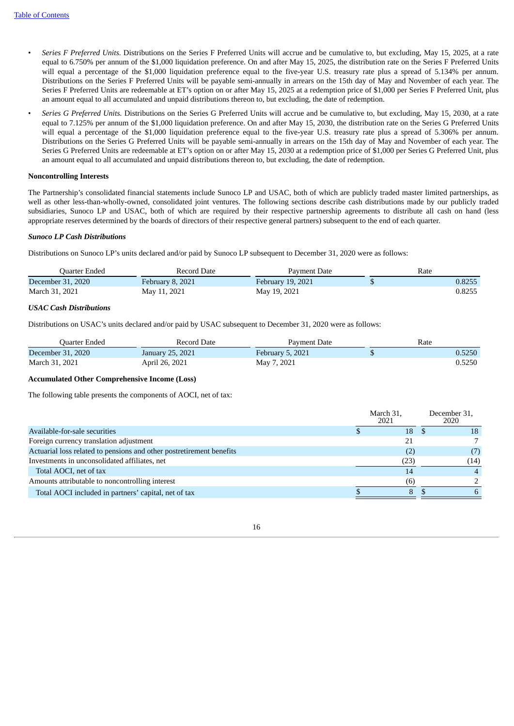- *Series F Preferred Units.* Distributions on the Series F Preferred Units will accrue and be cumulative to, but excluding, May 15, 2025, at a rate equal to 6.750% per annum of the \$1,000 liquidation preference. On and after May 15, 2025, the distribution rate on the Series F Preferred Units will equal a percentage of the \$1,000 liquidation preference equal to the five-year U.S. treasury rate plus a spread of 5.134% per annum. Distributions on the Series F Preferred Units will be payable semi-annually in arrears on the 15th day of May and November of each year. The Series F Preferred Units are redeemable at ET's option on or after May 15, 2025 at a redemption price of \$1,000 per Series F Preferred Unit, plus an amount equal to all accumulated and unpaid distributions thereon to, but excluding, the date of redemption.
- *Series G Preferred Units.* Distributions on the Series G Preferred Units will accrue and be cumulative to, but excluding, May 15, 2030, at a rate equal to 7.125% per annum of the \$1,000 liquidation preference. On and after May 15, 2030, the distribution rate on the Series G Preferred Units will equal a percentage of the \$1,000 liquidation preference equal to the five-year U.S. treasury rate plus a spread of 5.306% per annum. Distributions on the Series G Preferred Units will be payable semi-annually in arrears on the 15th day of May and November of each year. The Series G Preferred Units are redeemable at ET's option on or after May 15, 2030 at a redemption price of \$1,000 per Series G Preferred Unit, plus an amount equal to all accumulated and unpaid distributions thereon to, but excluding, the date of redemption.

#### **Noncontrolling Interests**

The Partnership's consolidated financial statements include Sunoco LP and USAC, both of which are publicly traded master limited partnerships, as well as other less-than-wholly-owned, consolidated joint ventures. The following sections describe cash distributions made by our publicly traded subsidiaries, Sunoco LP and USAC, both of which are required by their respective partnership agreements to distribute all cash on hand (less appropriate reserves determined by the boards of directors of their respective general partners) subsequent to the end of each quarter.

## *Sunoco LP Cash Distributions*

Distributions on Sunoco LP's units declared and/or paid by Sunoco LP subsequent to December 31, 2020 were as follows:

| Ouarter Ended     | Record Date             | Payment Date      | Rate   |
|-------------------|-------------------------|-------------------|--------|
| December 31, 2020 | <b>February 8, 2021</b> | February 19, 2021 | 0.8255 |
| March 31, 2021    | May 11, 2021            | May 19, 2021      | 0.8255 |

## *USAC Cash Distributions*

Distributions on USAC's units declared and/or paid by USAC subsequent to December 31, 2020 were as follows:

| Ouarter Ended     | Record Date      | Payment Date     | Rate   |
|-------------------|------------------|------------------|--------|
| December 31, 2020 | January 25, 2021 | February 5, 2021 | 0.5250 |
| March 31, 2021    | April 26, 2021   | May 7, 2021      | 0.5250 |

## **Accumulated Other Comprehensive Income (Loss)**

The following table presents the components of AOCI, net of tax:

|                                                                      | March 31,<br>2021 | December 31,<br>2020 |
|----------------------------------------------------------------------|-------------------|----------------------|
| Available-for-sale securities                                        | 18                | 18<br>- 30           |
| Foreign currency translation adjustment                              |                   |                      |
| Actuarial loss related to pensions and other postretirement benefits | (2)               | (7)                  |
| Investments in unconsolidated affiliates, net                        | (23)              | (14)                 |
| Total AOCI, net of tax                                               | 14                |                      |
| Amounts attributable to noncontrolling interest                      | (6)               |                      |
| Total AOCI included in partners' capital, net of tax                 | 8                 |                      |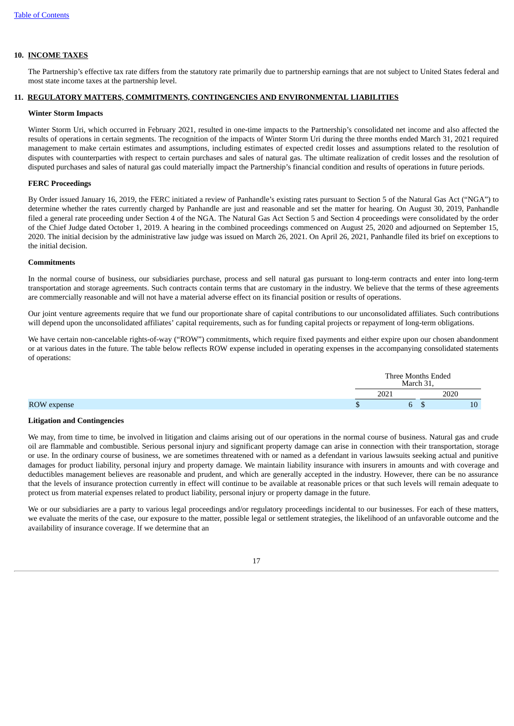## **10. INCOME TAXES**

The Partnership's effective tax rate differs from the statutory rate primarily due to partnership earnings that are not subject to United States federal and most state income taxes at the partnership level.

#### **11. REGULATORY MATTERS, COMMITMENTS, CONTINGENCIES AND ENVIRONMENTAL LIABILITIES**

#### **Winter Storm Impacts**

Winter Storm Uri, which occurred in February 2021, resulted in one-time impacts to the Partnership's consolidated net income and also affected the results of operations in certain segments. The recognition of the impacts of Winter Storm Uri during the three months ended March 31, 2021 required management to make certain estimates and assumptions, including estimates of expected credit losses and assumptions related to the resolution of disputes with counterparties with respect to certain purchases and sales of natural gas. The ultimate realization of credit losses and the resolution of disputed purchases and sales of natural gas could materially impact the Partnership's financial condition and results of operations in future periods.

## **FERC Proceedings**

By Order issued January 16, 2019, the FERC initiated a review of Panhandle's existing rates pursuant to Section 5 of the Natural Gas Act ("NGA") to determine whether the rates currently charged by Panhandle are just and reasonable and set the matter for hearing. On August 30, 2019, Panhandle filed a general rate proceeding under Section 4 of the NGA. The Natural Gas Act Section 5 and Section 4 proceedings were consolidated by the order of the Chief Judge dated October 1, 2019. A hearing in the combined proceedings commenced on August 25, 2020 and adjourned on September 15, 2020. The initial decision by the administrative law judge was issued on March 26, 2021. On April 26, 2021, Panhandle filed its brief on exceptions to the initial decision.

#### **Commitments**

In the normal course of business, our subsidiaries purchase, process and sell natural gas pursuant to long-term contracts and enter into long-term transportation and storage agreements. Such contracts contain terms that are customary in the industry. We believe that the terms of these agreements are commercially reasonable and will not have a material adverse effect on its financial position or results of operations.

Our joint venture agreements require that we fund our proportionate share of capital contributions to our unconsolidated affiliates. Such contributions will depend upon the unconsolidated affiliates' capital requirements, such as for funding capital projects or repayment of long-term obligations.

We have certain non-cancelable rights-of-way ("ROW") commitments, which require fixed payments and either expire upon our chosen abandonment or at various dates in the future. The table below reflects ROW expense included in operating expenses in the accompanying consolidated statements of operations:

|                    |   | Three Months Ended<br>March 31 |      |    |
|--------------------|---|--------------------------------|------|----|
|                    |   | 2021                           | 2020 |    |
| <b>ROW</b> expense | Ψ | $\sim$<br>b                    | ╜    | 10 |

#### **Litigation and Contingencies**

We may, from time to time, be involved in litigation and claims arising out of our operations in the normal course of business. Natural gas and crude oil are flammable and combustible. Serious personal injury and significant property damage can arise in connection with their transportation, storage or use. In the ordinary course of business, we are sometimes threatened with or named as a defendant in various lawsuits seeking actual and punitive damages for product liability, personal injury and property damage. We maintain liability insurance with insurers in amounts and with coverage and deductibles management believes are reasonable and prudent, and which are generally accepted in the industry. However, there can be no assurance that the levels of insurance protection currently in effect will continue to be available at reasonable prices or that such levels will remain adequate to protect us from material expenses related to product liability, personal injury or property damage in the future.

We or our subsidiaries are a party to various legal proceedings and/or regulatory proceedings incidental to our businesses. For each of these matters, we evaluate the merits of the case, our exposure to the matter, possible legal or settlement strategies, the likelihood of an unfavorable outcome and the availability of insurance coverage. If we determine that an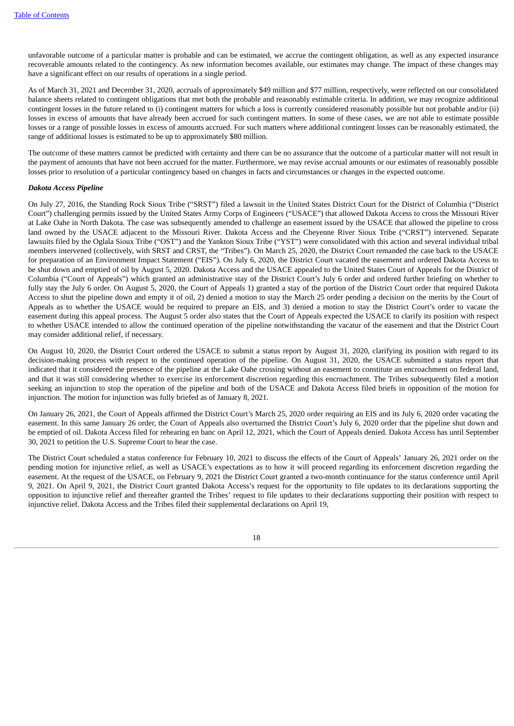unfavorable outcome of a particular matter is probable and can be estimated, we accrue the contingent obligation, as well as any expected insurance recoverable amounts related to the contingency. As new information becomes available, our estimates may change. The impact of these changes may have a significant effect on our results of operations in a single period.

As of March 31, 2021 and December 31, 2020, accruals of approximately \$49 million and \$77 million, respectively, were reflected on our consolidated balance sheets related to contingent obligations that met both the probable and reasonably estimable criteria. In addition, we may recognize additional contingent losses in the future related to (i) contingent matters for which a loss is currently considered reasonably possible but not probable and/or (ii) losses in excess of amounts that have already been accrued for such contingent matters. In some of these cases, we are not able to estimate possible losses or a range of possible losses in excess of amounts accrued. For such matters where additional contingent losses can be reasonably estimated, the range of additional losses is estimated to be up to approximately \$80 million.

The outcome of these matters cannot be predicted with certainty and there can be no assurance that the outcome of a particular matter will not result in the payment of amounts that have not been accrued for the matter. Furthermore, we may revise accrual amounts or our estimates of reasonably possible losses prior to resolution of a particular contingency based on changes in facts and circumstances or changes in the expected outcome.

## *Dakota Access Pipeline*

On July 27, 2016, the Standing Rock Sioux Tribe ("SRST") filed a lawsuit in the United States District Court for the District of Columbia ("District Court") challenging permits issued by the United States Army Corps of Engineers ("USACE") that allowed Dakota Access to cross the Missouri River at Lake Oahe in North Dakota. The case was subsequently amended to challenge an easement issued by the USACE that allowed the pipeline to cross land owned by the USACE adjacent to the Missouri River. Dakota Access and the Cheyenne River Sioux Tribe ("CRST") intervened. Separate lawsuits filed by the Oglala Sioux Tribe ("OST") and the Yankton Sioux Tribe ("YST") were consolidated with this action and several individual tribal members intervened (collectively, with SRST and CRST, the "Tribes"). On March 25, 2020, the District Court remanded the case back to the USACE for preparation of an Environment Impact Statement ("EIS"). On July 6, 2020, the District Court vacated the easement and ordered Dakota Access to be shut down and emptied of oil by August 5, 2020. Dakota Access and the USACE appealed to the United States Court of Appeals for the District of Columbia ("Court of Appeals") which granted an administrative stay of the District Court's July 6 order and ordered further briefing on whether to fully stay the July 6 order. On August 5, 2020, the Court of Appeals 1) granted a stay of the portion of the District Court order that required Dakota Access to shut the pipeline down and empty it of oil, 2) denied a motion to stay the March 25 order pending a decision on the merits by the Court of Appeals as to whether the USACE would be required to prepare an EIS, and 3) denied a motion to stay the District Court's order to vacate the easement during this appeal process. The August 5 order also states that the Court of Appeals expected the USACE to clarify its position with respect to whether USACE intended to allow the continued operation of the pipeline notwithstanding the vacatur of the easement and that the District Court may consider additional relief, if necessary.

On August 10, 2020, the District Court ordered the USACE to submit a status report by August 31, 2020, clarifying its position with regard to its decision-making process with respect to the continued operation of the pipeline. On August 31, 2020, the USACE submitted a status report that indicated that it considered the presence of the pipeline at the Lake Oahe crossing without an easement to constitute an encroachment on federal land, and that it was still considering whether to exercise its enforcement discretion regarding this encroachment. The Tribes subsequently filed a motion seeking an injunction to stop the operation of the pipeline and both of the USACE and Dakota Access filed briefs in opposition of the motion for injunction. The motion for injunction was fully briefed as of January 8, 2021.

On January 26, 2021, the Court of Appeals affirmed the District Court's March 25, 2020 order requiring an EIS and its July 6, 2020 order vacating the easement. In this same January 26 order, the Court of Appeals also overturned the District Court's July 6, 2020 order that the pipeline shut down and be emptied of oil. Dakota Access filed for rehearing en banc on April 12, 2021, which the Court of Appeals denied. Dakota Access has until September 30, 2021 to petition the U.S. Supreme Court to hear the case.

The District Court scheduled a status conference for February 10, 2021 to discuss the effects of the Court of Appeals' January 26, 2021 order on the pending motion for injunctive relief, as well as USACE's expectations as to how it will proceed regarding its enforcement discretion regarding the easement. At the request of the USACE, on February 9, 2021 the District Court granted a two-month continuance for the status conference until April 9, 2021. On April 9, 2021, the District Court granted Dakota Access's request for the opportunity to file updates to its declarations supporting the opposition to injunctive relief and thereafter granted the Tribes' request to file updates to their declarations supporting their position with respect to injunctive relief. Dakota Access and the Tribes filed their supplemental declarations on April 19,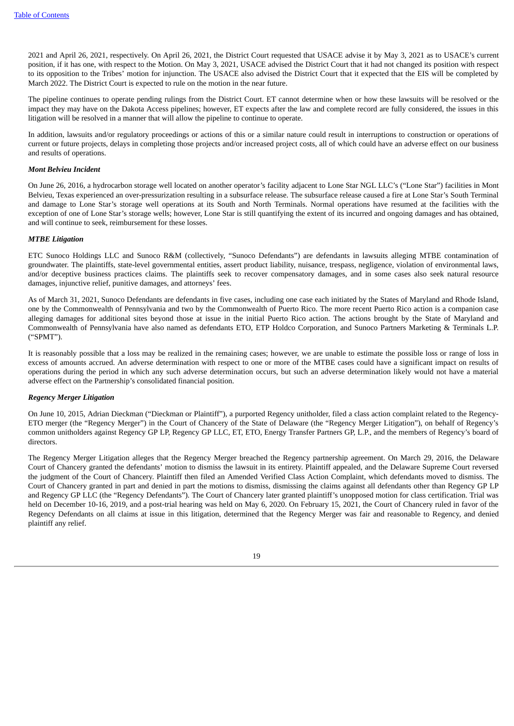2021 and April 26, 2021, respectively. On April 26, 2021, the District Court requested that USACE advise it by May 3, 2021 as to USACE's current position, if it has one, with respect to the Motion. On May 3, 2021, USACE advised the District Court that it had not changed its position with respect to its opposition to the Tribes' motion for injunction. The USACE also advised the District Court that it expected that the EIS will be completed by March 2022. The District Court is expected to rule on the motion in the near future.

The pipeline continues to operate pending rulings from the District Court. ET cannot determine when or how these lawsuits will be resolved or the impact they may have on the Dakota Access pipelines; however, ET expects after the law and complete record are fully considered, the issues in this litigation will be resolved in a manner that will allow the pipeline to continue to operate.

In addition, lawsuits and/or regulatory proceedings or actions of this or a similar nature could result in interruptions to construction or operations of current or future projects, delays in completing those projects and/or increased project costs, all of which could have an adverse effect on our business and results of operations.

#### *Mont Belvieu Incident*

On June 26, 2016, a hydrocarbon storage well located on another operator's facility adjacent to Lone Star NGL LLC's ("Lone Star") facilities in Mont Belvieu, Texas experienced an over-pressurization resulting in a subsurface release. The subsurface release caused a fire at Lone Star's South Terminal and damage to Lone Star's storage well operations at its South and North Terminals. Normal operations have resumed at the facilities with the exception of one of Lone Star's storage wells; however, Lone Star is still quantifying the extent of its incurred and ongoing damages and has obtained, and will continue to seek, reimbursement for these losses.

## *MTBE Litigation*

ETC Sunoco Holdings LLC and Sunoco R&M (collectively, "Sunoco Defendants") are defendants in lawsuits alleging MTBE contamination of groundwater. The plaintiffs, state-level governmental entities, assert product liability, nuisance, trespass, negligence, violation of environmental laws, and/or deceptive business practices claims. The plaintiffs seek to recover compensatory damages, and in some cases also seek natural resource damages, injunctive relief, punitive damages, and attorneys' fees.

As of March 31, 2021, Sunoco Defendants are defendants in five cases, including one case each initiated by the States of Maryland and Rhode Island, one by the Commonwealth of Pennsylvania and two by the Commonwealth of Puerto Rico. The more recent Puerto Rico action is a companion case alleging damages for additional sites beyond those at issue in the initial Puerto Rico action. The actions brought by the State of Maryland and Commonwealth of Pennsylvania have also named as defendants ETO, ETP Holdco Corporation, and Sunoco Partners Marketing & Terminals L.P. ("SPMT").

It is reasonably possible that a loss may be realized in the remaining cases; however, we are unable to estimate the possible loss or range of loss in excess of amounts accrued. An adverse determination with respect to one or more of the MTBE cases could have a significant impact on results of operations during the period in which any such adverse determination occurs, but such an adverse determination likely would not have a material adverse effect on the Partnership's consolidated financial position.

## *Regency Merger Litigation*

On June 10, 2015, Adrian Dieckman ("Dieckman or Plaintiff"), a purported Regency unitholder, filed a class action complaint related to the Regency-ETO merger (the "Regency Merger") in the Court of Chancery of the State of Delaware (the "Regency Merger Litigation"), on behalf of Regency's common unitholders against Regency GP LP, Regency GP LLC, ET, ETO, Energy Transfer Partners GP, L.P., and the members of Regency's board of directors.

The Regency Merger Litigation alleges that the Regency Merger breached the Regency partnership agreement. On March 29, 2016, the Delaware Court of Chancery granted the defendants' motion to dismiss the lawsuit in its entirety. Plaintiff appealed, and the Delaware Supreme Court reversed the judgment of the Court of Chancery. Plaintiff then filed an Amended Verified Class Action Complaint, which defendants moved to dismiss. The Court of Chancery granted in part and denied in part the motions to dismiss, dismissing the claims against all defendants other than Regency GP LP and Regency GP LLC (the "Regency Defendants"). The Court of Chancery later granted plaintiff's unopposed motion for class certification. Trial was held on December 10-16, 2019, and a post-trial hearing was held on May 6, 2020. On February 15, 2021, the Court of Chancery ruled in favor of the Regency Defendants on all claims at issue in this litigation, determined that the Regency Merger was fair and reasonable to Regency, and denied plaintiff any relief.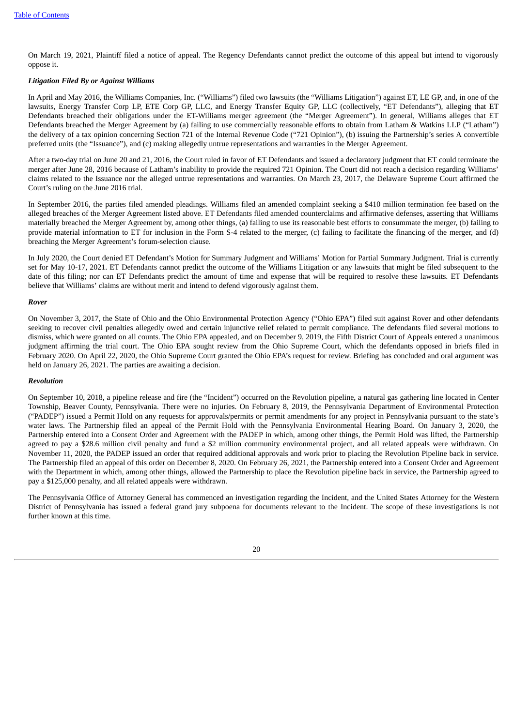On March 19, 2021, Plaintiff filed a notice of appeal. The Regency Defendants cannot predict the outcome of this appeal but intend to vigorously oppose it.

## *Litigation Filed By or Against Williams*

In April and May 2016, the Williams Companies, Inc. ("Williams") filed two lawsuits (the "Williams Litigation") against ET, LE GP, and, in one of the lawsuits, Energy Transfer Corp LP, ETE Corp GP, LLC, and Energy Transfer Equity GP, LLC (collectively, "ET Defendants"), alleging that ET Defendants breached their obligations under the ET-Williams merger agreement (the "Merger Agreement"). In general, Williams alleges that ET Defendants breached the Merger Agreement by (a) failing to use commercially reasonable efforts to obtain from Latham & Watkins LLP ("Latham") the delivery of a tax opinion concerning Section 721 of the Internal Revenue Code ("721 Opinion"), (b) issuing the Partnership's series A convertible preferred units (the "Issuance"), and (c) making allegedly untrue representations and warranties in the Merger Agreement.

After a two-day trial on June 20 and 21, 2016, the Court ruled in favor of ET Defendants and issued a declaratory judgment that ET could terminate the merger after June 28, 2016 because of Latham's inability to provide the required 721 Opinion. The Court did not reach a decision regarding Williams' claims related to the Issuance nor the alleged untrue representations and warranties. On March 23, 2017, the Delaware Supreme Court affirmed the Court's ruling on the June 2016 trial.

In September 2016, the parties filed amended pleadings. Williams filed an amended complaint seeking a \$410 million termination fee based on the alleged breaches of the Merger Agreement listed above. ET Defendants filed amended counterclaims and affirmative defenses, asserting that Williams materially breached the Merger Agreement by, among other things, (a) failing to use its reasonable best efforts to consummate the merger, (b) failing to provide material information to ET for inclusion in the Form S-4 related to the merger, (c) failing to facilitate the financing of the merger, and (d) breaching the Merger Agreement's forum-selection clause.

In July 2020, the Court denied ET Defendant's Motion for Summary Judgment and Williams' Motion for Partial Summary Judgment. Trial is currently set for May 10-17, 2021. ET Defendants cannot predict the outcome of the Williams Litigation or any lawsuits that might be filed subsequent to the date of this filing; nor can ET Defendants predict the amount of time and expense that will be required to resolve these lawsuits. ET Defendants believe that Williams' claims are without merit and intend to defend vigorously against them.

#### *Rover*

On November 3, 2017, the State of Ohio and the Ohio Environmental Protection Agency ("Ohio EPA") filed suit against Rover and other defendants seeking to recover civil penalties allegedly owed and certain injunctive relief related to permit compliance. The defendants filed several motions to dismiss, which were granted on all counts. The Ohio EPA appealed, and on December 9, 2019, the Fifth District Court of Appeals entered a unanimous judgment affirming the trial court. The Ohio EPA sought review from the Ohio Supreme Court, which the defendants opposed in briefs filed in February 2020. On April 22, 2020, the Ohio Supreme Court granted the Ohio EPA's request for review. Briefing has concluded and oral argument was held on January 26, 2021. The parties are awaiting a decision.

#### *Revolution*

On September 10, 2018, a pipeline release and fire (the "Incident") occurred on the Revolution pipeline, a natural gas gathering line located in Center Township, Beaver County, Pennsylvania. There were no injuries. On February 8, 2019, the Pennsylvania Department of Environmental Protection ("PADEP") issued a Permit Hold on any requests for approvals/permits or permit amendments for any project in Pennsylvania pursuant to the state's water laws. The Partnership filed an appeal of the Permit Hold with the Pennsylvania Environmental Hearing Board. On January 3, 2020, the Partnership entered into a Consent Order and Agreement with the PADEP in which, among other things, the Permit Hold was lifted, the Partnership agreed to pay a \$28.6 million civil penalty and fund a \$2 million community environmental project, and all related appeals were withdrawn. On November 11, 2020, the PADEP issued an order that required additional approvals and work prior to placing the Revolution Pipeline back in service. The Partnership filed an appeal of this order on December 8, 2020. On February 26, 2021, the Partnership entered into a Consent Order and Agreement with the Department in which, among other things, allowed the Partnership to place the Revolution pipeline back in service, the Partnership agreed to pay a \$125,000 penalty, and all related appeals were withdrawn.

The Pennsylvania Office of Attorney General has commenced an investigation regarding the Incident, and the United States Attorney for the Western District of Pennsylvania has issued a federal grand jury subpoena for documents relevant to the Incident. The scope of these investigations is not further known at this time.

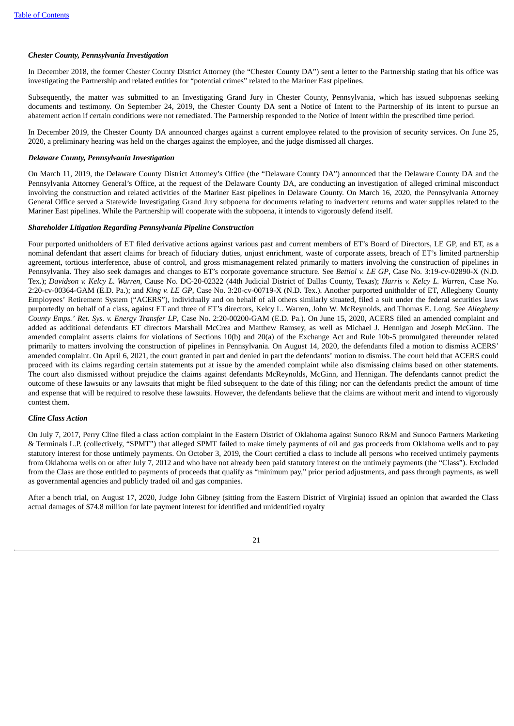## *Chester County, Pennsylvania Investigation*

In December 2018, the former Chester County District Attorney (the "Chester County DA") sent a letter to the Partnership stating that his office was investigating the Partnership and related entities for "potential crimes" related to the Mariner East pipelines.

Subsequently, the matter was submitted to an Investigating Grand Jury in Chester County, Pennsylvania, which has issued subpoenas seeking documents and testimony. On September 24, 2019, the Chester County DA sent a Notice of Intent to the Partnership of its intent to pursue an abatement action if certain conditions were not remediated. The Partnership responded to the Notice of Intent within the prescribed time period.

In December 2019, the Chester County DA announced charges against a current employee related to the provision of security services. On June 25, 2020, a preliminary hearing was held on the charges against the employee, and the judge dismissed all charges.

#### *Delaware County, Pennsylvania Investigation*

On March 11, 2019, the Delaware County District Attorney's Office (the "Delaware County DA") announced that the Delaware County DA and the Pennsylvania Attorney General's Office, at the request of the Delaware County DA, are conducting an investigation of alleged criminal misconduct involving the construction and related activities of the Mariner East pipelines in Delaware County. On March 16, 2020, the Pennsylvania Attorney General Office served a Statewide Investigating Grand Jury subpoena for documents relating to inadvertent returns and water supplies related to the Mariner East pipelines. While the Partnership will cooperate with the subpoena, it intends to vigorously defend itself.

## *Shareholder Litigation Regarding Pennsylvania Pipeline Construction*

Four purported unitholders of ET filed derivative actions against various past and current members of ET's Board of Directors, LE GP, and ET, as a nominal defendant that assert claims for breach of fiduciary duties, unjust enrichment, waste of corporate assets, breach of ET's limited partnership agreement, tortious interference, abuse of control, and gross mismanagement related primarily to matters involving the construction of pipelines in Pennsylvania. They also seek damages and changes to ET's corporate governance structure. See *Bettiol v. LE GP*, Case No. 3:19-cv-02890-X (N.D. Tex.); *Davidson v. Kelcy L. Warren,* Cause No. DC-20-02322 (44th Judicial District of Dallas County, Texas); *Harris v. Kelcy L. Warren*, Case No. 2:20-cv-00364-GAM (E.D. Pa.); and *King v. LE GP*, Case No. 3:20-cv-00719-X (N.D. Tex.). Another purported unitholder of ET, Allegheny County Employees' Retirement System ("ACERS"), individually and on behalf of all others similarly situated, filed a suit under the federal securities laws purportedly on behalf of a class, against ET and three of ET's directors, Kelcy L. Warren, John W. McReynolds, and Thomas E. Long. See *Allegheny County Emps.' Ret. Sys. v. Energy Transfer LP*, Case No. 2:20-00200-GAM (E.D. Pa.). On June 15, 2020, ACERS filed an amended complaint and added as additional defendants ET directors Marshall McCrea and Matthew Ramsey, as well as Michael J. Hennigan and Joseph McGinn. The amended complaint asserts claims for violations of Sections 10(b) and 20(a) of the Exchange Act and Rule 10b-5 promulgated thereunder related primarily to matters involving the construction of pipelines in Pennsylvania. On August 14, 2020, the defendants filed a motion to dismiss ACERS' amended complaint. On April 6, 2021, the court granted in part and denied in part the defendants' motion to dismiss. The court held that ACERS could proceed with its claims regarding certain statements put at issue by the amended complaint while also dismissing claims based on other statements. The court also dismissed without prejudice the claims against defendants McReynolds, McGinn, and Hennigan. The defendants cannot predict the outcome of these lawsuits or any lawsuits that might be filed subsequent to the date of this filing; nor can the defendants predict the amount of time and expense that will be required to resolve these lawsuits. However, the defendants believe that the claims are without merit and intend to vigorously contest them.

## *Cline Class Action*

On July 7, 2017, Perry Cline filed a class action complaint in the Eastern District of Oklahoma against Sunoco R&M and Sunoco Partners Marketing & Terminals L.P. (collectively, "SPMT") that alleged SPMT failed to make timely payments of oil and gas proceeds from Oklahoma wells and to pay statutory interest for those untimely payments. On October 3, 2019, the Court certified a class to include all persons who received untimely payments from Oklahoma wells on or after July 7, 2012 and who have not already been paid statutory interest on the untimely payments (the "Class"). Excluded from the Class are those entitled to payments of proceeds that qualify as "minimum pay," prior period adjustments, and pass through payments, as well as governmental agencies and publicly traded oil and gas companies.

After a bench trial, on August 17, 2020, Judge John Gibney (sitting from the Eastern District of Virginia) issued an opinion that awarded the Class actual damages of \$74.8 million for late payment interest for identified and unidentified royalty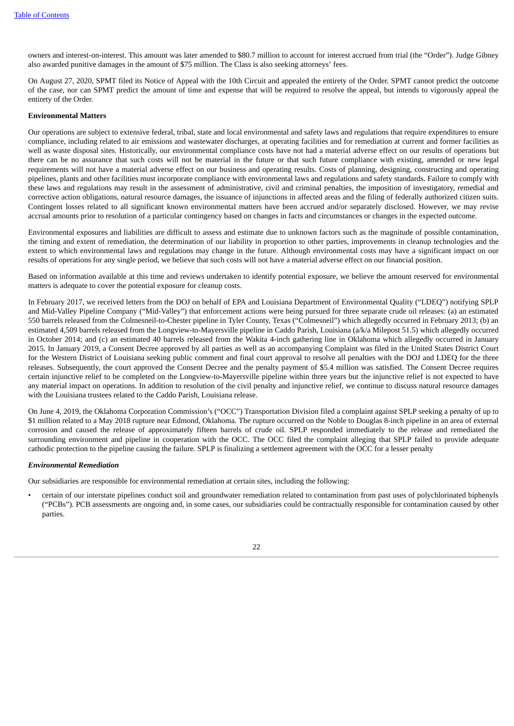owners and interest-on-interest. This amount was later amended to \$80.7 million to account for interest accrued from trial (the "Order"). Judge Gibney also awarded punitive damages in the amount of \$75 million. The Class is also seeking attorneys' fees.

On August 27, 2020, SPMT filed its Notice of Appeal with the 10th Circuit and appealed the entirety of the Order. SPMT cannot predict the outcome of the case, nor can SPMT predict the amount of time and expense that will be required to resolve the appeal, but intends to vigorously appeal the entirety of the Order.

#### **Environmental Matters**

Our operations are subject to extensive federal, tribal, state and local environmental and safety laws and regulations that require expenditures to ensure compliance, including related to air emissions and wastewater discharges, at operating facilities and for remediation at current and former facilities as well as waste disposal sites. Historically, our environmental compliance costs have not had a material adverse effect on our results of operations but there can be no assurance that such costs will not be material in the future or that such future compliance with existing, amended or new legal requirements will not have a material adverse effect on our business and operating results. Costs of planning, designing, constructing and operating pipelines, plants and other facilities must incorporate compliance with environmental laws and regulations and safety standards. Failure to comply with these laws and regulations may result in the assessment of administrative, civil and criminal penalties, the imposition of investigatory, remedial and corrective action obligations, natural resource damages, the issuance of injunctions in affected areas and the filing of federally authorized citizen suits. Contingent losses related to all significant known environmental matters have been accrued and/or separately disclosed. However, we may revise accrual amounts prior to resolution of a particular contingency based on changes in facts and circumstances or changes in the expected outcome.

Environmental exposures and liabilities are difficult to assess and estimate due to unknown factors such as the magnitude of possible contamination, the timing and extent of remediation, the determination of our liability in proportion to other parties, improvements in cleanup technologies and the extent to which environmental laws and regulations may change in the future. Although environmental costs may have a significant impact on our results of operations for any single period, we believe that such costs will not have a material adverse effect on our financial position.

Based on information available at this time and reviews undertaken to identify potential exposure, we believe the amount reserved for environmental matters is adequate to cover the potential exposure for cleanup costs.

In February 2017, we received letters from the DOJ on behalf of EPA and Louisiana Department of Environmental Quality ("LDEQ") notifying SPLP and Mid-Valley Pipeline Company ("Mid-Valley") that enforcement actions were being pursued for three separate crude oil releases: (a) an estimated 550 barrels released from the Colmesneil-to-Chester pipeline in Tyler County, Texas ("Colmesneil") which allegedly occurred in February 2013; (b) an estimated 4,509 barrels released from the Longview-to-Mayersville pipeline in Caddo Parish, Louisiana (a/k/a Milepost 51.5) which allegedly occurred in October 2014; and (c) an estimated 40 barrels released from the Wakita 4-inch gathering line in Oklahoma which allegedly occurred in January 2015. In January 2019, a Consent Decree approved by all parties as well as an accompanying Complaint was filed in the United States District Court for the Western District of Louisiana seeking public comment and final court approval to resolve all penalties with the DOJ and LDEQ for the three releases. Subsequently, the court approved the Consent Decree and the penalty payment of \$5.4 million was satisfied. The Consent Decree requires certain injunctive relief to be completed on the Longview-to-Mayersville pipeline within three years but the injunctive relief is not expected to have any material impact on operations. In addition to resolution of the civil penalty and injunctive relief, we continue to discuss natural resource damages with the Louisiana trustees related to the Caddo Parish, Louisiana release.

On June 4, 2019, the Oklahoma Corporation Commission's ("OCC") Transportation Division filed a complaint against SPLP seeking a penalty of up to \$1 million related to a May 2018 rupture near Edmond, Oklahoma. The rupture occurred on the Noble to Douglas 8-inch pipeline in an area of external corrosion and caused the release of approximately fifteen barrels of crude oil. SPLP responded immediately to the release and remediated the surrounding environment and pipeline in cooperation with the OCC. The OCC filed the complaint alleging that SPLP failed to provide adequate cathodic protection to the pipeline causing the failure. SPLP is finalizing a settlement agreement with the OCC for a lesser penalty

#### *Environmental Remediation*

Our subsidiaries are responsible for environmental remediation at certain sites, including the following:

• certain of our interstate pipelines conduct soil and groundwater remediation related to contamination from past uses of polychlorinated biphenyls ("PCBs"). PCB assessments are ongoing and, in some cases, our subsidiaries could be contractually responsible for contamination caused by other parties.

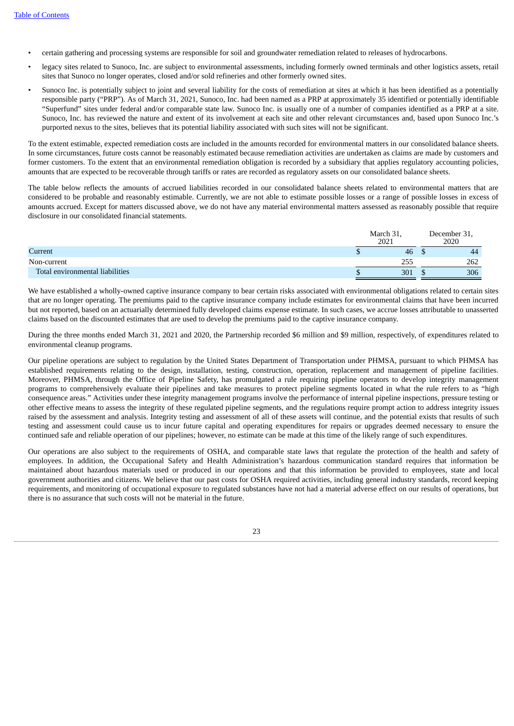- certain gathering and processing systems are responsible for soil and groundwater remediation related to releases of hydrocarbons.
- legacy sites related to Sunoco, Inc. are subject to environmental assessments, including formerly owned terminals and other logistics assets, retail sites that Sunoco no longer operates, closed and/or sold refineries and other formerly owned sites.
- Sunoco Inc. is potentially subject to joint and several liability for the costs of remediation at sites at which it has been identified as a potentially responsible party ("PRP"). As of March 31, 2021, Sunoco, Inc. had been named as a PRP at approximately 35 identified or potentially identifiable "Superfund" sites under federal and/or comparable state law. Sunoco Inc. is usually one of a number of companies identified as a PRP at a site. Sunoco, Inc. has reviewed the nature and extent of its involvement at each site and other relevant circumstances and, based upon Sunoco Inc.'s purported nexus to the sites, believes that its potential liability associated with such sites will not be significant.

To the extent estimable, expected remediation costs are included in the amounts recorded for environmental matters in our consolidated balance sheets. In some circumstances, future costs cannot be reasonably estimated because remediation activities are undertaken as claims are made by customers and former customers. To the extent that an environmental remediation obligation is recorded by a subsidiary that applies regulatory accounting policies, amounts that are expected to be recoverable through tariffs or rates are recorded as regulatory assets on our consolidated balance sheets.

The table below reflects the amounts of accrued liabilities recorded in our consolidated balance sheets related to environmental matters that are considered to be probable and reasonably estimable. Currently, we are not able to estimate possible losses or a range of possible losses in excess of amounts accrued. Except for matters discussed above, we do not have any material environmental matters assessed as reasonably possible that require disclosure in our consolidated financial statements.

|                                 | March 31.<br>2021 |  | December 31,<br>2020 |  |
|---------------------------------|-------------------|--|----------------------|--|
| Current                         | 46                |  | 44                   |  |
| Non-current                     | 255               |  | 262                  |  |
| Total environmental liabilities | 301               |  | 306                  |  |

We have established a wholly-owned captive insurance company to bear certain risks associated with environmental obligations related to certain sites that are no longer operating. The premiums paid to the captive insurance company include estimates for environmental claims that have been incurred but not reported, based on an actuarially determined fully developed claims expense estimate. In such cases, we accrue losses attributable to unasserted claims based on the discounted estimates that are used to develop the premiums paid to the captive insurance company.

During the three months ended March 31, 2021 and 2020, the Partnership recorded \$6 million and \$9 million, respectively, of expenditures related to environmental cleanup programs.

Our pipeline operations are subject to regulation by the United States Department of Transportation under PHMSA, pursuant to which PHMSA has established requirements relating to the design, installation, testing, construction, operation, replacement and management of pipeline facilities. Moreover, PHMSA, through the Office of Pipeline Safety, has promulgated a rule requiring pipeline operators to develop integrity management programs to comprehensively evaluate their pipelines and take measures to protect pipeline segments located in what the rule refers to as "high consequence areas." Activities under these integrity management programs involve the performance of internal pipeline inspections, pressure testing or other effective means to assess the integrity of these regulated pipeline segments, and the regulations require prompt action to address integrity issues raised by the assessment and analysis. Integrity testing and assessment of all of these assets will continue, and the potential exists that results of such testing and assessment could cause us to incur future capital and operating expenditures for repairs or upgrades deemed necessary to ensure the continued safe and reliable operation of our pipelines; however, no estimate can be made at this time of the likely range of such expenditures.

Our operations are also subject to the requirements of OSHA, and comparable state laws that regulate the protection of the health and safety of employees. In addition, the Occupational Safety and Health Administration's hazardous communication standard requires that information be maintained about hazardous materials used or produced in our operations and that this information be provided to employees, state and local government authorities and citizens. We believe that our past costs for OSHA required activities, including general industry standards, record keeping requirements, and monitoring of occupational exposure to regulated substances have not had a material adverse effect on our results of operations, but there is no assurance that such costs will not be material in the future.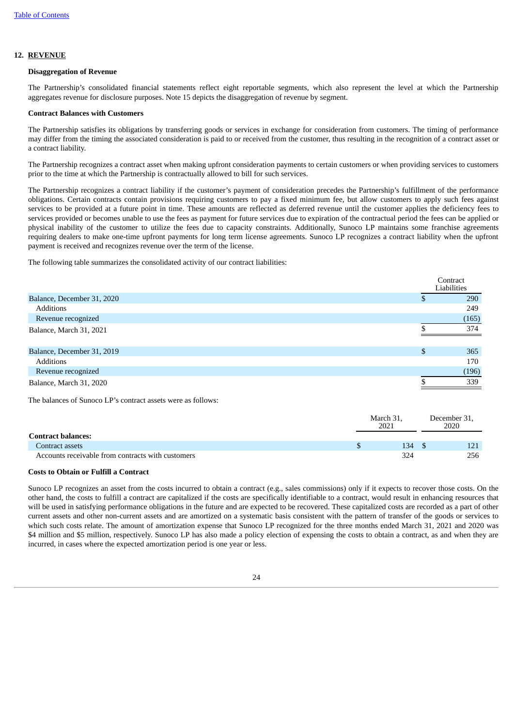## **12. REVENUE**

#### **Disaggregation of Revenue**

The Partnership's consolidated financial statements reflect eight reportable segments, which also represent the level at which the Partnership aggregates revenue for disclosure purposes. Note 15 depicts the disaggregation of revenue by segment.

#### **Contract Balances with Customers**

The Partnership satisfies its obligations by transferring goods or services in exchange for consideration from customers. The timing of performance may differ from the timing the associated consideration is paid to or received from the customer, thus resulting in the recognition of a contract asset or a contract liability.

The Partnership recognizes a contract asset when making upfront consideration payments to certain customers or when providing services to customers prior to the time at which the Partnership is contractually allowed to bill for such services.

The Partnership recognizes a contract liability if the customer's payment of consideration precedes the Partnership's fulfillment of the performance obligations. Certain contracts contain provisions requiring customers to pay a fixed minimum fee, but allow customers to apply such fees against services to be provided at a future point in time. These amounts are reflected as deferred revenue until the customer applies the deficiency fees to services provided or becomes unable to use the fees as payment for future services due to expiration of the contractual period the fees can be applied or physical inability of the customer to utilize the fees due to capacity constraints. Additionally, Sunoco LP maintains some franchise agreements requiring dealers to make one-time upfront payments for long term license agreements. Sunoco LP recognizes a contract liability when the upfront payment is received and recognizes revenue over the term of the license.

The following table summarizes the consolidated activity of our contract liabilities:

|                            | Contract<br>Liabilities |
|----------------------------|-------------------------|
| Balance, December 31, 2020 | 290                     |
| Additions                  | 249                     |
| Revenue recognized         | (165)                   |
| Balance, March 31, 2021    | 374                     |
|                            |                         |
| Balance, December 31, 2019 | \$<br>365               |
| Additions                  | 170                     |
| Revenue recognized         | (196)                   |
| Balance, March 31, 2020    | 339                     |

The balances of Sunoco LP's contract assets were as follows:

|                                                   |  | March 31,<br>2021 | December 31,<br>2020 |  |
|---------------------------------------------------|--|-------------------|----------------------|--|
| <b>Contract balances:</b>                         |  |                   |                      |  |
| Contract assets                                   |  | 134               | 121                  |  |
| Accounts receivable from contracts with customers |  | 324               | 256                  |  |

#### **Costs to Obtain or Fulfill a Contract**

Sunoco LP recognizes an asset from the costs incurred to obtain a contract (e.g., sales commissions) only if it expects to recover those costs. On the other hand, the costs to fulfill a contract are capitalized if the costs are specifically identifiable to a contract, would result in enhancing resources that will be used in satisfying performance obligations in the future and are expected to be recovered. These capitalized costs are recorded as a part of other current assets and other non-current assets and are amortized on a systematic basis consistent with the pattern of transfer of the goods or services to which such costs relate. The amount of amortization expense that Sunoco LP recognized for the three months ended March 31, 2021 and 2020 was \$4 million and \$5 million, respectively. Sunoco LP has also made a policy election of expensing the costs to obtain a contract, as and when they are incurred, in cases where the expected amortization period is one year or less.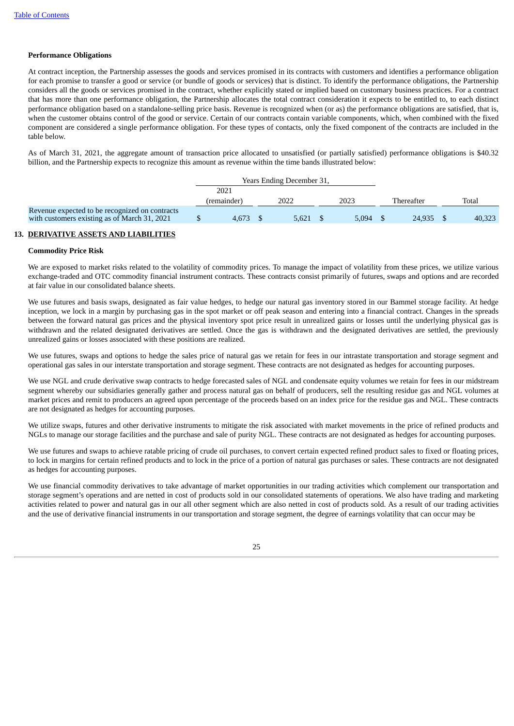#### **Performance Obligations**

At contract inception, the Partnership assesses the goods and services promised in its contracts with customers and identifies a performance obligation for each promise to transfer a good or service (or bundle of goods or services) that is distinct. To identify the performance obligations, the Partnership considers all the goods or services promised in the contract, whether explicitly stated or implied based on customary business practices. For a contract that has more than one performance obligation, the Partnership allocates the total contract consideration it expects to be entitled to, to each distinct performance obligation based on a standalone-selling price basis. Revenue is recognized when (or as) the performance obligations are satisfied, that is, when the customer obtains control of the good or service. Certain of our contracts contain variable components, which, when combined with the fixed component are considered a single performance obligation. For these types of contacts, only the fixed component of the contracts are included in the table below.

As of March 31, 2021, the aggregate amount of transaction price allocated to unsatisfied (or partially satisfied) performance obligations is \$40.32 billion, and the Partnership expects to recognize this amount as revenue within the time bands illustrated below:

|                                                                                                |             | Years Ending December 31, |       |                   |        |
|------------------------------------------------------------------------------------------------|-------------|---------------------------|-------|-------------------|--------|
|                                                                                                | 2021        |                           |       |                   |        |
|                                                                                                | (remainder) | 2022                      | 2023  | <b>Thereafter</b> | Total  |
| Revenue expected to be recognized on contracts<br>with customers existing as of March 31, 2021 | 4.673       | 5.621                     | 5.094 | 24.935            | 40,323 |

## **13. DERIVATIVE ASSETS AND LIABILITIES**

#### **Commodity Price Risk**

We are exposed to market risks related to the volatility of commodity prices. To manage the impact of volatility from these prices, we utilize various exchange-traded and OTC commodity financial instrument contracts. These contracts consist primarily of futures, swaps and options and are recorded at fair value in our consolidated balance sheets.

We use futures and basis swaps, designated as fair value hedges, to hedge our natural gas inventory stored in our Bammel storage facility. At hedge inception, we lock in a margin by purchasing gas in the spot market or off peak season and entering into a financial contract. Changes in the spreads between the forward natural gas prices and the physical inventory spot price result in unrealized gains or losses until the underlying physical gas is withdrawn and the related designated derivatives are settled. Once the gas is withdrawn and the designated derivatives are settled, the previously unrealized gains or losses associated with these positions are realized.

We use futures, swaps and options to hedge the sales price of natural gas we retain for fees in our intrastate transportation and storage segment and operational gas sales in our interstate transportation and storage segment. These contracts are not designated as hedges for accounting purposes.

We use NGL and crude derivative swap contracts to hedge forecasted sales of NGL and condensate equity volumes we retain for fees in our midstream segment whereby our subsidiaries generally gather and process natural gas on behalf of producers, sell the resulting residue gas and NGL volumes at market prices and remit to producers an agreed upon percentage of the proceeds based on an index price for the residue gas and NGL. These contracts are not designated as hedges for accounting purposes.

We utilize swaps, futures and other derivative instruments to mitigate the risk associated with market movements in the price of refined products and NGLs to manage our storage facilities and the purchase and sale of purity NGL. These contracts are not designated as hedges for accounting purposes.

We use futures and swaps to achieve ratable pricing of crude oil purchases, to convert certain expected refined product sales to fixed or floating prices, to lock in margins for certain refined products and to lock in the price of a portion of natural gas purchases or sales. These contracts are not designated as hedges for accounting purposes.

We use financial commodity derivatives to take advantage of market opportunities in our trading activities which complement our transportation and storage segment's operations and are netted in cost of products sold in our consolidated statements of operations. We also have trading and marketing activities related to power and natural gas in our all other segment which are also netted in cost of products sold. As a result of our trading activities and the use of derivative financial instruments in our transportation and storage segment, the degree of earnings volatility that can occur may be

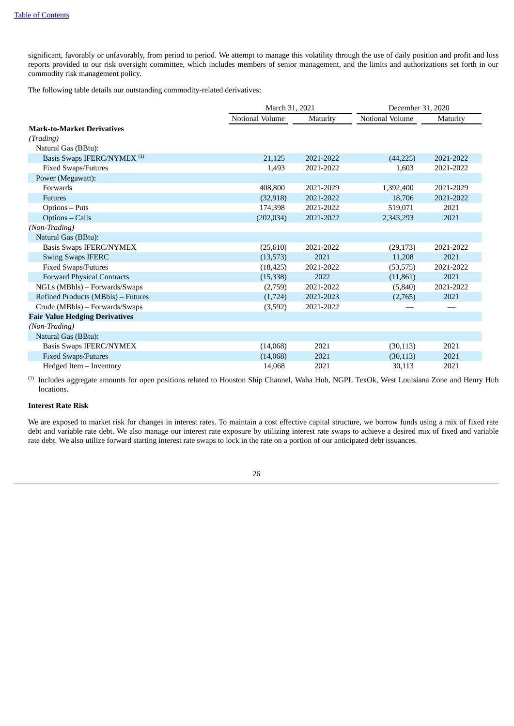significant, favorably or unfavorably, from period to period. We attempt to manage this volatility through the use of daily position and profit and loss reports provided to our risk oversight committee, which includes members of senior management, and the limits and authorizations set forth in our commodity risk management policy.

The following table details our outstanding commodity-related derivatives:

|                                        | March 31, 2021  |           | December 31, 2020 |           |
|----------------------------------------|-----------------|-----------|-------------------|-----------|
|                                        | Notional Volume | Maturity  | Notional Volume   | Maturity  |
| <b>Mark-to-Market Derivatives</b>      |                 |           |                   |           |
| (Trading)                              |                 |           |                   |           |
| Natural Gas (BBtu):                    |                 |           |                   |           |
| Basis Swaps IFERC/NYMEX <sup>(1)</sup> | 21,125          | 2021-2022 | (44, 225)         | 2021-2022 |
| <b>Fixed Swaps/Futures</b>             | 1,493           | 2021-2022 | 1,603             | 2021-2022 |
| Power (Megawatt):                      |                 |           |                   |           |
| Forwards                               | 408,800         | 2021-2029 | 1,392,400         | 2021-2029 |
| <b>Futures</b>                         | (32,918)        | 2021-2022 | 18,706            | 2021-2022 |
| Options – Puts                         | 174,398         | 2021-2022 | 519,071           | 2021      |
| <b>Options - Calls</b>                 | (202, 034)      | 2021-2022 | 2,343,293         | 2021      |
| (Non-Trading)                          |                 |           |                   |           |
| Natural Gas (BBtu):                    |                 |           |                   |           |
| Basis Swaps IFERC/NYMEX                | (25,610)        | 2021-2022 | (29, 173)         | 2021-2022 |
| <b>Swing Swaps IFERC</b>               | (13, 573)       | 2021      | 11,208            | 2021      |
| <b>Fixed Swaps/Futures</b>             | (18, 425)       | 2021-2022 | (53, 575)         | 2021-2022 |
| <b>Forward Physical Contracts</b>      | (15,338)        | 2022      | (11, 861)         | 2021      |
| NGLs (MBbls) - Forwards/Swaps          | (2,759)         | 2021-2022 | (5,840)           | 2021-2022 |
| Refined Products (MBbls) - Futures     | (1,724)         | 2021-2023 | (2,765)           | 2021      |
| Crude (MBbls) – Forwards/Swaps         | (3,592)         | 2021-2022 |                   |           |
| <b>Fair Value Hedging Derivatives</b>  |                 |           |                   |           |
| (Non-Trading)                          |                 |           |                   |           |
| Natural Gas (BBtu):                    |                 |           |                   |           |
| <b>Basis Swaps IFERC/NYMEX</b>         | (14,068)        | 2021      | (30, 113)         | 2021      |
| <b>Fixed Swaps/Futures</b>             | (14,068)        | 2021      | (30, 113)         | 2021      |
| Hedged Item - Inventory                | 14.068          | 2021      | 30.113            | 2021      |

 $<sup>(1)</sup>$  Includes aggregate amounts for open positions related to Houston Ship Channel, Waha Hub, NGPL TexOk, West Louisiana Zone and Henry Hub</sup> locations.

## **Interest Rate Risk**

We are exposed to market risk for changes in interest rates. To maintain a cost effective capital structure, we borrow funds using a mix of fixed rate debt and variable rate debt. We also manage our interest rate exposure by utilizing interest rate swaps to achieve a desired mix of fixed and variable rate debt. We also utilize forward starting interest rate swaps to lock in the rate on a portion of our anticipated debt issuances.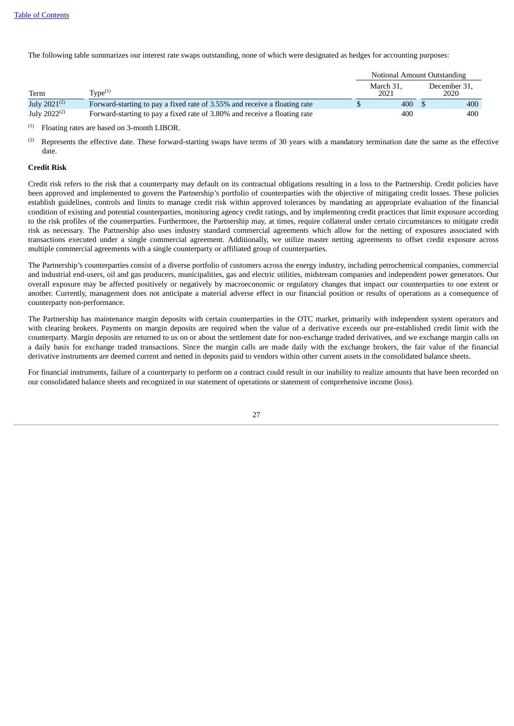The following table summarizes our interest rate swaps outstanding, none of which were designated as hedges for accounting purposes:

|                   |                                                                           | Notional Amount Outstanding |                      |
|-------------------|---------------------------------------------------------------------------|-----------------------------|----------------------|
| Term              | $T$ vpe $^{(1)}$                                                          | March 31,<br>2021           | December 31,<br>2020 |
| July $2021^{(2)}$ | Forward-starting to pay a fixed rate of 3.55% and receive a floating rate | 400                         | 400                  |
| July $2022^{(2)}$ | Forward-starting to pay a fixed rate of 3.80% and receive a floating rate | 400                         | 400                  |

Floating rates are based on 3-month LIBOR. (1)

Represents the effective date. These forward-starting swaps have terms of 30 years with a mandatory termination date the same as the effective date. (2)

#### **Credit Risk**

Credit risk refers to the risk that a counterparty may default on its contractual obligations resulting in a loss to the Partnership. Credit policies have been approved and implemented to govern the Partnership's portfolio of counterparties with the objective of mitigating credit losses. These policies establish guidelines, controls and limits to manage credit risk within approved tolerances by mandating an appropriate evaluation of the financial condition of existing and potential counterparties, monitoring agency credit ratings, and by implementing credit practices that limit exposure according to the risk profiles of the counterparties. Furthermore, the Partnership may, at times, require collateral under certain circumstances to mitigate credit risk as necessary. The Partnership also uses industry standard commercial agreements which allow for the netting of exposures associated with transactions executed under a single commercial agreement. Additionally, we utilize master netting agreements to offset credit exposure across multiple commercial agreements with a single counterparty or affiliated group of counterparties.

The Partnership's counterparties consist of a diverse portfolio of customers across the energy industry, including petrochemical companies, commercial and industrial end-users, oil and gas producers, municipalities, gas and electric utilities, midstream companies and independent power generators. Our overall exposure may be affected positively or negatively by macroeconomic or regulatory changes that impact our counterparties to one extent or another. Currently, management does not anticipate a material adverse effect in our financial position or results of operations as a consequence of counterparty non-performance.

The Partnership has maintenance margin deposits with certain counterparties in the OTC market, primarily with independent system operators and with clearing brokers. Payments on margin deposits are required when the value of a derivative exceeds our pre-established credit limit with the counterparty. Margin deposits are returned to us on or about the settlement date for non-exchange traded derivatives, and we exchange margin calls on a daily basis for exchange traded transactions. Since the margin calls are made daily with the exchange brokers, the fair value of the financial derivative instruments are deemed current and netted in deposits paid to vendors within other current assets in the consolidated balance sheets.

For financial instruments, failure of a counterparty to perform on a contract could result in our inability to realize amounts that have been recorded on our consolidated balance sheets and recognized in our statement of operations or statement of comprehensive income (loss).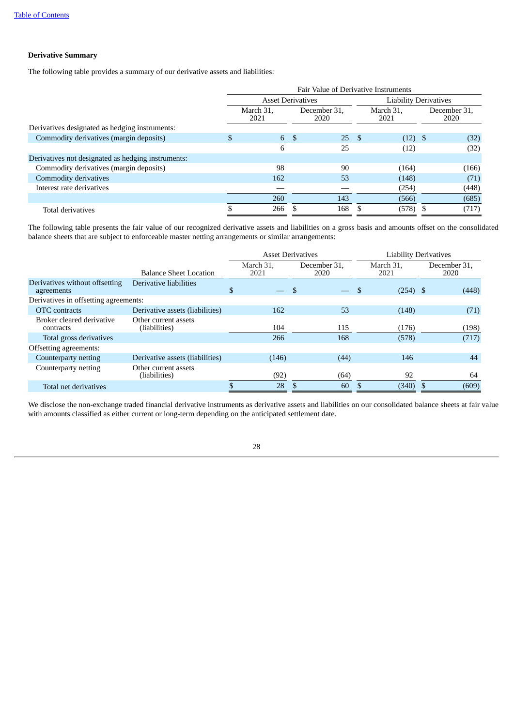## **Derivative Summary**

The following table provides a summary of our derivative assets and liabilities:

|                                                    | Fair Value of Derivative Instruments |                                           |  |     |    |                              |      |                      |  |
|----------------------------------------------------|--------------------------------------|-------------------------------------------|--|-----|----|------------------------------|------|----------------------|--|
|                                                    |                                      | <b>Asset Derivatives</b>                  |  |     |    | <b>Liability Derivatives</b> |      |                      |  |
|                                                    |                                      | March 31.<br>December 31,<br>2021<br>2020 |  |     |    | March 31.<br>2021            |      | December 31,<br>2020 |  |
| Derivatives designated as hedging instruments:     |                                      |                                           |  |     |    |                              |      |                      |  |
| Commodity derivatives (margin deposits)            |                                      | 6                                         |  | 25  | \$ | (12)                         | - \$ | (32)                 |  |
|                                                    |                                      | 6                                         |  | 25  |    | (12)                         |      | (32)                 |  |
| Derivatives not designated as hedging instruments: |                                      |                                           |  |     |    |                              |      |                      |  |
| Commodity derivatives (margin deposits)            |                                      | 98                                        |  | 90  |    | (164)                        |      | (166)                |  |
| Commodity derivatives                              |                                      | 162                                       |  | 53  |    | (148)                        |      | (71)                 |  |
| Interest rate derivatives                          |                                      |                                           |  |     |    | (254)                        |      | (448)                |  |
|                                                    |                                      | 260                                       |  | 143 |    | (566)                        |      | (685)                |  |
| Total derivatives                                  |                                      | 266                                       |  | 168 |    | (578)                        |      | (717)                |  |

The following table presents the fair value of our recognized derivative assets and liabilities on a gross basis and amounts offset on the consolidated balance sheets that are subject to enforceable master netting arrangements or similar arrangements:

|                                              |                                       | <b>Liability Derivatives</b><br><b>Asset Derivatives</b> |                   |  |                      |    |                   |               |                      |  |
|----------------------------------------------|---------------------------------------|----------------------------------------------------------|-------------------|--|----------------------|----|-------------------|---------------|----------------------|--|
|                                              | <b>Balance Sheet Location</b>         |                                                          | March 31,<br>2021 |  | December 31,<br>2020 |    | March 31,<br>2021 |               | December 31,<br>2020 |  |
| Derivatives without offsetting<br>agreements | Derivative liabilities                |                                                          |                   |  |                      | -S | $(254)$ \$        |               | (448)                |  |
| Derivatives in offsetting agreements:        |                                       |                                                          |                   |  |                      |    |                   |               |                      |  |
| <b>OTC</b> contracts                         | Derivative assets (liabilities)       |                                                          | 162               |  | 53                   |    | (148)             |               | (71)                 |  |
| Broker cleared derivative<br>contracts       | Other current assets<br>(liabilities) |                                                          | 104               |  | 115                  |    | (176)             |               | (198)                |  |
| Total gross derivatives                      |                                       |                                                          | 266               |  | 168                  |    | (578)             |               | (717)                |  |
| Offsetting agreements:                       |                                       |                                                          |                   |  |                      |    |                   |               |                      |  |
| Counterparty netting                         | Derivative assets (liabilities)       |                                                          | (146)             |  | (44)                 |    | 146               |               | 44                   |  |
| Counterparty netting                         | Other current assets<br>(liabilities) |                                                          | (92)              |  | (64)                 |    | 92                |               | 64                   |  |
| Total net derivatives                        |                                       |                                                          | 28                |  | 60                   |    | (340)             | <sup>\$</sup> | (609)                |  |

We disclose the non-exchange traded financial derivative instruments as derivative assets and liabilities on our consolidated balance sheets at fair value with amounts classified as either current or long-term depending on the anticipated settlement date.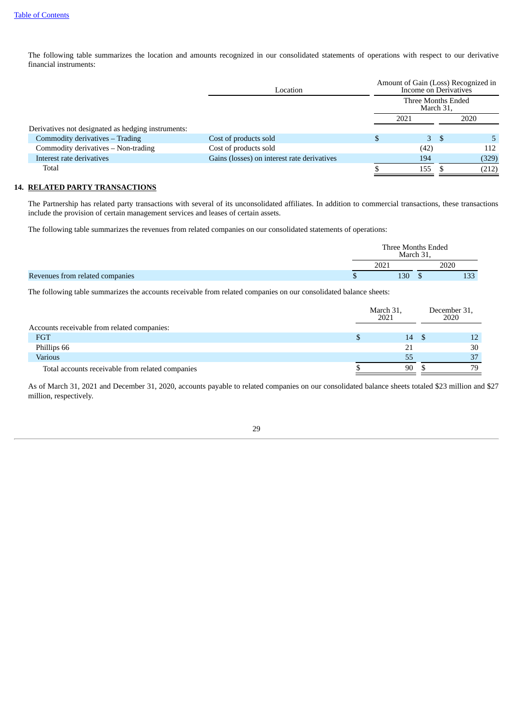The following table summarizes the location and amounts recognized in our consolidated statements of operations with respect to our derivative financial instruments:

|                                                    | Location                                    |   | Income on Derivatives |           | Amount of Gain (Loss) Recognized in |
|----------------------------------------------------|---------------------------------------------|---|-----------------------|-----------|-------------------------------------|
|                                                    |                                             |   | Three Months Ended    | March 31. |                                     |
|                                                    |                                             |   | 2021                  |           | 2020                                |
| Derivatives not designated as hedging instruments: |                                             |   |                       |           |                                     |
| Commodity derivatives - Trading                    | Cost of products sold                       | æ | 3S                    |           |                                     |
| Commodity derivatives - Non-trading                | Cost of products sold                       |   | (42)                  |           | 112                                 |
| Interest rate derivatives                          | Gains (losses) on interest rate derivatives |   | 194                   |           | (329)                               |
| Total                                              |                                             |   | 155                   |           | (212)                               |
|                                                    |                                             |   |                       |           |                                     |

## **14. RELATED PARTY TRANSACTIONS**

The Partnership has related party transactions with several of its unconsolidated affiliates. In addition to commercial transactions, these transactions include the provision of certain management services and leases of certain assets.

The following table summarizes the revenues from related companies on our consolidated statements of operations:

|                                 |  | Three Months Ended<br>March 31 |  |      |     |  |  |
|---------------------------------|--|--------------------------------|--|------|-----|--|--|
|                                 |  | 2021                           |  | 2020 |     |  |  |
| Revenues from related companies |  | 130                            |  |      | 133 |  |  |

The following table summarizes the accounts receivable from related companies on our consolidated balance sheets:

|                                                  | March 31,<br>2021 | December 31,<br>2020 |    |  |
|--------------------------------------------------|-------------------|----------------------|----|--|
| Accounts receivable from related companies:      |                   |                      |    |  |
| <b>FGT</b>                                       | 14                |                      | 12 |  |
| Phillips 66                                      | 21                |                      | 30 |  |
| <b>Various</b>                                   | 55                |                      | 37 |  |
| Total accounts receivable from related companies | 90                |                      | 79 |  |
|                                                  |                   |                      |    |  |

As of March 31, 2021 and December 31, 2020, accounts payable to related companies on our consolidated balance sheets totaled \$23 million and \$27 million, respectively.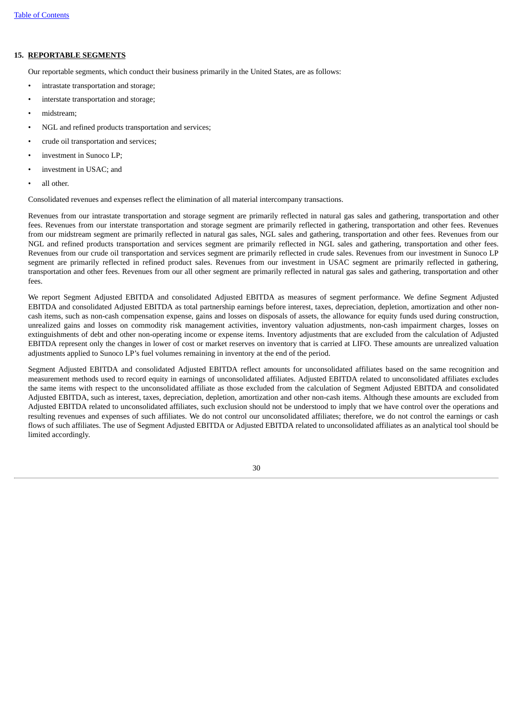## **15. REPORTABLE SEGMENTS**

Our reportable segments, which conduct their business primarily in the United States, are as follows:

- intrastate transportation and storage;
- interstate transportation and storage;
- midstream;
- NGL and refined products transportation and services;
- crude oil transportation and services;
- investment in Sunoco LP;
- investment in USAC; and
- all other.

Consolidated revenues and expenses reflect the elimination of all material intercompany transactions.

Revenues from our intrastate transportation and storage segment are primarily reflected in natural gas sales and gathering, transportation and other fees. Revenues from our interstate transportation and storage segment are primarily reflected in gathering, transportation and other fees. Revenues from our midstream segment are primarily reflected in natural gas sales, NGL sales and gathering, transportation and other fees. Revenues from our NGL and refined products transportation and services segment are primarily reflected in NGL sales and gathering, transportation and other fees. Revenues from our crude oil transportation and services segment are primarily reflected in crude sales. Revenues from our investment in Sunoco LP segment are primarily reflected in refined product sales. Revenues from our investment in USAC segment are primarily reflected in gathering, transportation and other fees. Revenues from our all other segment are primarily reflected in natural gas sales and gathering, transportation and other fees.

We report Segment Adjusted EBITDA and consolidated Adjusted EBITDA as measures of segment performance. We define Segment Adjusted EBITDA and consolidated Adjusted EBITDA as total partnership earnings before interest, taxes, depreciation, depletion, amortization and other noncash items, such as non-cash compensation expense, gains and losses on disposals of assets, the allowance for equity funds used during construction, unrealized gains and losses on commodity risk management activities, inventory valuation adjustments, non-cash impairment charges, losses on extinguishments of debt and other non-operating income or expense items. Inventory adjustments that are excluded from the calculation of Adjusted EBITDA represent only the changes in lower of cost or market reserves on inventory that is carried at LIFO. These amounts are unrealized valuation adjustments applied to Sunoco LP's fuel volumes remaining in inventory at the end of the period.

Segment Adjusted EBITDA and consolidated Adjusted EBITDA reflect amounts for unconsolidated affiliates based on the same recognition and measurement methods used to record equity in earnings of unconsolidated affiliates. Adjusted EBITDA related to unconsolidated affiliates excludes the same items with respect to the unconsolidated affiliate as those excluded from the calculation of Segment Adjusted EBITDA and consolidated Adjusted EBITDA, such as interest, taxes, depreciation, depletion, amortization and other non-cash items. Although these amounts are excluded from Adjusted EBITDA related to unconsolidated affiliates, such exclusion should not be understood to imply that we have control over the operations and resulting revenues and expenses of such affiliates. We do not control our unconsolidated affiliates; therefore, we do not control the earnings or cash flows of such affiliates. The use of Segment Adjusted EBITDA or Adjusted EBITDA related to unconsolidated affiliates as an analytical tool should be limited accordingly.

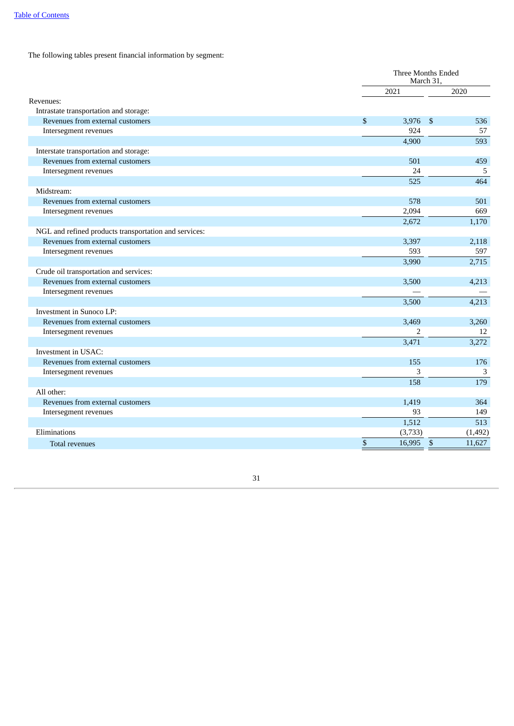The following tables present financial information by segment:

|                                                       |              | Three Months Ended<br>March 31,  |
|-------------------------------------------------------|--------------|----------------------------------|
|                                                       | 2021         | 2020                             |
| Revenues:                                             |              |                                  |
| Intrastate transportation and storage:                |              |                                  |
| Revenues from external customers                      | \$<br>3,976  | $\boldsymbol{\mathsf{S}}$<br>536 |
| Intersegment revenues                                 | 924          | 57                               |
|                                                       | 4.900        | 593                              |
| Interstate transportation and storage:                |              |                                  |
| Revenues from external customers                      | 501          | 459                              |
| Intersegment revenues                                 | 24           | 5                                |
|                                                       | 525          | 464                              |
| Midstream:                                            |              |                                  |
| Revenues from external customers                      | 578          | 501                              |
| Intersegment revenues                                 | 2,094        | 669                              |
|                                                       | 2,672        | 1,170                            |
| NGL and refined products transportation and services: |              |                                  |
| Revenues from external customers                      | 3,397        | 2,118                            |
| Intersegment revenues                                 | 593          | 597                              |
|                                                       | 3,990        | 2,715                            |
| Crude oil transportation and services:                |              |                                  |
| Revenues from external customers                      | 3,500        | 4,213                            |
| Intersegment revenues                                 |              |                                  |
|                                                       | 3,500        | 4,213                            |
| Investment in Sunoco LP:                              |              |                                  |
| Revenues from external customers                      | 3,469        | 3,260                            |
| Intersegment revenues                                 | 2            | 12                               |
|                                                       | 3,471        | 3,272                            |
| Investment in USAC:                                   |              |                                  |
| Revenues from external customers                      | 155          | 176                              |
| Intersegment revenues                                 | 3            | 3                                |
|                                                       | 158          | 179                              |
| All other:                                            |              |                                  |
| Revenues from external customers                      | 1,419        | 364                              |
| Intersegment revenues                                 | 93           | 149                              |
|                                                       | 1,512        | 513                              |
| Eliminations                                          | (3,733)      | (1, 492)                         |
| Total revenues                                        | \$<br>16,995 | $\mathbb S$<br>11,627            |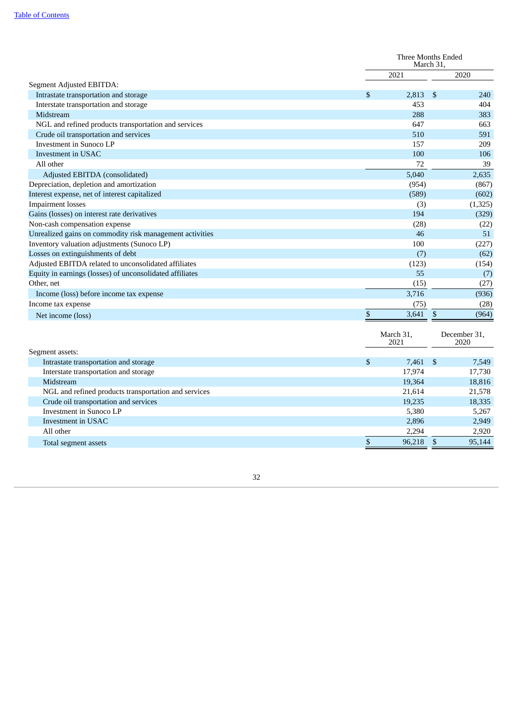|                                                          |             | Three Months Ended<br>March 31, |         |  |
|----------------------------------------------------------|-------------|---------------------------------|---------|--|
|                                                          | 2021        |                                 | 2020    |  |
| Segment Adjusted EBITDA:                                 |             |                                 |         |  |
| Intrastate transportation and storage                    | \$<br>2.813 | -S                              | 240     |  |
| Interstate transportation and storage                    | 453         |                                 | 404     |  |
| Midstream                                                | 288         |                                 | 383     |  |
| NGL and refined products transportation and services     | 647         |                                 | 663     |  |
| Crude oil transportation and services                    | 510         |                                 | 591     |  |
| <b>Investment</b> in Sunoco LP                           | 157         |                                 | 209     |  |
| Investment in USAC                                       | 100         |                                 | 106     |  |
| All other                                                | 72          |                                 | 39      |  |
| Adjusted EBITDA (consolidated)                           | 5,040       |                                 | 2,635   |  |
| Depreciation, depletion and amortization                 | (954)       |                                 | (867)   |  |
| Interest expense, net of interest capitalized            | (589)       |                                 | (602)   |  |
| <b>Impairment</b> losses                                 | (3)         |                                 | (1,325) |  |
| Gains (losses) on interest rate derivatives              | 194         |                                 | (329)   |  |
| Non-cash compensation expense                            | (28)        |                                 | (22)    |  |
| Unrealized gains on commodity risk management activities | 46          |                                 | 51      |  |
| Inventory valuation adjustments (Sunoco LP)              | 100         |                                 | (227)   |  |
| Losses on extinguishments of debt                        | (7)         |                                 | (62)    |  |
| Adjusted EBITDA related to unconsolidated affiliates     | (123)       |                                 | (154)   |  |
| Equity in earnings (losses) of unconsolidated affiliates | 55          |                                 | (7)     |  |
| Other, net                                               | (15)        |                                 | (27)    |  |
| Income (loss) before income tax expense                  | 3,716       |                                 | (936)   |  |
| Income tax expense                                       | (75)        |                                 | (28)    |  |
| Net income (loss)                                        | \$<br>3,641 | S                               | (964)   |  |
|                                                          |             |                                 |         |  |

<span id="page-35-0"></span>

| 7,549  |
|--------|
| 17,730 |
| 18,816 |
| 21,578 |
| 18,335 |
| 5,267  |
| 2,949  |
| 2,920  |
| 95,144 |
|        |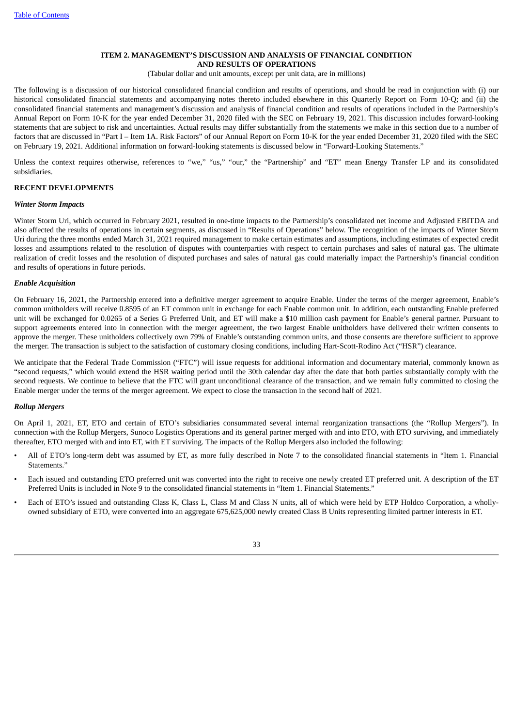## **ITEM 2. MANAGEMENT'S DISCUSSION AND ANALYSIS OF FINANCIAL CONDITION AND RESULTS OF OPERATIONS**

(Tabular dollar and unit amounts, except per unit data, are in millions)

The following is a discussion of our historical consolidated financial condition and results of operations, and should be read in conjunction with (i) our historical consolidated financial statements and accompanying notes thereto included elsewhere in this Quarterly Report on Form 10-Q; and (ii) the consolidated financial statements and management's discussion and analysis of financial condition and results of operations included in the Partnership's Annual Report on Form 10-K for the year ended December 31, 2020 filed with the SEC on February 19, 2021. This discussion includes forward-looking statements that are subject to risk and uncertainties. Actual results may differ substantially from the statements we make in this section due to a number of factors that are discussed in "Part I – Item 1A. Risk Factors" of our Annual Report on Form 10-K for the year ended December 31, 2020 filed with the SEC on February 19, 2021. Additional information on forward-looking statements is discussed below in "Forward-Looking Statements."

Unless the context requires otherwise, references to "we," "us," "our," the "Partnership" and "ET" mean Energy Transfer LP and its consolidated subsidiaries.

## **RECENT DEVELOPMENTS**

#### *Winter Storm Impacts*

Winter Storm Uri, which occurred in February 2021, resulted in one-time impacts to the Partnership's consolidated net income and Adjusted EBITDA and also affected the results of operations in certain segments, as discussed in "Results of Operations" below. The recognition of the impacts of Winter Storm Uri during the three months ended March 31, 2021 required management to make certain estimates and assumptions, including estimates of expected credit losses and assumptions related to the resolution of disputes with counterparties with respect to certain purchases and sales of natural gas. The ultimate realization of credit losses and the resolution of disputed purchases and sales of natural gas could materially impact the Partnership's financial condition and results of operations in future periods.

#### *Enable Acquisition*

On February 16, 2021, the Partnership entered into a definitive merger agreement to acquire Enable. Under the terms of the merger agreement, Enable's common unitholders will receive 0.8595 of an ET common unit in exchange for each Enable common unit. In addition, each outstanding Enable preferred unit will be exchanged for 0.0265 of a Series G Preferred Unit, and ET will make a \$10 million cash payment for Enable's general partner. Pursuant to support agreements entered into in connection with the merger agreement, the two largest Enable unitholders have delivered their written consents to approve the merger. These unitholders collectively own 79% of Enable's outstanding common units, and those consents are therefore sufficient to approve the merger. The transaction is subject to the satisfaction of customary closing conditions, including Hart-Scott-Rodino Act ("HSR") clearance.

We anticipate that the Federal Trade Commission ("FTC") will issue requests for additional information and documentary material, commonly known as "second requests," which would extend the HSR waiting period until the 30th calendar day after the date that both parties substantially comply with the second requests. We continue to believe that the FTC will grant unconditional clearance of the transaction, and we remain fully committed to closing the Enable merger under the terms of the merger agreement. We expect to close the transaction in the second half of 2021.

#### *Rollup Mergers*

On April 1, 2021, ET, ETO and certain of ETO's subsidiaries consummated several internal reorganization transactions (the "Rollup Mergers"). In connection with the Rollup Mergers, Sunoco Logistics Operations and its general partner merged with and into ETO, with ETO surviving, and immediately thereafter, ETO merged with and into ET, with ET surviving. The impacts of the Rollup Mergers also included the following:

- All of ETO's long-term debt was assumed by ET, as more fully described in Note 7 to the consolidated financial statements in "Item 1. Financial Statements<sup>"</sup>
- Each issued and outstanding ETO preferred unit was converted into the right to receive one newly created ET preferred unit. A description of the ET Preferred Units is included in Note 9 to the consolidated financial statements in "Item 1. Financial Statements."
- Each of ETO's issued and outstanding Class K, Class L, Class M and Class N units, all of which were held by ETP Holdco Corporation, a whollyowned subsidiary of ETO, were converted into an aggregate 675,625,000 newly created Class B Units representing limited partner interests in ET.

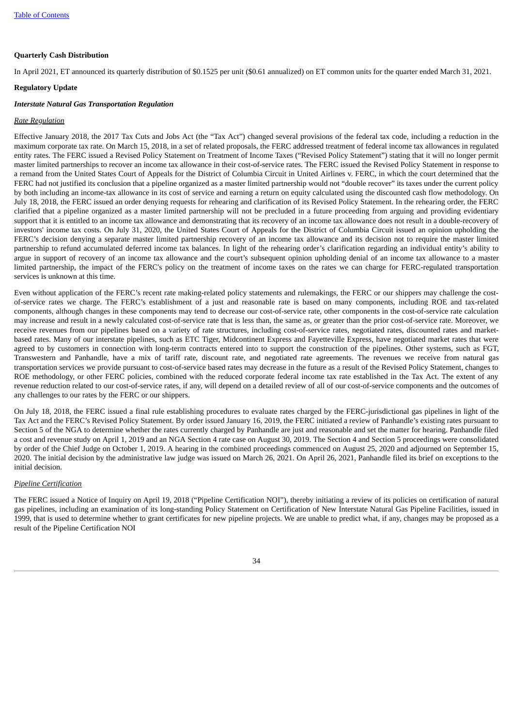## **Quarterly Cash Distribution**

In April 2021, ET announced its quarterly distribution of \$0.1525 per unit (\$0.61 annualized) on ET common units for the quarter ended March 31, 2021.

## **Regulatory Update**

#### *Interstate Natural Gas Transportation Regulation*

#### *Rate Regulation*

Effective January 2018, the 2017 Tax Cuts and Jobs Act (the "Tax Act") changed several provisions of the federal tax code, including a reduction in the maximum corporate tax rate. On March 15, 2018, in a set of related proposals, the FERC addressed treatment of federal income tax allowances in regulated entity rates. The FERC issued a Revised Policy Statement on Treatment of Income Taxes ("Revised Policy Statement") stating that it will no longer permit master limited partnerships to recover an income tax allowance in their cost-of-service rates. The FERC issued the Revised Policy Statement in response to a remand from the United States Court of Appeals for the District of Columbia Circuit in United Airlines v. FERC, in which the court determined that the FERC had not justified its conclusion that a pipeline organized as a master limited partnership would not "double recover" its taxes under the current policy by both including an income-tax allowance in its cost of service and earning a return on equity calculated using the discounted cash flow methodology. On July 18, 2018, the FERC issued an order denying requests for rehearing and clarification of its Revised Policy Statement. In the rehearing order, the FERC clarified that a pipeline organized as a master limited partnership will not be precluded in a future proceeding from arguing and providing evidentiary support that it is entitled to an income tax allowance and demonstrating that its recovery of an income tax allowance does not result in a double-recovery of investors' income tax costs. On July 31, 2020, the United States Court of Appeals for the District of Columbia Circuit issued an opinion upholding the FERC's decision denying a separate master limited partnership recovery of an income tax allowance and its decision not to require the master limited partnership to refund accumulated deferred income tax balances. In light of the rehearing order's clarification regarding an individual entity's ability to argue in support of recovery of an income tax allowance and the court's subsequent opinion upholding denial of an income tax allowance to a master limited partnership, the impact of the FERC's policy on the treatment of income taxes on the rates we can charge for FERC-regulated transportation services is unknown at this time.

Even without application of the FERC's recent rate making-related policy statements and rulemakings, the FERC or our shippers may challenge the costof-service rates we charge. The FERC's establishment of a just and reasonable rate is based on many components, including ROE and tax-related components, although changes in these components may tend to decrease our cost-of-service rate, other components in the cost-of-service rate calculation may increase and result in a newly calculated cost-of-service rate that is less than, the same as, or greater than the prior cost-of-service rate. Moreover, we receive revenues from our pipelines based on a variety of rate structures, including cost-of-service rates, negotiated rates, discounted rates and marketbased rates. Many of our interstate pipelines, such as ETC Tiger, Midcontinent Express and Fayetteville Express, have negotiated market rates that were agreed to by customers in connection with long-term contracts entered into to support the construction of the pipelines. Other systems, such as FGT, Transwestern and Panhandle, have a mix of tariff rate, discount rate, and negotiated rate agreements. The revenues we receive from natural gas transportation services we provide pursuant to cost-of-service based rates may decrease in the future as a result of the Revised Policy Statement, changes to ROE methodology, or other FERC policies, combined with the reduced corporate federal income tax rate established in the Tax Act. The extent of any revenue reduction related to our cost-of-service rates, if any, will depend on a detailed review of all of our cost-of-service components and the outcomes of any challenges to our rates by the FERC or our shippers.

On July 18, 2018, the FERC issued a final rule establishing procedures to evaluate rates charged by the FERC-jurisdictional gas pipelines in light of the Tax Act and the FERC's Revised Policy Statement. By order issued January 16, 2019, the FERC initiated a review of Panhandle's existing rates pursuant to Section 5 of the NGA to determine whether the rates currently charged by Panhandle are just and reasonable and set the matter for hearing. Panhandle filed a cost and revenue study on April 1, 2019 and an NGA Section 4 rate case on August 30, 2019. The Section 4 and Section 5 proceedings were consolidated by order of the Chief Judge on October 1, 2019. A hearing in the combined proceedings commenced on August 25, 2020 and adjourned on September 15, 2020. The initial decision by the administrative law judge was issued on March 26, 2021. On April 26, 2021, Panhandle filed its brief on exceptions to the initial decision.

## *Pipeline Certification*

The FERC issued a Notice of Inquiry on April 19, 2018 ("Pipeline Certification NOI"), thereby initiating a review of its policies on certification of natural gas pipelines, including an examination of its long-standing Policy Statement on Certification of New Interstate Natural Gas Pipeline Facilities, issued in 1999, that is used to determine whether to grant certificates for new pipeline projects. We are unable to predict what, if any, changes may be proposed as a result of the Pipeline Certification NOI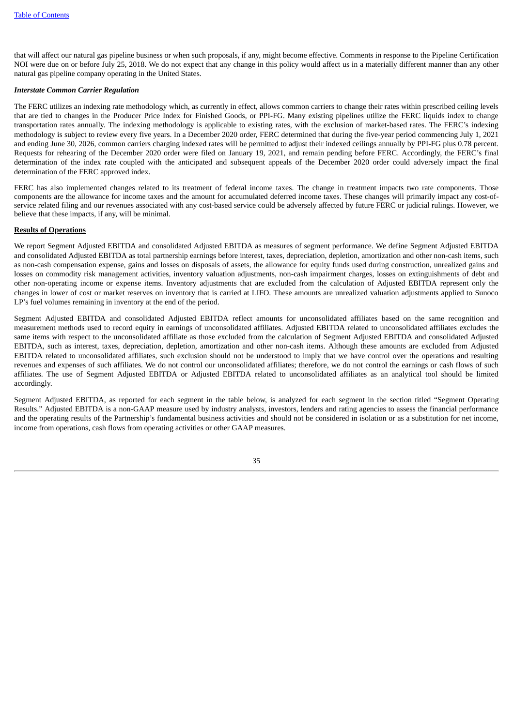that will affect our natural gas pipeline business or when such proposals, if any, might become effective. Comments in response to the Pipeline Certification NOI were due on or before July 25, 2018. We do not expect that any change in this policy would affect us in a materially different manner than any other natural gas pipeline company operating in the United States.

## *Interstate Common Carrier Regulation*

The FERC utilizes an indexing rate methodology which, as currently in effect, allows common carriers to change their rates within prescribed ceiling levels that are tied to changes in the Producer Price Index for Finished Goods, or PPI-FG. Many existing pipelines utilize the FERC liquids index to change transportation rates annually. The indexing methodology is applicable to existing rates, with the exclusion of market-based rates. The FERC's indexing methodology is subject to review every five years. In a December 2020 order, FERC determined that during the five-year period commencing July 1, 2021 and ending June 30, 2026, common carriers charging indexed rates will be permitted to adjust their indexed ceilings annually by PPI-FG plus 0.78 percent. Requests for rehearing of the December 2020 order were filed on January 19, 2021, and remain pending before FERC. Accordingly, the FERC's final determination of the index rate coupled with the anticipated and subsequent appeals of the December 2020 order could adversely impact the final determination of the FERC approved index.

FERC has also implemented changes related to its treatment of federal income taxes. The change in treatment impacts two rate components. Those components are the allowance for income taxes and the amount for accumulated deferred income taxes. These changes will primarily impact any cost-ofservice related filing and our revenues associated with any cost-based service could be adversely affected by future FERC or judicial rulings. However, we believe that these impacts, if any, will be minimal.

#### **Results of Operations**

We report Segment Adjusted EBITDA and consolidated Adjusted EBITDA as measures of segment performance. We define Segment Adjusted EBITDA and consolidated Adjusted EBITDA as total partnership earnings before interest, taxes, depreciation, depletion, amortization and other non-cash items, such as non-cash compensation expense, gains and losses on disposals of assets, the allowance for equity funds used during construction, unrealized gains and losses on commodity risk management activities, inventory valuation adjustments, non-cash impairment charges, losses on extinguishments of debt and other non-operating income or expense items. Inventory adjustments that are excluded from the calculation of Adjusted EBITDA represent only the changes in lower of cost or market reserves on inventory that is carried at LIFO. These amounts are unrealized valuation adjustments applied to Sunoco LP's fuel volumes remaining in inventory at the end of the period.

Segment Adjusted EBITDA and consolidated Adjusted EBITDA reflect amounts for unconsolidated affiliates based on the same recognition and measurement methods used to record equity in earnings of unconsolidated affiliates. Adjusted EBITDA related to unconsolidated affiliates excludes the same items with respect to the unconsolidated affiliate as those excluded from the calculation of Segment Adjusted EBITDA and consolidated Adjusted EBITDA, such as interest, taxes, depreciation, depletion, amortization and other non-cash items. Although these amounts are excluded from Adjusted EBITDA related to unconsolidated affiliates, such exclusion should not be understood to imply that we have control over the operations and resulting revenues and expenses of such affiliates. We do not control our unconsolidated affiliates; therefore, we do not control the earnings or cash flows of such affiliates. The use of Segment Adjusted EBITDA or Adjusted EBITDA related to unconsolidated affiliates as an analytical tool should be limited accordingly.

Segment Adjusted EBITDA, as reported for each segment in the table below, is analyzed for each segment in the section titled "Segment Operating Results." Adjusted EBITDA is a non-GAAP measure used by industry analysts, investors, lenders and rating agencies to assess the financial performance and the operating results of the Partnership's fundamental business activities and should not be considered in isolation or as a substitution for net income, income from operations, cash flows from operating activities or other GAAP measures.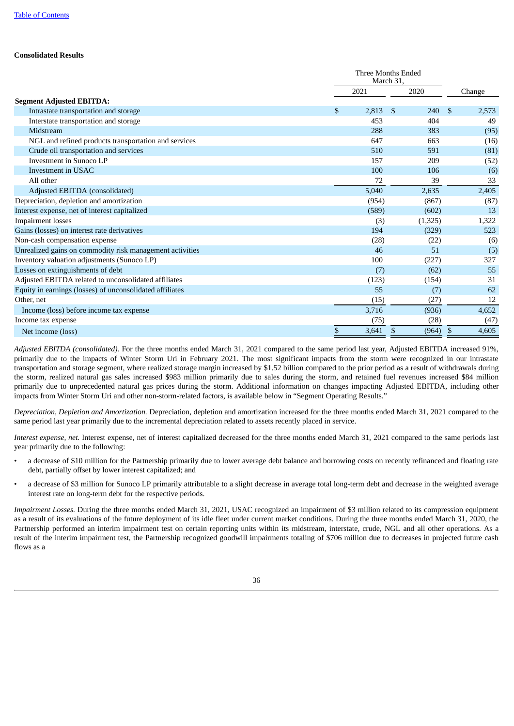## **Consolidated Results**

|                                                          |              | March 31, | Three Months Ended   |             |
|----------------------------------------------------------|--------------|-----------|----------------------|-------------|
|                                                          |              | 2021      | 2020                 | Change      |
| <b>Segment Adjusted EBITDA:</b>                          |              |           |                      |             |
| Intrastate transportation and storage                    | $\mathbb{S}$ | 2,813     | <sup>\$</sup><br>240 | \$<br>2,573 |
| Interstate transportation and storage                    |              | 453       | 404                  | 49          |
| Midstream                                                |              | 288       | 383                  | (95)        |
| NGL and refined products transportation and services     |              | 647       | 663                  | (16)        |
| Crude oil transportation and services                    |              | 510       | 591                  | (81)        |
| Investment in Sunoco LP                                  |              | 157       | 209                  | (52)        |
| Investment in USAC                                       |              | 100       | 106                  | (6)         |
| All other                                                |              | 72        | 39                   | 33          |
| Adjusted EBITDA (consolidated)                           |              | 5,040     | 2,635                | 2,405       |
| Depreciation, depletion and amortization                 |              | (954)     | (867)                | (87)        |
| Interest expense, net of interest capitalized            |              | (589)     | (602)                | 13          |
| <b>Impairment losses</b>                                 |              | (3)       | (1, 325)             | 1,322       |
| Gains (losses) on interest rate derivatives              |              | 194       | (329)                | 523         |
| Non-cash compensation expense                            |              | (28)      | (22)                 | (6)         |
| Unrealized gains on commodity risk management activities |              | 46        | 51                   | (5)         |
| Inventory valuation adjustments (Sunoco LP)              |              | 100       | (227)                | 327         |
| Losses on extinguishments of debt                        |              | (7)       | (62)                 | 55          |
| Adjusted EBITDA related to unconsolidated affiliates     |              | (123)     | (154)                | 31          |
| Equity in earnings (losses) of unconsolidated affiliates |              | 55        | (7)                  | 62          |
| Other, net                                               |              | (15)      | (27)                 | 12          |
| Income (loss) before income tax expense                  |              | 3,716     | (936)                | 4,652       |
| Income tax expense                                       |              | (75)      | (28)                 | (47)        |
| Net income (loss)                                        | \$           | 3,641     | \$<br>(964)          | \$<br>4,605 |

*Adjusted EBITDA (consolidated).* For the three months ended March 31, 2021 compared to the same period last year, Adjusted EBITDA increased 91%, primarily due to the impacts of Winter Storm Uri in February 2021. The most significant impacts from the storm were recognized in our intrastate transportation and storage segment, where realized storage margin increased by \$1.52 billion compared to the prior period as a result of withdrawals during the storm, realized natural gas sales increased \$983 million primarily due to sales during the storm, and retained fuel revenues increased \$84 million primarily due to unprecedented natural gas prices during the storm. Additional information on changes impacting Adjusted EBITDA, including other impacts from Winter Storm Uri and other non-storm-related factors, is available below in "Segment Operating Results."

*Depreciation, Depletion and Amortization.* Depreciation, depletion and amortization increased for the three months ended March 31, 2021 compared to the same period last year primarily due to the incremental depreciation related to assets recently placed in service.

*Interest expense, net.* Interest expense, net of interest capitalized decreased for the three months ended March 31, 2021 compared to the same periods last year primarily due to the following:

- a decrease of \$10 million for the Partnership primarily due to lower average debt balance and borrowing costs on recently refinanced and floating rate debt, partially offset by lower interest capitalized; and
- a decrease of \$3 million for Sunoco LP primarily attributable to a slight decrease in average total long-term debt and decrease in the weighted average interest rate on long-term debt for the respective periods.

*Impairment Losses.* During the three months ended March 31, 2021, USAC recognized an impairment of \$3 million related to its compression equipment as a result of its evaluations of the future deployment of its idle fleet under current market conditions. During the three months ended March 31, 2020, the Partnership performed an interim impairment test on certain reporting units within its midstream, interstate, crude, NGL and all other operations. As a result of the interim impairment test, the Partnership recognized goodwill impairments totaling of \$706 million due to decreases in projected future cash flows as a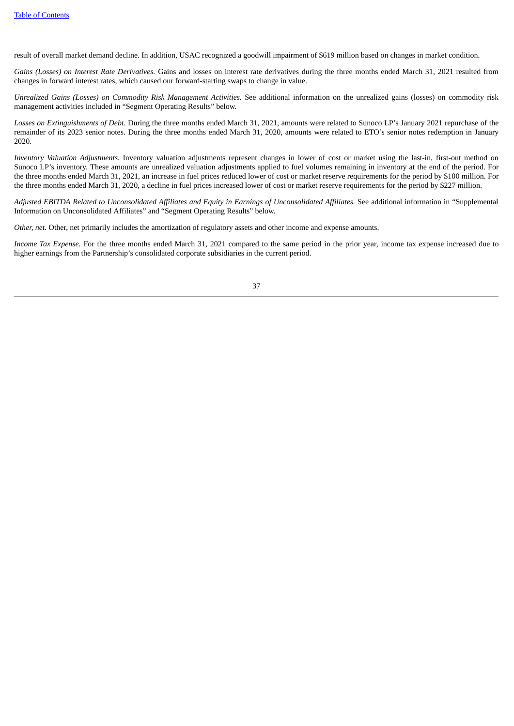result of overall market demand decline. In addition, USAC recognized a goodwill impairment of \$619 million based on changes in market condition.

*Gains (Losses) on Interest Rate Derivatives.* Gains and losses on interest rate derivatives during the three months ended March 31, 2021 resulted from changes in forward interest rates, which caused our forward-starting swaps to change in value.

*Unrealized Gains (Losses) on Commodity Risk Management Activities.* See additional information on the unrealized gains (losses) on commodity risk management activities included in "Segment Operating Results" below.

*Losses on Extinguishments of Debt.* During the three months ended March 31, 2021, amounts were related to Sunoco LP's January 2021 repurchase of the remainder of its 2023 senior notes. During the three months ended March 31, 2020, amounts were related to ETO's senior notes redemption in January 2020.

*Inventory Valuation Adjustments.* Inventory valuation adjustments represent changes in lower of cost or market using the last-in, first-out method on Sunoco LP's inventory. These amounts are unrealized valuation adjustments applied to fuel volumes remaining in inventory at the end of the period. For the three months ended March 31, 2021, an increase in fuel prices reduced lower of cost or market reserve requirements for the period by \$100 million. For the three months ended March 31, 2020, a decline in fuel prices increased lower of cost or market reserve requirements for the period by \$227 million.

Adjusted EBITDA Related to Unconsolidated Affiliates and Equity in Earnings of Unconsolidated Affiliates. See additional information in "Supplemental Information on Unconsolidated Affiliates" and "Segment Operating Results" below.

*Other, net.* Other, net primarily includes the amortization of regulatory assets and other income and expense amounts.

*Income Tax Expense.* For the three months ended March 31, 2021 compared to the same period in the prior year, income tax expense increased due to higher earnings from the Partnership's consolidated corporate subsidiaries in the current period.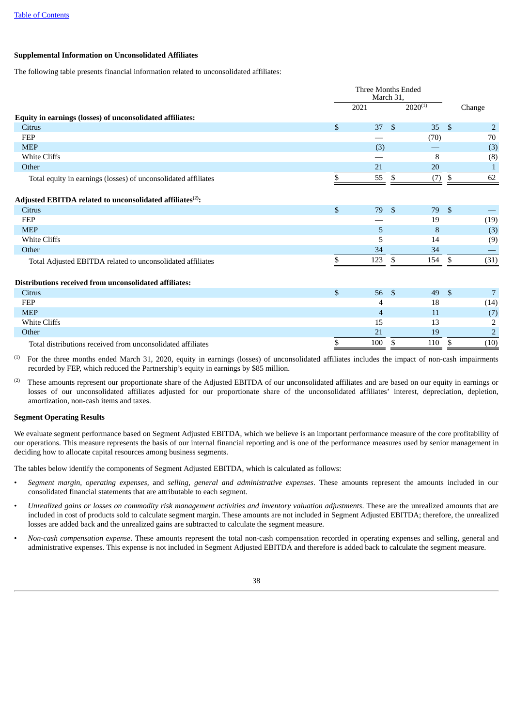## **Supplemental Information on Unconsolidated Affiliates**

The following table presents financial information related to unconsolidated affiliates:

|                                                                 | Three Months Ended<br>March 31, |                    |              |                    |                |
|-----------------------------------------------------------------|---------------------------------|--------------------|--------------|--------------------|----------------|
|                                                                 | 2021                            |                    | $2020^{(1)}$ |                    | Change         |
| Equity in earnings (losses) of unconsolidated affiliates:       |                                 |                    |              |                    |                |
| Citrus                                                          | \$<br>37                        | $\mathbb{S}$       | 35           | $\mathbf{\hat{S}}$ | $\overline{2}$ |
| <b>FEP</b>                                                      |                                 |                    | (70)         |                    | 70             |
| <b>MEP</b>                                                      | (3)                             |                    |              |                    | (3)            |
| <b>White Cliffs</b>                                             |                                 |                    | 8            |                    | (8)            |
| Other                                                           | 21                              |                    | 20           |                    | $\mathbf{1}$   |
| Total equity in earnings (losses) of unconsolidated affiliates  | \$<br>55                        | \$                 | (7)          | \$                 | 62             |
| Adjusted EBITDA related to unconsolidated affiliates $^{(2)}$ : |                                 |                    |              |                    |                |
| Citrus                                                          | \$<br>79                        | $\mathbf{\hat{S}}$ | 79           | \$                 |                |
| <b>FEP</b>                                                      |                                 |                    | 19           |                    | (19)           |
| <b>MEP</b>                                                      | 5                               |                    | 8            |                    | (3)            |
| <b>White Cliffs</b>                                             | 5                               |                    | 14           |                    | (9)            |
| Other                                                           | 34                              |                    | 34           |                    |                |
| Total Adjusted EBITDA related to unconsolidated affiliates      | \$<br>123                       | \$                 | 154          | \$                 | (31)           |
| <b>Distributions received from unconsolidated affiliates:</b>   |                                 |                    |              |                    |                |
| Citrus                                                          | \$<br>56                        | $\mathbb{S}$       | 49           | $\mathfrak{S}$     | 7              |
| <b>FEP</b>                                                      | 4                               |                    | 18           |                    | (14)           |
| <b>MEP</b>                                                      | $\overline{4}$                  |                    | 11           |                    | (7)            |
| White Cliffs                                                    | 15                              |                    | 13           |                    | 2              |
| Other                                                           | 21                              |                    | 19           |                    | $\overline{2}$ |
| Total distributions received from unconsolidated affiliates     | \$<br>100                       | \$                 | 110          | \$                 | (10)           |

For the three months ended March 31, 2020, equity in earnings (losses) of unconsolidated affiliates includes the impact of non-cash impairments recorded by FEP, which reduced the Partnership's equity in earnings by \$85 million. (1)

These amounts represent our proportionate share of the Adjusted EBITDA of our unconsolidated affiliates and are based on our equity in earnings or losses of our unconsolidated affiliates adjusted for our proportionate share of the unconsolidated affiliates' interest, depreciation, depletion, amortization, non-cash items and taxes. (2)

#### **Segment Operating Results**

We evaluate segment performance based on Segment Adjusted EBITDA, which we believe is an important performance measure of the core profitability of our operations. This measure represents the basis of our internal financial reporting and is one of the performance measures used by senior management in deciding how to allocate capital resources among business segments.

The tables below identify the components of Segment Adjusted EBITDA, which is calculated as follows:

- *Segment margin, operating expenses,* and *selling, general and administrative expenses*. These amounts represent the amounts included in our consolidated financial statements that are attributable to each segment.
- Unrealized gains or losses on commodity risk management activities and inventory valuation adjustments. These are the unrealized amounts that are included in cost of products sold to calculate segment margin. These amounts are not included in Segment Adjusted EBITDA; therefore, the unrealized losses are added back and the unrealized gains are subtracted to calculate the segment measure.
- *Non-cash compensation expense*. These amounts represent the total non-cash compensation recorded in operating expenses and selling, general and administrative expenses. This expense is not included in Segment Adjusted EBITDA and therefore is added back to calculate the segment measure.

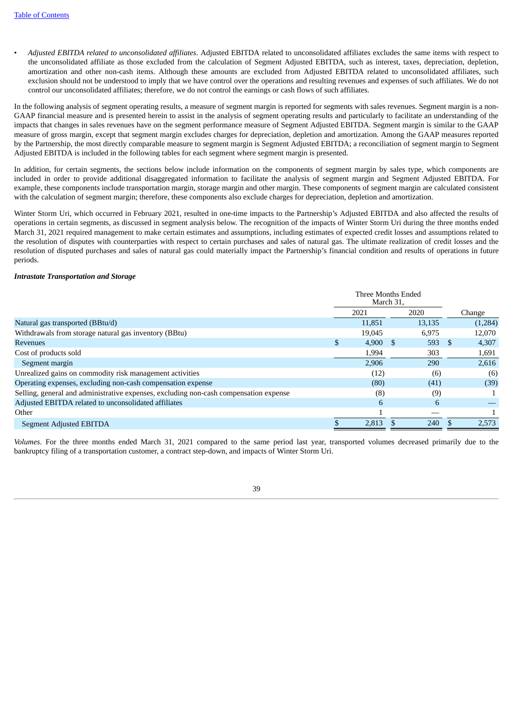• *Adjusted EBITDA related to unconsolidated affiliates*. Adjusted EBITDA related to unconsolidated affiliates excludes the same items with respect to the unconsolidated affiliate as those excluded from the calculation of Segment Adjusted EBITDA, such as interest, taxes, depreciation, depletion, amortization and other non-cash items. Although these amounts are excluded from Adjusted EBITDA related to unconsolidated affiliates, such exclusion should not be understood to imply that we have control over the operations and resulting revenues and expenses of such affiliates. We do not control our unconsolidated affiliates; therefore, we do not control the earnings or cash flows of such affiliates.

In the following analysis of segment operating results, a measure of segment margin is reported for segments with sales revenues. Segment margin is a non-GAAP financial measure and is presented herein to assist in the analysis of segment operating results and particularly to facilitate an understanding of the impacts that changes in sales revenues have on the segment performance measure of Segment Adjusted EBITDA. Segment margin is similar to the GAAP measure of gross margin, except that segment margin excludes charges for depreciation, depletion and amortization. Among the GAAP measures reported by the Partnership, the most directly comparable measure to segment margin is Segment Adjusted EBITDA; a reconciliation of segment margin to Segment Adjusted EBITDA is included in the following tables for each segment where segment margin is presented.

In addition, for certain segments, the sections below include information on the components of segment margin by sales type, which components are included in order to provide additional disaggregated information to facilitate the analysis of segment margin and Segment Adjusted EBITDA. For example, these components include transportation margin, storage margin and other margin. These components of segment margin are calculated consistent with the calculation of segment margin; therefore, these components also exclude charges for depreciation, depletion and amortization.

Winter Storm Uri, which occurred in February 2021, resulted in one-time impacts to the Partnership's Adjusted EBITDA and also affected the results of operations in certain segments, as discussed in segment analysis below. The recognition of the impacts of Winter Storm Uri during the three months ended March 31, 2021 required management to make certain estimates and assumptions, including estimates of expected credit losses and assumptions related to the resolution of disputes with counterparties with respect to certain purchases and sales of natural gas. The ultimate realization of credit losses and the resolution of disputed purchases and sales of natural gas could materially impact the Partnership's financial condition and results of operations in future periods.

#### *Intrastate Transportation and Storage*

|                                                                                       |    | Three Months Ended<br>March 31. |     |        |         |
|---------------------------------------------------------------------------------------|----|---------------------------------|-----|--------|---------|
|                                                                                       |    | 2021                            |     | 2020   | Change  |
| Natural gas transported (BBtu/d)                                                      |    | 11,851                          |     | 13,135 | (1,284) |
| Withdrawals from storage natural gas inventory (BBtu)                                 |    | 19.045                          |     | 6.975  | 12,070  |
| <b>Revenues</b>                                                                       | S. | 4,900                           | - S | 593S   | 4,307   |
| Cost of products sold                                                                 |    | 1,994                           |     | 303    | 1,691   |
| Segment margin                                                                        |    | 2,906                           |     | 290    | 2,616   |
| Unrealized gains on commodity risk management activities                              |    | (12)                            |     | (6)    | (6)     |
| Operating expenses, excluding non-cash compensation expense                           |    | (80)                            |     | (41)   | (39)    |
| Selling, general and administrative expenses, excluding non-cash compensation expense |    | (8)                             |     | (9)    |         |
| Adjusted EBITDA related to unconsolidated affiliates                                  |    | 6                               |     | 6      |         |
| Other                                                                                 |    |                                 |     |        |         |
| Segment Adjusted EBITDA                                                               |    | 2,813                           |     | 240    | 2,573   |

*Volumes*. For the three months ended March 31, 2021 compared to the same period last year, transported volumes decreased primarily due to the bankruptcy filing of a transportation customer, a contract step-down, and impacts of Winter Storm Uri.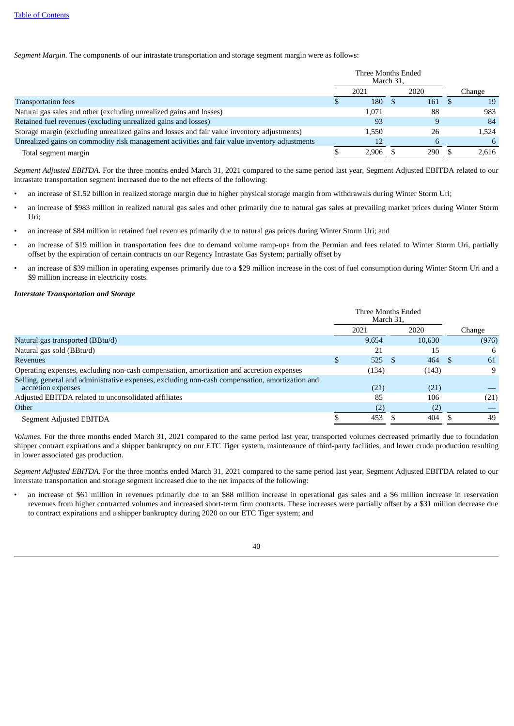*Segment Margin.* The components of our intrastate transportation and storage segment margin were as follows:

|                                                                                               | Three Months Ended<br>March 31. |       |  |      |  |        |
|-----------------------------------------------------------------------------------------------|---------------------------------|-------|--|------|--|--------|
|                                                                                               |                                 | 2021  |  | 2020 |  | Change |
| <b>Transportation fees</b>                                                                    |                                 | 180   |  | 161  |  | 19     |
| Natural gas sales and other (excluding unrealized gains and losses)                           |                                 | 1.071 |  | 88   |  | 983    |
| Retained fuel revenues (excluding unrealized gains and losses)                                |                                 | 93    |  |      |  | 84     |
| Storage margin (excluding unrealized gains and losses and fair value inventory adjustments)   |                                 | 1.550 |  | 26   |  | 1.524  |
| Unrealized gains on commodity risk management activities and fair value inventory adjustments |                                 | 12    |  |      |  | 6      |
| Total segment margin                                                                          |                                 | 2.906 |  | 290  |  | 2.616  |

*Segment Adjusted EBITDA.* For the three months ended March 31, 2021 compared to the same period last year, Segment Adjusted EBITDA related to our intrastate transportation segment increased due to the net effects of the following:

- an increase of \$1.52 billion in realized storage margin due to higher physical storage margin from withdrawals during Winter Storm Uri;
- an increase of \$983 million in realized natural gas sales and other primarily due to natural gas sales at prevailing market prices during Winter Storm Uri;
- an increase of \$84 million in retained fuel revenues primarily due to natural gas prices during Winter Storm Uri; and
- an increase of \$19 million in transportation fees due to demand volume ramp-ups from the Permian and fees related to Winter Storm Uri, partially offset by the expiration of certain contracts on our Regency Intrastate Gas System; partially offset by
- an increase of \$39 million in operating expenses primarily due to a \$29 million increase in the cost of fuel consumption during Winter Storm Uri and a \$9 million increase in electricity costs.

#### *Interstate Transportation and Storage*

|                                                                                                                       |    | Three Months Ended<br>March 31, |     |               |        |
|-----------------------------------------------------------------------------------------------------------------------|----|---------------------------------|-----|---------------|--------|
|                                                                                                                       |    | 2021                            |     | 2020          | Change |
| Natural gas transported (BBtu/d)                                                                                      |    | 9,654                           |     | 10,630        | (976)  |
| Natural gas sold (BBtu/d)                                                                                             |    | 21                              |     | 15            | 6      |
| <b>Revenues</b>                                                                                                       | S. | 525                             | - 8 | $464 \quad $$ | 61     |
| Operating expenses, excluding non-cash compensation, amortization and accretion expenses                              |    | (134)                           |     | (143)         | 9      |
| Selling, general and administrative expenses, excluding non-cash compensation, amortization and<br>accretion expenses |    | (21)                            |     | (21)          |        |
| Adjusted EBITDA related to unconsolidated affiliates                                                                  |    | 85                              |     | 106           | (21)   |
| Other                                                                                                                 |    | (2)                             |     | (2)           |        |
| Segment Adjusted EBITDA                                                                                               |    | 453                             |     | 404           | 49     |

*Volumes.* For the three months ended March 31, 2021 compared to the same period last year, transported volumes decreased primarily due to foundation shipper contract expirations and a shipper bankruptcy on our ETC Tiger system, maintenance of third-party facilities, and lower crude production resulting in lower associated gas production.

*Segment Adjusted EBITDA.* For the three months ended March 31, 2021 compared to the same period last year, Segment Adjusted EBITDA related to our interstate transportation and storage segment increased due to the net impacts of the following:

• an increase of \$61 million in revenues primarily due to an \$88 million increase in operational gas sales and a \$6 million increase in reservation revenues from higher contracted volumes and increased short-term firm contracts. These increases were partially offset by a \$31 million decrease due to contract expirations and a shipper bankruptcy during 2020 on our ETC Tiger system; and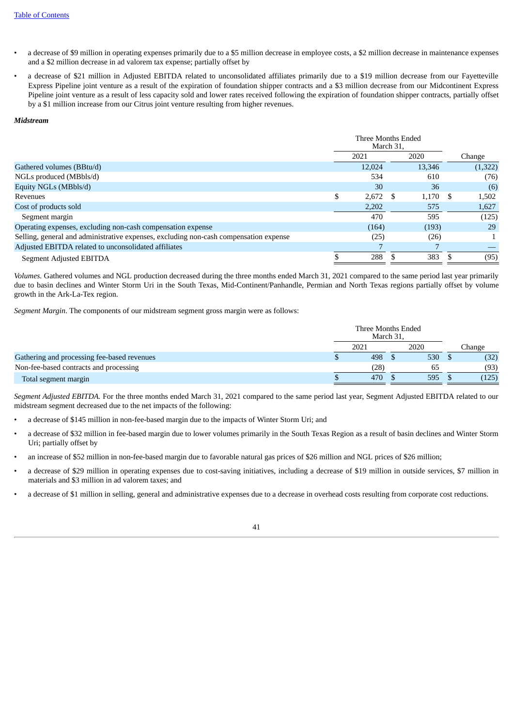- a decrease of \$9 million in operating expenses primarily due to a \$5 million decrease in employee costs, a \$2 million decrease in maintenance expenses and a \$2 million decrease in ad valorem tax expense; partially offset by
- a decrease of \$21 million in Adjusted EBITDA related to unconsolidated affiliates primarily due to a \$19 million decrease from our Fayetteville Express Pipeline joint venture as a result of the expiration of foundation shipper contracts and a \$3 million decrease from our Midcontinent Express Pipeline joint venture as a result of less capacity sold and lower rates received following the expiration of foundation shipper contracts, partially offset by a \$1 million increase from our Citrus joint venture resulting from higher revenues.

#### *Midstream*

|                                                                                       | Three Months Ended<br>March 31. |    |        |   |         |
|---------------------------------------------------------------------------------------|---------------------------------|----|--------|---|---------|
|                                                                                       | 2021                            |    | 2020   |   | Change  |
| Gathered volumes (BBtu/d)                                                             | 12,024                          |    | 13,346 |   | (1,322) |
| NGLs produced (MBbls/d)                                                               | 534                             |    | 610    |   | (76)    |
| Equity NGLs (MBbls/d)                                                                 | 30                              |    | 36     |   | (6)     |
| Revenues                                                                              | \$<br>2,672                     | -S | 1,170  | S | 1,502   |
| Cost of products sold                                                                 | 2,202                           |    | 575    |   | 1,627   |
| Segment margin                                                                        | 470                             |    | 595    |   | (125)   |
| Operating expenses, excluding non-cash compensation expense                           | (164)                           |    | (193)  |   | 29      |
| Selling, general and administrative expenses, excluding non-cash compensation expense | (25)                            |    | (26)   |   |         |
| Adjusted EBITDA related to unconsolidated affiliates                                  |                                 |    |        |   |         |
| Segment Adjusted EBITDA                                                               | 288                             |    | 383    |   | (95)    |

*Volumes.* Gathered volumes and NGL production decreased during the three months ended March 31, 2021 compared to the same period last year primarily due to basin declines and Winter Storm Uri in the South Texas, Mid-Continent/Panhandle, Permian and North Texas regions partially offset by volume growth in the Ark-La-Tex region.

*Segment Margin*. The components of our midstream segment gross margin were as follows:

|                                             | Three Months Ended<br>March 31, |      |        |
|---------------------------------------------|---------------------------------|------|--------|
|                                             | 2021                            | 2020 | Change |
| Gathering and processing fee-based revenues | 498                             | 530  | (32)   |
| Non-fee-based contracts and processing      | (28)                            | 65   | (93)   |
| Total segment margin                        | 470                             | 595  | (125)  |

*Segment Adjusted EBITDA.* For the three months ended March 31, 2021 compared to the same period last year, Segment Adjusted EBITDA related to our midstream segment decreased due to the net impacts of the following:

- a decrease of \$145 million in non-fee-based margin due to the impacts of Winter Storm Uri; and
- a decrease of \$32 million in fee-based margin due to lower volumes primarily in the South Texas Region as a result of basin declines and Winter Storm Uri; partially offset by
- an increase of \$52 million in non-fee-based margin due to favorable natural gas prices of \$26 million and NGL prices of \$26 million;
- a decrease of \$29 million in operating expenses due to cost-saving initiatives, including a decrease of \$19 million in outside services, \$7 million in materials and \$3 million in ad valorem taxes; and
- a decrease of \$1 million in selling, general and administrative expenses due to a decrease in overhead costs resulting from corporate cost reductions.

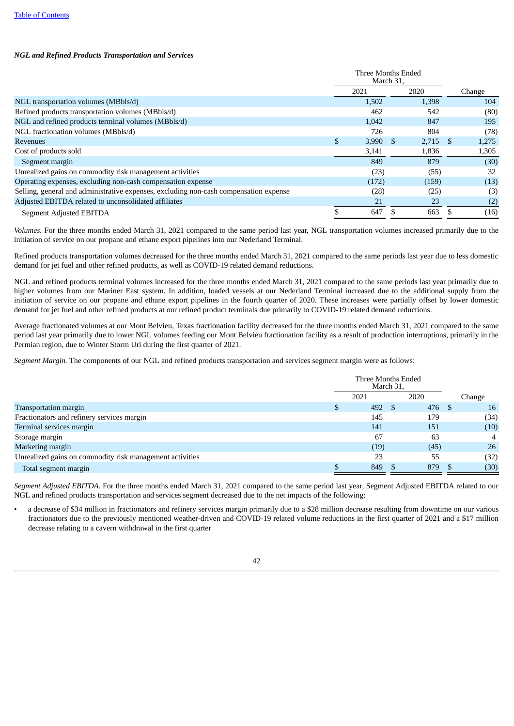## *NGL and Refined Products Transportation and Services*

|                                                                                       |     | Three Months Ended<br>March 31, |    |            |        |
|---------------------------------------------------------------------------------------|-----|---------------------------------|----|------------|--------|
|                                                                                       |     | 2021                            |    | 2020       | Change |
| NGL transportation volumes (MBbls/d)                                                  |     | 1,502                           |    | 1,398      | 104    |
| Refined products transportation volumes (MBbls/d)                                     |     | 462                             |    | 542        | (80)   |
| NGL and refined products terminal volumes (MBbls/d)                                   |     | 1,042                           |    | 847        | 195    |
| NGL fractionation volumes (MBbls/d)                                                   |     | 726                             |    | 804        | (78)   |
| <b>Revenues</b>                                                                       | \$. | 3,990                           | -S | $2,715$ \$ | 1,275  |
| Cost of products sold                                                                 |     | 3,141                           |    | 1,836      | 1,305  |
| Segment margin                                                                        |     | 849                             |    | 879        | (30)   |
| Unrealized gains on commodity risk management activities                              |     | (23)                            |    | (55)       | 32     |
| Operating expenses, excluding non-cash compensation expense                           |     | (172)                           |    | (159)      | (13)   |
| Selling, general and administrative expenses, excluding non-cash compensation expense |     | (28)                            |    | (25)       | (3)    |
| Adjusted EBITDA related to unconsolidated affiliates                                  |     | 21                              |    | 23         | (2)    |
| Segment Adjusted EBITDA                                                               |     | 647                             |    | 663        | (16)   |

*Volumes.* For the three months ended March 31, 2021 compared to the same period last year, NGL transportation volumes increased primarily due to the initiation of service on our propane and ethane export pipelines into our Nederland Terminal.

Refined products transportation volumes decreased for the three months ended March 31, 2021 compared to the same periods last year due to less domestic demand for jet fuel and other refined products, as well as COVID-19 related demand reductions.

NGL and refined products terminal volumes increased for the three months ended March 31, 2021 compared to the same periods last year primarily due to higher volumes from our Mariner East system. In addition, loaded vessels at our Nederland Terminal increased due to the additional supply from the initiation of service on our propane and ethane export pipelines in the fourth quarter of 2020. These increases were partially offset by lower domestic demand for jet fuel and other refined products at our refined product terminals due primarily to COVID-19 related demand reductions.

Average fractionated volumes at our Mont Belvieu, Texas fractionation facility decreased for the three months ended March 31, 2021 compared to the same period last year primarily due to lower NGL volumes feeding our Mont Belvieu fractionation facility as a result of production interruptions, primarily in the Permian region, due to Winter Storm Uri during the first quarter of 2021.

*Segment Margin.* The components of our NGL and refined products transportation and services segment margin were as follows:

|                                                          | Three Months Ended<br>March 31, |      |                |
|----------------------------------------------------------|---------------------------------|------|----------------|
|                                                          | 2021                            | 2020 | Change         |
| <b>Transportation margin</b>                             | 492                             | 476  | 16             |
| Fractionators and refinery services margin               | 145                             | 179  | (34)           |
| Terminal services margin                                 | 141                             | 151  | (10)           |
| Storage margin                                           | 67                              | 63   | $\overline{4}$ |
| Marketing margin                                         | (19)                            | (45) | 26             |
| Unrealized gains on commodity risk management activities | 23                              | 55   | (32)           |
| Total segment margin                                     | 849                             | 879  | (30)           |

*Segment Adjusted EBITDA.* For the three months ended March 31, 2021 compared to the same period last year, Segment Adjusted EBITDA related to our NGL and refined products transportation and services segment decreased due to the net impacts of the following:

• a decrease of \$34 million in fractionators and refinery services margin primarily due to a \$28 million decrease resulting from downtime on our various fractionators due to the previously mentioned weather-driven and COVID-19 related volume reductions in the first quarter of 2021 and a \$17 million decrease relating to a cavern withdrawal in the first quarter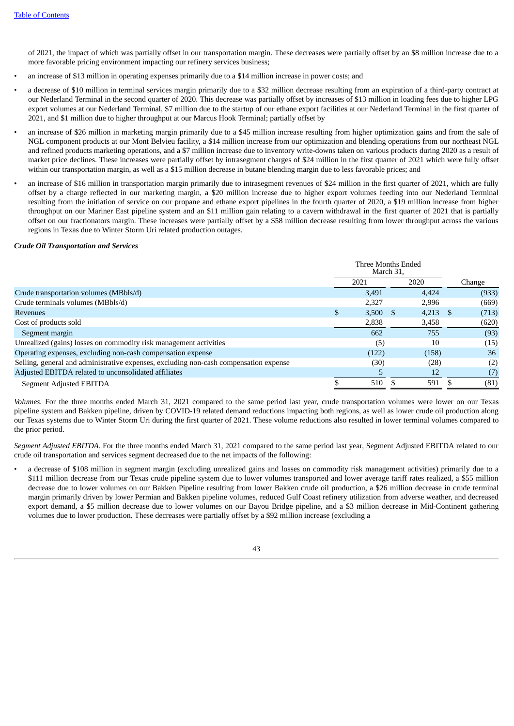of 2021, the impact of which was partially offset in our transportation margin. These decreases were partially offset by an \$8 million increase due to a more favorable pricing environment impacting our refinery services business;

- an increase of \$13 million in operating expenses primarily due to a \$14 million increase in power costs; and
- a decrease of \$10 million in terminal services margin primarily due to a \$32 million decrease resulting from an expiration of a third-party contract at our Nederland Terminal in the second quarter of 2020. This decrease was partially offset by increases of \$13 million in loading fees due to higher LPG export volumes at our Nederland Terminal, \$7 million due to the startup of our ethane export facilities at our Nederland Terminal in the first quarter of 2021, and \$1 million due to higher throughput at our Marcus Hook Terminal; partially offset by
- an increase of \$26 million in marketing margin primarily due to a \$45 million increase resulting from higher optimization gains and from the sale of NGL component products at our Mont Belvieu facility, a \$14 million increase from our optimization and blending operations from our northeast NGL and refined products marketing operations, and a \$7 million increase due to inventory write-downs taken on various products during 2020 as a result of market price declines. These increases were partially offset by intrasegment charges of \$24 million in the first quarter of 2021 which were fully offset within our transportation margin, as well as a \$15 million decrease in butane blending margin due to less favorable prices; and
- an increase of \$16 million in transportation margin primarily due to intrasegment revenues of \$24 million in the first quarter of 2021, which are fully offset by a charge reflected in our marketing margin, a \$20 million increase due to higher export volumes feeding into our Nederland Terminal resulting from the initiation of service on our propane and ethane export pipelines in the fourth quarter of 2020, a \$19 million increase from higher throughput on our Mariner East pipeline system and an \$11 million gain relating to a cavern withdrawal in the first quarter of 2021 that is partially offset on our fractionators margin. These increases were partially offset by a \$58 million decrease resulting from lower throughput across the various regions in Texas due to Winter Storm Uri related production outages.

#### *Crude Oil Transportation and Services*

|                                                                                       |     | Three Months Ended<br>March 31. |      |            |        |
|---------------------------------------------------------------------------------------|-----|---------------------------------|------|------------|--------|
|                                                                                       |     | 2021                            |      | 2020       | Change |
| Crude transportation volumes (MBbls/d)                                                |     | 3,491                           |      | 4.424      | (933)  |
| Crude terminals volumes (MBbls/d)                                                     |     | 2,327                           |      | 2,996      | (669)  |
| <b>Revenues</b>                                                                       | \$. | 3.500                           | - \$ | $4,213$ \$ | (713)  |
| Cost of products sold                                                                 |     | 2,838                           |      | 3,458      | (620)  |
| Segment margin                                                                        |     | 662                             |      | 755        | (93)   |
| Unrealized (gains) losses on commodity risk management activities                     |     | (5)                             |      | 10         | (15)   |
| Operating expenses, excluding non-cash compensation expense                           |     | (122)                           |      | (158)      | 36     |
| Selling, general and administrative expenses, excluding non-cash compensation expense |     | (30)                            |      | (28)       | (2)    |
| Adjusted EBITDA related to unconsolidated affiliates                                  |     | 5                               |      | 12         | (7)    |
| Segment Adjusted EBITDA                                                               |     | 510                             |      | 591        | (81)   |

*Volumes.* For the three months ended March 31, 2021 compared to the same period last year, crude transportation volumes were lower on our Texas pipeline system and Bakken pipeline, driven by COVID-19 related demand reductions impacting both regions, as well as lower crude oil production along our Texas systems due to Winter Storm Uri during the first quarter of 2021. These volume reductions also resulted in lower terminal volumes compared to the prior period.

*Segment Adjusted EBITDA.* For the three months ended March 31, 2021 compared to the same period last year, Segment Adjusted EBITDA related to our crude oil transportation and services segment decreased due to the net impacts of the following:

• a decrease of \$108 million in segment margin (excluding unrealized gains and losses on commodity risk management activities) primarily due to a \$111 million decrease from our Texas crude pipeline system due to lower volumes transported and lower average tariff rates realized, a \$55 million decrease due to lower volumes on our Bakken Pipeline resulting from lower Bakken crude oil production, a \$26 million decrease in crude terminal margin primarily driven by lower Permian and Bakken pipeline volumes, reduced Gulf Coast refinery utilization from adverse weather, and decreased export demand, a \$5 million decrease due to lower volumes on our Bayou Bridge pipeline, and a \$3 million decrease in Mid-Continent gathering volumes due to lower production. These decreases were partially offset by a \$92 million increase (excluding a

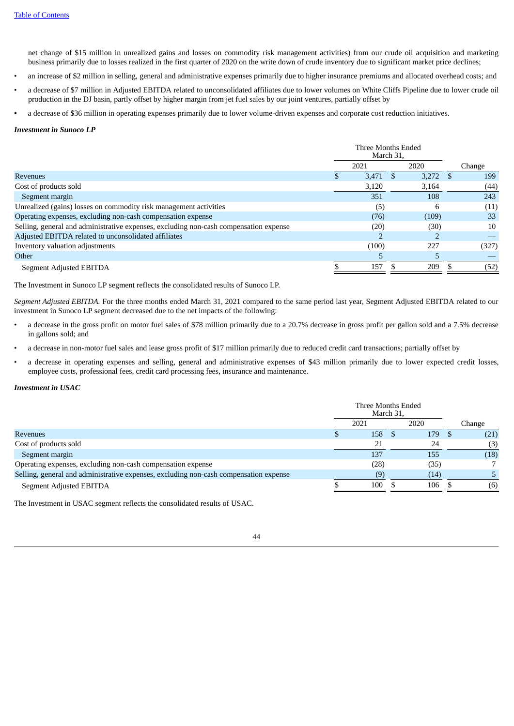net change of \$15 million in unrealized gains and losses on commodity risk management activities) from our crude oil acquisition and marketing business primarily due to losses realized in the first quarter of 2020 on the write down of crude inventory due to significant market price declines;

- an increase of \$2 million in selling, general and administrative expenses primarily due to higher insurance premiums and allocated overhead costs; and
- a decrease of \$7 million in Adjusted EBITDA related to unconsolidated affiliates due to lower volumes on White Cliffs Pipeline due to lower crude oil production in the DJ basin, partly offset by higher margin from jet fuel sales by our joint ventures, partially offset by
- *•* a decrease of \$36 million in operating expenses primarily due to lower volume-driven expenses and corporate cost reduction initiatives.

#### *Investment in Sunoco LP*

|                                                                                       | Three Months Ended<br>March 31. |       |  |       |  |        |
|---------------------------------------------------------------------------------------|---------------------------------|-------|--|-------|--|--------|
|                                                                                       |                                 | 2021  |  | 2020  |  | Change |
| <b>Revenues</b>                                                                       |                                 | 3.471 |  | 3,272 |  | 199    |
| Cost of products sold                                                                 |                                 | 3,120 |  | 3,164 |  | (44)   |
| Segment margin                                                                        |                                 | 351   |  | 108   |  | 243    |
| Unrealized (gains) losses on commodity risk management activities                     |                                 | (5)   |  | b     |  | (11)   |
| Operating expenses, excluding non-cash compensation expense                           |                                 | (76)  |  | (109) |  | 33     |
| Selling, general and administrative expenses, excluding non-cash compensation expense |                                 | (20)  |  | (30)  |  | 10     |
| Adjusted EBITDA related to unconsolidated affiliates                                  |                                 | ר     |  |       |  |        |
| Inventory valuation adjustments                                                       |                                 | (100) |  | 227   |  | (327)  |
| Other                                                                                 |                                 | 5     |  |       |  |        |
| Segment Adjusted EBITDA                                                               |                                 | 157   |  | 209   |  | (52)   |

The Investment in Sunoco LP segment reflects the consolidated results of Sunoco LP.

*Segment Adjusted EBITDA.* For the three months ended March 31, 2021 compared to the same period last year, Segment Adjusted EBITDA related to our investment in Sunoco LP segment decreased due to the net impacts of the following:

- a decrease in the gross profit on motor fuel sales of \$78 million primarily due to a 20.7% decrease in gross profit per gallon sold and a 7.5% decrease in gallons sold; and
- a decrease in non-motor fuel sales and lease gross profit of \$17 million primarily due to reduced credit card transactions; partially offset by
- a decrease in operating expenses and selling, general and administrative expenses of \$43 million primarily due to lower expected credit losses, employee costs, professional fees, credit card processing fees, insurance and maintenance.

## *Investment in USAC*

|                                                                                       | Three Months Ended<br>March 31, |      |  |      |    |        |  |
|---------------------------------------------------------------------------------------|---------------------------------|------|--|------|----|--------|--|
|                                                                                       |                                 | 2021 |  | 2020 |    | Change |  |
| <b>Revenues</b>                                                                       |                                 | 158  |  | 179  | -S | (21)   |  |
| Cost of products sold                                                                 |                                 | 21   |  | 24   |    | (3)    |  |
| Segment margin                                                                        |                                 | 137  |  | 155  |    | (18)   |  |
| Operating expenses, excluding non-cash compensation expense                           |                                 | (28) |  | (35) |    |        |  |
| Selling, general and administrative expenses, excluding non-cash compensation expense |                                 | (9)  |  | (14) |    |        |  |
| Segment Adjusted EBITDA                                                               |                                 | 100  |  | 106  |    | (6)    |  |

The Investment in USAC segment reflects the consolidated results of USAC.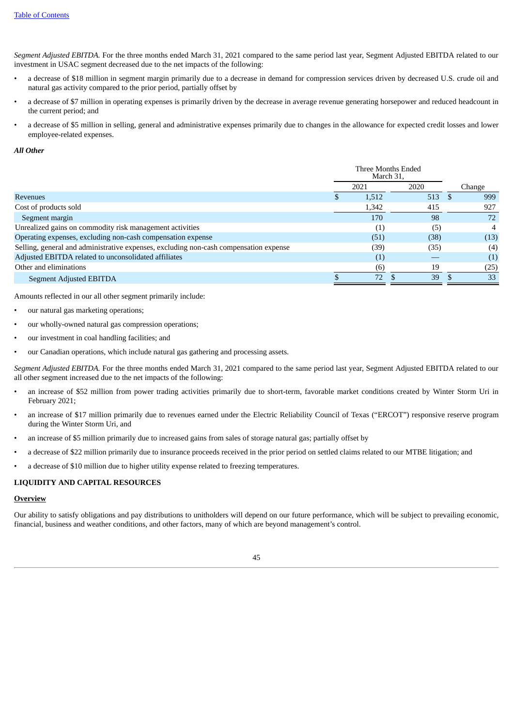*Segment Adjusted EBITDA.* For the three months ended March 31, 2021 compared to the same period last year, Segment Adjusted EBITDA related to our investment in USAC segment decreased due to the net impacts of the following:

- a decrease of \$18 million in segment margin primarily due to a decrease in demand for compression services driven by decreased U.S. crude oil and natural gas activity compared to the prior period, partially offset by
- a decrease of \$7 million in operating expenses is primarily driven by the decrease in average revenue generating horsepower and reduced headcount in the current period; and
- a decrease of \$5 million in selling, general and administrative expenses primarily due to changes in the allowance for expected credit losses and lower employee-related expenses.

#### *All Other*

|                                                                                       | Three Months Ended<br>March 31, |      |                |
|---------------------------------------------------------------------------------------|---------------------------------|------|----------------|
|                                                                                       | 2021                            | 2020 | Change         |
| <b>Revenues</b>                                                                       | 1,512                           | 513  | 999            |
| Cost of products sold                                                                 | 1,342                           | 415  | 927            |
| Segment margin                                                                        | 170                             | 98   | 72             |
| Unrealized gains on commodity risk management activities                              | (1)                             | (5)  | $\overline{4}$ |
| Operating expenses, excluding non-cash compensation expense                           | (51)                            | (38) | (13)           |
| Selling, general and administrative expenses, excluding non-cash compensation expense | (39)                            | (35) | (4)            |
| Adjusted EBITDA related to unconsolidated affiliates                                  | (1)                             |      | (1)            |
| Other and eliminations                                                                | (6)                             | 19   | (25)           |
| Segment Adjusted EBITDA                                                               | 72                              | 39   | 33             |

Amounts reflected in our all other segment primarily include:

- our natural gas marketing operations;
- our wholly-owned natural gas compression operations;
- our investment in coal handling facilities; and
- our Canadian operations, which include natural gas gathering and processing assets.

*Segment Adjusted EBITDA.* For the three months ended March 31, 2021 compared to the same period last year, Segment Adjusted EBITDA related to our all other segment increased due to the net impacts of the following:

- an increase of \$52 million from power trading activities primarily due to short-term, favorable market conditions created by Winter Storm Uri in February 2021;
- an increase of \$17 million primarily due to revenues earned under the Electric Reliability Council of Texas ("ERCOT") responsive reserve program during the Winter Storm Uri, and
- an increase of \$5 million primarily due to increased gains from sales of storage natural gas; partially offset by
- a decrease of \$22 million primarily due to insurance proceeds received in the prior period on settled claims related to our MTBE litigation; and
- a decrease of \$10 million due to higher utility expense related to freezing temperatures.

## **LIQUIDITY AND CAPITAL RESOURCES**

## **Overview**

Our ability to satisfy obligations and pay distributions to unitholders will depend on our future performance, which will be subject to prevailing economic, financial, business and weather conditions, and other factors, many of which are beyond management's control.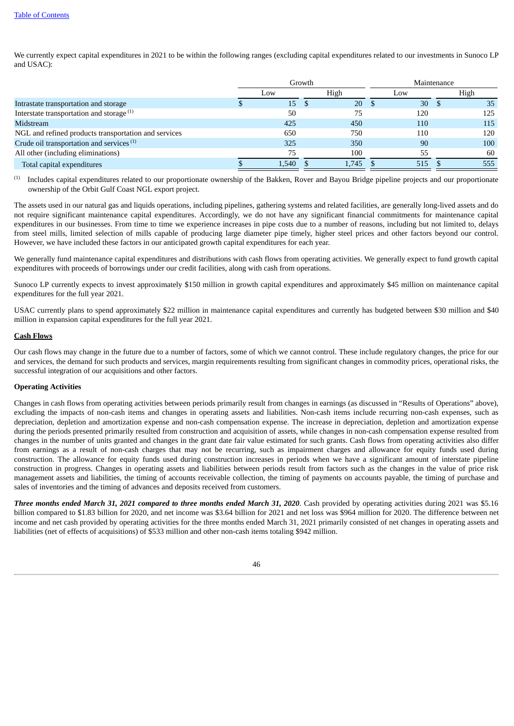We currently expect capital expenditures in 2021 to be within the following ranges (excluding capital expenditures related to our investments in Sunoco LP and USAC):

|                                                      |       | Growth |       | Maintenance |  |      |  |
|------------------------------------------------------|-------|--------|-------|-------------|--|------|--|
|                                                      | Low   |        | High  | Low         |  | High |  |
| Intrastate transportation and storage                |       | 15.    | 20    | 30          |  | 35   |  |
| Interstate transportation and storage <sup>(1)</sup> |       | 50     | 75    | 120         |  | 125  |  |
| Midstream                                            | 425   |        | 450   | 110         |  | 115  |  |
| NGL and refined products transportation and services | 650   |        | 750   | 110         |  | 120  |  |
| Crude oil transportation and services <sup>(1)</sup> | 325   |        | 350   | 90          |  | 100  |  |
| All other (including eliminations)                   |       | 75     | 100   | 55          |  | 60   |  |
| Total capital expenditures                           | 1.540 |        | 1.745 | 515         |  | 555  |  |

 $<sup>(1)</sup>$  Includes capital expenditures related to our proportionate ownership of the Bakken, Rover and Bayou Bridge pipeline projects and our proportionate</sup> ownership of the Orbit Gulf Coast NGL export project.

The assets used in our natural gas and liquids operations, including pipelines, gathering systems and related facilities, are generally long-lived assets and do not require significant maintenance capital expenditures. Accordingly, we do not have any significant financial commitments for maintenance capital expenditures in our businesses. From time to time we experience increases in pipe costs due to a number of reasons, including but not limited to, delays from steel mills, limited selection of mills capable of producing large diameter pipe timely, higher steel prices and other factors beyond our control. However, we have included these factors in our anticipated growth capital expenditures for each year.

We generally fund maintenance capital expenditures and distributions with cash flows from operating activities. We generally expect to fund growth capital expenditures with proceeds of borrowings under our credit facilities, along with cash from operations.

Sunoco LP currently expects to invest approximately \$150 million in growth capital expenditures and approximately \$45 million on maintenance capital expenditures for the full year 2021.

USAC currently plans to spend approximately \$22 million in maintenance capital expenditures and currently has budgeted between \$30 million and \$40 million in expansion capital expenditures for the full year 2021.

## **Cash Flows**

Our cash flows may change in the future due to a number of factors, some of which we cannot control. These include regulatory changes, the price for our and services, the demand for such products and services, margin requirements resulting from significant changes in commodity prices, operational risks, the successful integration of our acquisitions and other factors.

## **Operating Activities**

Changes in cash flows from operating activities between periods primarily result from changes in earnings (as discussed in "Results of Operations" above), excluding the impacts of non-cash items and changes in operating assets and liabilities. Non-cash items include recurring non-cash expenses, such as depreciation, depletion and amortization expense and non-cash compensation expense. The increase in depreciation, depletion and amortization expense during the periods presented primarily resulted from construction and acquisition of assets, while changes in non-cash compensation expense resulted from changes in the number of units granted and changes in the grant date fair value estimated for such grants. Cash flows from operating activities also differ from earnings as a result of non-cash charges that may not be recurring, such as impairment charges and allowance for equity funds used during construction. The allowance for equity funds used during construction increases in periods when we have a significant amount of interstate pipeline construction in progress. Changes in operating assets and liabilities between periods result from factors such as the changes in the value of price risk management assets and liabilities, the timing of accounts receivable collection, the timing of payments on accounts payable, the timing of purchase and sales of inventories and the timing of advances and deposits received from customers.

Three months ended March 31, 2021 compared to three months ended March 31, 2020. Cash provided by operating activities during 2021 was \$5.16 billion compared to \$1.83 billion for 2020, and net income was \$3.64 billion for 2021 and net loss was \$964 million for 2020. The difference between net income and net cash provided by operating activities for the three months ended March 31, 2021 primarily consisted of net changes in operating assets and liabilities (net of effects of acquisitions) of \$533 million and other non-cash items totaling \$942 million.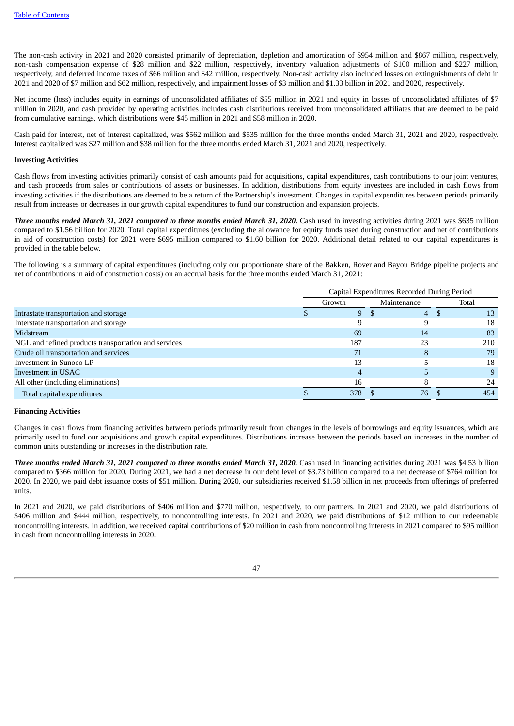The non-cash activity in 2021 and 2020 consisted primarily of depreciation, depletion and amortization of \$954 million and \$867 million, respectively, non-cash compensation expense of \$28 million and \$22 million, respectively, inventory valuation adjustments of \$100 million and \$227 million, respectively, and deferred income taxes of \$66 million and \$42 million, respectively. Non-cash activity also included losses on extinguishments of debt in 2021 and 2020 of \$7 million and \$62 million, respectively, and impairment losses of \$3 million and \$1.33 billion in 2021 and 2020, respectively.

Net income (loss) includes equity in earnings of unconsolidated affiliates of \$55 million in 2021 and equity in losses of unconsolidated affiliates of \$7 million in 2020, and cash provided by operating activities includes cash distributions received from unconsolidated affiliates that are deemed to be paid from cumulative earnings, which distributions were \$45 million in 2021 and \$58 million in 2020.

Cash paid for interest, net of interest capitalized, was \$562 million and \$535 million for the three months ended March 31, 2021 and 2020, respectively. Interest capitalized was \$27 million and \$38 million for the three months ended March 31, 2021 and 2020, respectively.

#### **Investing Activities**

Cash flows from investing activities primarily consist of cash amounts paid for acquisitions, capital expenditures, cash contributions to our joint ventures, and cash proceeds from sales or contributions of assets or businesses. In addition, distributions from equity investees are included in cash flows from investing activities if the distributions are deemed to be a return of the Partnership's investment. Changes in capital expenditures between periods primarily result from increases or decreases in our growth capital expenditures to fund our construction and expansion projects.

Three months ended March 31, 2021 compared to three months ended March 31, 2020. Cash used in investing activities during 2021 was \$635 million compared to \$1.56 billion for 2020. Total capital expenditures (excluding the allowance for equity funds used during construction and net of contributions in aid of construction costs) for 2021 were \$695 million compared to \$1.60 billion for 2020. Additional detail related to our capital expenditures is provided in the table below.

The following is a summary of capital expenditures (including only our proportionate share of the Bakken, Rover and Bayou Bridge pipeline projects and net of contributions in aid of construction costs) on an accrual basis for the three months ended March 31, 2021:

|                                                      | Capital Expenditures Recorded During Period |             |       |  |  |  |  |  |
|------------------------------------------------------|---------------------------------------------|-------------|-------|--|--|--|--|--|
|                                                      | Growth                                      | Maintenance | Total |  |  |  |  |  |
| Intrastate transportation and storage                | 9.                                          | 4           | 13    |  |  |  |  |  |
| Interstate transportation and storage                |                                             |             | 18    |  |  |  |  |  |
| Midstream                                            | 69                                          | 14          | 83    |  |  |  |  |  |
| NGL and refined products transportation and services | 187                                         | 23          | 210   |  |  |  |  |  |
| Crude oil transportation and services                | 71                                          | 8           | 79    |  |  |  |  |  |
| Investment in Sunoco LP                              | 13                                          |             | 18    |  |  |  |  |  |
| Investment in USAC                                   |                                             |             | 9     |  |  |  |  |  |
| All other (including eliminations)                   | 16                                          |             | 24    |  |  |  |  |  |
| Total capital expenditures                           | 378                                         | 76          | 454   |  |  |  |  |  |

## **Financing Activities**

Changes in cash flows from financing activities between periods primarily result from changes in the levels of borrowings and equity issuances, which are primarily used to fund our acquisitions and growth capital expenditures. Distributions increase between the periods based on increases in the number of common units outstanding or increases in the distribution rate.

Three months ended March 31, 2021 compared to three months ended March 31, 2020. Cash used in financing activities during 2021 was \$4.53 billion compared to \$366 million for 2020. During 2021, we had a net decrease in our debt level of \$3.73 billion compared to a net decrease of \$764 million for 2020. In 2020, we paid debt issuance costs of \$51 million. During 2020, our subsidiaries received \$1.58 billion in net proceeds from offerings of preferred units.

In 2021 and 2020, we paid distributions of \$406 million and \$770 million, respectively, to our partners. In 2021 and 2020, we paid distributions of \$406 million and \$444 million, respectively, to noncontrolling interests. In 2021 and 2020, we paid distributions of \$12 million to our redeemable noncontrolling interests. In addition, we received capital contributions of \$20 million in cash from noncontrolling interests in 2021 compared to \$95 million in cash from noncontrolling interests in 2020.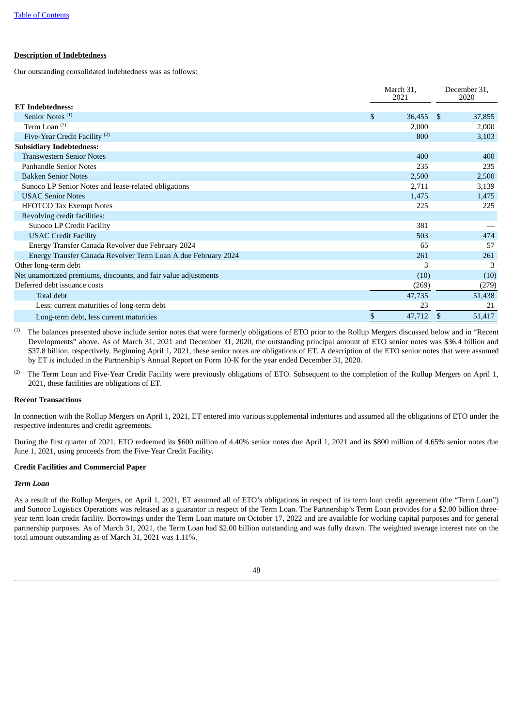## **Description of Indebtedness**

Our outstanding consolidated indebtedness was as follows:

|                                                                 | March 31,<br>2021 |      | December 31,<br>2020 |
|-----------------------------------------------------------------|-------------------|------|----------------------|
| <b>ET Indebtedness:</b>                                         |                   |      |                      |
| Senior Notes <sup>(1)</sup>                                     | \$<br>36,455      | - \$ | 37,855               |
| Term Loan <sup>(2)</sup>                                        | 2,000             |      | 2,000                |
| Five-Year Credit Facility <sup>(2)</sup>                        | 800               |      | 3,103                |
| <b>Subsidiary Indebtedness:</b>                                 |                   |      |                      |
| <b>Transwestern Senior Notes</b>                                | 400               |      | 400                  |
| <b>Panhandle Senior Notes</b>                                   | 235               |      | 235                  |
| <b>Bakken Senior Notes</b>                                      | 2,500             |      | 2,500                |
| Sunoco LP Senior Notes and lease-related obligations            | 2,711             |      | 3,139                |
| <b>USAC Senior Notes</b>                                        | 1,475             |      | 1,475                |
| <b>HFOTCO Tax Exempt Notes</b>                                  | 225               |      | 225                  |
| Revolving credit facilities:                                    |                   |      |                      |
| Sunoco LP Credit Facility                                       | 381               |      |                      |
| <b>USAC Credit Facility</b>                                     | 503               |      | 474                  |
| Energy Transfer Canada Revolver due February 2024               | 65                |      | 57                   |
| Energy Transfer Canada Revolver Term Loan A due February 2024   | 261               |      | 261                  |
| Other long-term debt                                            | 3                 |      | 3                    |
| Net unamortized premiums, discounts, and fair value adjustments | (10)              |      | (10)                 |
| Deferred debt issuance costs                                    | (269)             |      | (279)                |
| Total debt                                                      | 47,735            |      | 51,438               |
| Less: current maturities of long-term debt                      | 23                |      | 21                   |
| Long-term debt, less current maturities                         | \$<br>47,712      | - \$ | 51,417               |

The balances presented above include senior notes that were formerly obligations of ETO prior to the Rollup Mergers discussed below and in "Recent Developments" above. As of March 31, 2021 and December 31, 2020, the outstanding principal amount of ETO senior notes was \$36.4 billion and \$37.8 billion, respectively. Beginning April 1, 2021, these senior notes are obligations of ET. A description of the ETO senior notes that were assumed by ET is included in the Partnership's Annual Report on Form 10-K for the year ended December 31, 2020. (1)

The Term Loan and Five-Year Credit Facility were previously obligations of ETO. Subsequent to the completion of the Rollup Mergers on April 1, 2021, these facilities are obligations of ET. (2)

#### **Recent Transactions**

In connection with the Rollup Mergers on April 1, 2021, ET entered into various supplemental indentures and assumed all the obligations of ETO under the respective indentures and credit agreements.

During the first quarter of 2021, ETO redeemed its \$600 million of 4.40% senior notes due April 1, 2021 and its \$800 million of 4.65% senior notes due June 1, 2021, using proceeds from the Five-Year Credit Facility.

#### **Credit Facilities and Commercial Paper**

#### *Term Loan*

As a result of the Rollup Mergers, on April 1, 2021, ET assumed all of ETO's obligations in respect of its term loan credit agreement (the "Term Loan") and Sunoco Logistics Operations was released as a guarantor in respect of the Term Loan. The Partnership's Term Loan provides for a \$2.00 billion threeyear term loan credit facility. Borrowings under the Term Loan mature on October 17, 2022 and are available for working capital purposes and for general partnership purposes. As of March 31, 2021, the Term Loan had \$2.00 billion outstanding and was fully drawn. The weighted average interest rate on the total amount outstanding as of March 31, 2021 was 1.11%.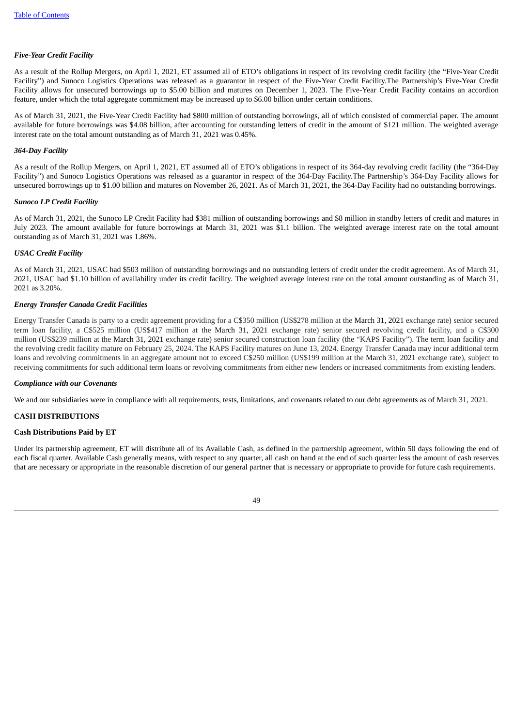## *Five-Year Credit Facility*

As a result of the Rollup Mergers, on April 1, 2021, ET assumed all of ETO's obligations in respect of its revolving credit facility (the "Five-Year Credit Facility") and Sunoco Logistics Operations was released as a guarantor in respect of the Five-Year Credit Facility.The Partnership's Five-Year Credit Facility allows for unsecured borrowings up to \$5.00 billion and matures on December 1, 2023. The Five-Year Credit Facility contains an accordion feature, under which the total aggregate commitment may be increased up to \$6.00 billion under certain conditions.

As of March 31, 2021, the Five-Year Credit Facility had \$800 million of outstanding borrowings, all of which consisted of commercial paper. The amount available for future borrowings was \$4.08 billion, after accounting for outstanding letters of credit in the amount of \$121 million. The weighted average interest rate on the total amount outstanding as of March 31, 2021 was 0.45%.

#### *364-Day Facility*

As a result of the Rollup Mergers, on April 1, 2021, ET assumed all of ETO's obligations in respect of its 364-day revolving credit facility (the "364-Day Facility") and Sunoco Logistics Operations was released as a guarantor in respect of the 364-Day Facility.The Partnership's 364-Day Facility allows for unsecured borrowings up to \$1.00 billion and matures on November 26, 2021. As of March 31, 2021, the 364-Day Facility had no outstanding borrowings.

## *Sunoco LP Credit Facility*

As of March 31, 2021, the Sunoco LP Credit Facility had \$381 million of outstanding borrowings and \$8 million in standby letters of credit and matures in July 2023. The amount available for future borrowings at March 31, 2021 was \$1.1 billion. The weighted average interest rate on the total amount outstanding as of March 31, 2021 was 1.86%.

#### *USAC Credit Facility*

As of March 31, 2021, USAC had \$503 million of outstanding borrowings and no outstanding letters of credit under the credit agreement. As of March 31, 2021, USAC had \$1.10 billion of availability under its credit facility. The weighted average interest rate on the total amount outstanding as of March 31, 2021 as 3.20%.

#### *Energy Transfer Canada Credit Facilities*

Energy Transfer Canada is party to a credit agreement providing for a C\$350 million (US\$278 million at the March 31, 2021 exchange rate) senior secured term loan facility, a C\$525 million (US\$417 million at the March 31, 2021 exchange rate) senior secured revolving credit facility, and a C\$300 million (US\$239 million at the March 31, 2021 exchange rate) senior secured construction loan facility (the "KAPS Facility"). The term loan facility and the revolving credit facility mature on February 25, 2024. The KAPS Facility matures on June 13, 2024. Energy Transfer Canada may incur additional term loans and revolving commitments in an aggregate amount not to exceed C\$250 million (US\$199 million at the March 31, 2021 exchange rate), subject to receiving commitments for such additional term loans or revolving commitments from either new lenders or increased commitments from existing lenders.

#### *Compliance with our Covenants*

We and our subsidiaries were in compliance with all requirements, tests, limitations, and covenants related to our debt agreements as of March 31, 2021.

## **CASH DISTRIBUTIONS**

#### **Cash Distributions Paid by ET**

Under its partnership agreement, ET will distribute all of its Available Cash, as defined in the partnership agreement, within 50 days following the end of each fiscal quarter. Available Cash generally means, with respect to any quarter, all cash on hand at the end of such quarter less the amount of cash reserves that are necessary or appropriate in the reasonable discretion of our general partner that is necessary or appropriate to provide for future cash requirements.

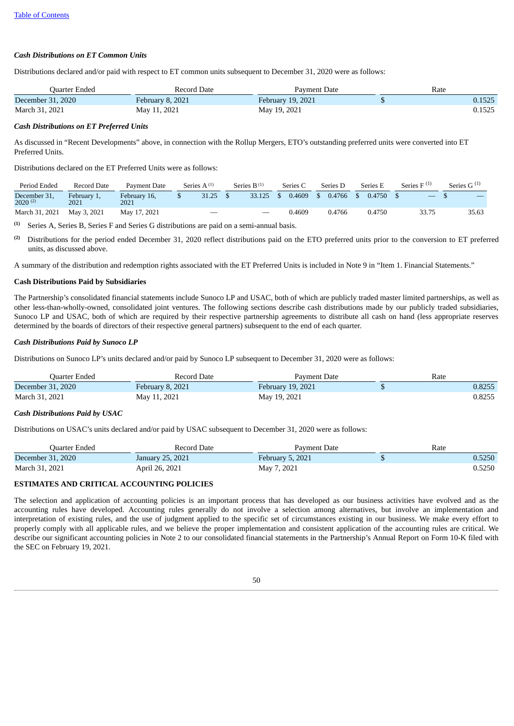## *Cash Distributions on ET Common Units*

Distributions declared and/or paid with respect to ET common units subsequent to December 31, 2020 were as follows:

| Ouarter Ended     | Record Date             | Payment Date             | Rate   |
|-------------------|-------------------------|--------------------------|--------|
| December 31, 2020 | <b>February 8, 2021</b> | <b>February 19, 2021</b> | 0.1525 |
| March 31, 2021    | May 11, 2021            | May 19, 2021             | 0.1525 |

## *Cash Distributions on ET Preferred Units*

As discussed in "Recent Developments" above, in connection with the Rollup Mergers, ETO's outstanding preferred units were converted into ET Preferred Units.

Distributions declared on the ET Preferred Units were as follows:

| Period Ended                 | Record Date         | Payment Date         | Series $A^{(1)}$ | Series $B^{(1)}$         |              | Series C | Series D |     | Series E | Series $F^{(1)}$         | Series G $(1)$ |
|------------------------------|---------------------|----------------------|------------------|--------------------------|--------------|----------|----------|-----|----------|--------------------------|----------------|
| December 31,<br>$2020^{(2)}$ | February 1.<br>2021 | February 16.<br>2021 | 31.25            | 33.125                   | <sup>S</sup> | 0.4609   | 0.4766   | -SS | 0.4750   | $\overline{\phantom{0}}$ |                |
| March 31, 2021               | May 3, 2021         | May 17, 2021         | $-$              | $\overline{\phantom{a}}$ |              | 0.4609   | 0.4766   |     | 0.4750   | 33.75                    | 35.63          |

Series A, Series B, Series F and Series G distributions are paid on a semi-annual basis. **(1)**

Distributions for the period ended December 31, 2020 reflect distributions paid on the ETO preferred units prior to the conversion to ET preferred units, as discussed above. **(2)**

A summary of the distribution and redemption rights associated with the ET Preferred Units is included in Note 9 in "Item 1. Financial Statements."

## **Cash Distributions Paid by Subsidiaries**

The Partnership's consolidated financial statements include Sunoco LP and USAC, both of which are publicly traded master limited partnerships, as well as other less-than-wholly-owned, consolidated joint ventures. The following sections describe cash distributions made by our publicly traded subsidiaries, Sunoco LP and USAC, both of which are required by their respective partnership agreements to distribute all cash on hand (less appropriate reserves determined by the boards of directors of their respective general partners) subsequent to the end of each quarter.

## *Cash Distributions Paid by Sunoco LP*

Distributions on Sunoco LP's units declared and/or paid by Sunoco LP subsequent to December 31, 2020 were as follows:

| Ouarter Ended     | Record Date             | Payment Date      | Rate   |
|-------------------|-------------------------|-------------------|--------|
| December 31, 2020 | <b>February 8, 2021</b> | February 19, 2021 | 0.8255 |
| March 31, 2021    | May 11, 2021            | May 19, 2021      | 0.8255 |

## *Cash Distributions Paid by USAC*

Distributions on USAC's units declared and/or paid by USAC subsequent to December 31, 2020 were as follows:

| Ouarter Ended     | Record Date      | Payment Date            | Rate   |
|-------------------|------------------|-------------------------|--------|
| December 31, 2020 | January 25, 2021 | <b>February 5, 2021</b> | 0.5250 |
| March 31, 2021    | April 26, 2021   | May 7, 2021             | 0.5250 |

## **ESTIMATES AND CRITICAL ACCOUNTING POLICIES**

The selection and application of accounting policies is an important process that has developed as our business activities have evolved and as the accounting rules have developed. Accounting rules generally do not involve a selection among alternatives, but involve an implementation and interpretation of existing rules, and the use of judgment applied to the specific set of circumstances existing in our business. We make every effort to properly comply with all applicable rules, and we believe the proper implementation and consistent application of the accounting rules are critical. We describe our significant accounting policies in Note 2 to our consolidated financial statements in the Partnership's Annual Report on Form 10-K filed with the SEC on February 19, 2021.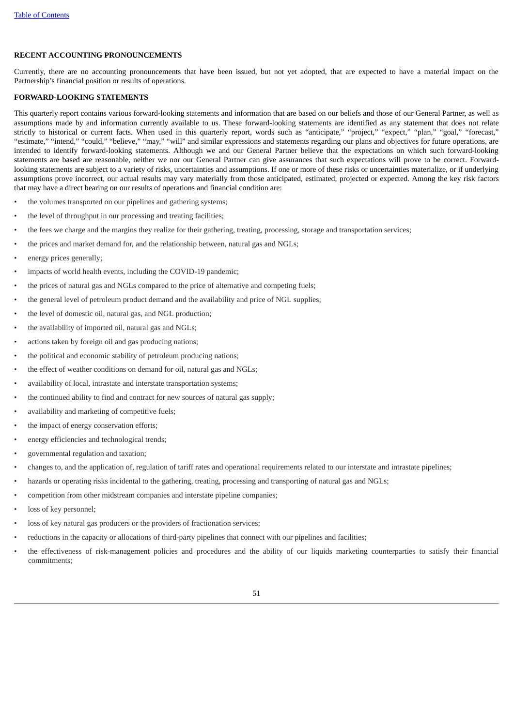## **RECENT ACCOUNTING PRONOUNCEMENTS**

Currently, there are no accounting pronouncements that have been issued, but not yet adopted, that are expected to have a material impact on the Partnership's financial position or results of operations.

#### **FORWARD-LOOKING STATEMENTS**

This quarterly report contains various forward-looking statements and information that are based on our beliefs and those of our General Partner, as well as assumptions made by and information currently available to us. These forward-looking statements are identified as any statement that does not relate strictly to historical or current facts. When used in this quarterly report, words such as "anticipate," "project," "expect," "plan," "goal," "forecast," "estimate," "intend," "could," "believe," "may," "will" and similar expressions and statements regarding our plans and objectives for future operations, are intended to identify forward-looking statements. Although we and our General Partner believe that the expectations on which such forward-looking statements are based are reasonable, neither we nor our General Partner can give assurances that such expectations will prove to be correct. Forwardlooking statements are subject to a variety of risks, uncertainties and assumptions. If one or more of these risks or uncertainties materialize, or if underlying assumptions prove incorrect, our actual results may vary materially from those anticipated, estimated, projected or expected. Among the key risk factors that may have a direct bearing on our results of operations and financial condition are:

- the volumes transported on our pipelines and gathering systems;
- the level of throughput in our processing and treating facilities;
- the fees we charge and the margins they realize for their gathering, treating, processing, storage and transportation services;
- the prices and market demand for, and the relationship between, natural gas and NGLs;
- energy prices generally;
- impacts of world health events, including the COVID-19 pandemic;
- the prices of natural gas and NGLs compared to the price of alternative and competing fuels;
- the general level of petroleum product demand and the availability and price of NGL supplies;
- the level of domestic oil, natural gas, and NGL production;
- the availability of imported oil, natural gas and NGLs;
- actions taken by foreign oil and gas producing nations;
- the political and economic stability of petroleum producing nations;
- the effect of weather conditions on demand for oil, natural gas and NGLs;
- availability of local, intrastate and interstate transportation systems;
- the continued ability to find and contract for new sources of natural gas supply;
- availability and marketing of competitive fuels;
- the impact of energy conservation efforts;
- energy efficiencies and technological trends;
- governmental regulation and taxation;
- changes to, and the application of, regulation of tariff rates and operational requirements related to our interstate and intrastate pipelines;
- hazards or operating risks incidental to the gathering, treating, processing and transporting of natural gas and NGLs;
- competition from other midstream companies and interstate pipeline companies;
- loss of key personnel;
- loss of key natural gas producers or the providers of fractionation services;
- reductions in the capacity or allocations of third-party pipelines that connect with our pipelines and facilities;
- the effectiveness of risk-management policies and procedures and the ability of our liquids marketing counterparties to satisfy their financial commitments;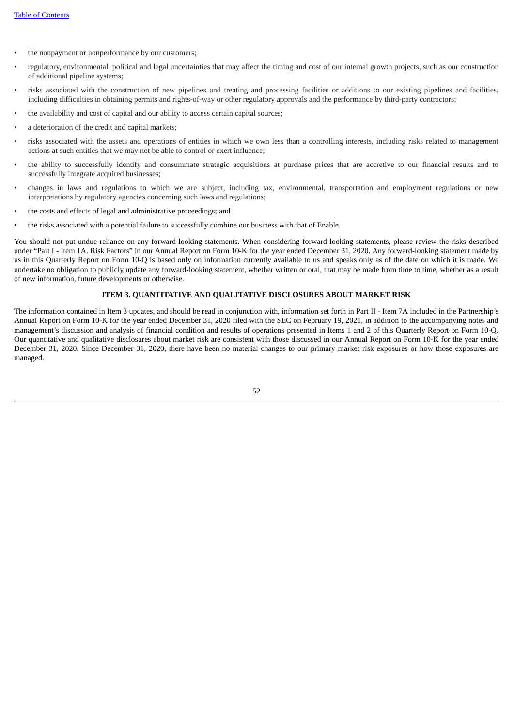- the nonpayment or nonperformance by our customers;
- regulatory, environmental, political and legal uncertainties that may affect the timing and cost of our internal growth projects, such as our construction of additional pipeline systems;
- risks associated with the construction of new pipelines and treating and processing facilities or additions to our existing pipelines and facilities, including difficulties in obtaining permits and rights-of-way or other regulatory approvals and the performance by third-party contractors;
- the availability and cost of capital and our ability to access certain capital sources;
- a deterioration of the credit and capital markets;
- risks associated with the assets and operations of entities in which we own less than a controlling interests, including risks related to management actions at such entities that we may not be able to control or exert influence;
- the ability to successfully identify and consummate strategic acquisitions at purchase prices that are accretive to our financial results and to successfully integrate acquired businesses;
- changes in laws and regulations to which we are subject, including tax, environmental, transportation and employment regulations or new interpretations by regulatory agencies concerning such laws and regulations;
- the costs and effects of legal and administrative proceedings; and
- the risks associated with a potential failure to successfully combine our business with that of Enable.

You should not put undue reliance on any forward-looking statements. When considering forward-looking statements, please review the risks described under "Part I - Item 1A. Risk Factors" in our Annual Report on Form 10-K for the year ended December 31, 2020. Any forward-looking statement made by us in this Quarterly Report on Form 10-Q is based only on information currently available to us and speaks only as of the date on which it is made. We undertake no obligation to publicly update any forward-looking statement, whether written or oral, that may be made from time to time, whether as a result of new information, future developments or otherwise.

#### **ITEM 3. QUANTITATIVE AND QUALITATIVE DISCLOSURES ABOUT MARKET RISK**

<span id="page-55-0"></span>The information contained in Item 3 updates, and should be read in conjunction with, information set forth in Part II - Item 7A included in the Partnership's Annual Report on Form 10-K for the year ended December 31, 2020 filed with the SEC on February 19, 2021, in addition to the accompanying notes and management's discussion and analysis of financial condition and results of operations presented in Items 1 and 2 of this Quarterly Report on Form 10-Q. Our quantitative and qualitative disclosures about market risk are consistent with those discussed in our Annual Report on Form 10-K for the year ended December 31, 2020. Since December 31, 2020, there have been no material changes to our primary market risk exposures or how those exposures are managed.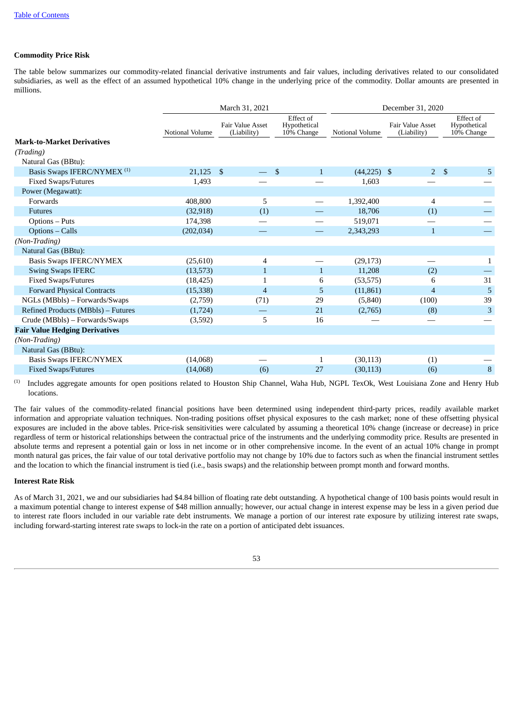## **Commodity Price Risk**

The table below summarizes our commodity-related financial derivative instruments and fair values, including derivatives related to our consolidated subsidiaries, as well as the effect of an assumed hypothetical 10% change in the underlying price of the commodity. Dollar amounts are presented in millions.

|                                        |                 | March 31, 2021                  |                                         | December 31, 2020 |                                        |                                         |  |  |  |
|----------------------------------------|-----------------|---------------------------------|-----------------------------------------|-------------------|----------------------------------------|-----------------------------------------|--|--|--|
|                                        | Notional Volume | Fair Value Asset<br>(Liability) | Effect of<br>Hypothetical<br>10% Change | Notional Volume   | <b>Fair Value Asset</b><br>(Liability) | Effect of<br>Hypothetical<br>10% Change |  |  |  |
| <b>Mark-to-Market Derivatives</b>      |                 |                                 |                                         |                   |                                        |                                         |  |  |  |
| (Trading)                              |                 |                                 |                                         |                   |                                        |                                         |  |  |  |
| Natural Gas (BBtu):                    |                 |                                 |                                         |                   |                                        |                                         |  |  |  |
| Basis Swaps IFERC/NYMEX <sup>(1)</sup> | $21,125$ \$     |                                 | $\mathbb{S}$<br>$\mathbf{1}$            | $(44,225)$ \$     | 2 <sup>1</sup>                         | $\mathbb{S}$<br>5                       |  |  |  |
| <b>Fixed Swaps/Futures</b>             | 1,493           |                                 |                                         | 1,603             |                                        |                                         |  |  |  |
| Power (Megawatt):                      |                 |                                 |                                         |                   |                                        |                                         |  |  |  |
| Forwards                               | 408,800         | 5                               |                                         | 1,392,400         | 4                                      |                                         |  |  |  |
| <b>Futures</b>                         | (32, 918)       | (1)                             | $\overline{\phantom{0}}$                | 18,706            | (1)                                    |                                         |  |  |  |
| Options - Puts                         | 174,398         |                                 |                                         | 519,071           |                                        |                                         |  |  |  |
| Options – Calls                        | (202, 034)      |                                 |                                         | 2,343,293         | $\mathbf{1}$                           |                                         |  |  |  |
| (Non-Trading)                          |                 |                                 |                                         |                   |                                        |                                         |  |  |  |
| Natural Gas (BBtu):                    |                 |                                 |                                         |                   |                                        |                                         |  |  |  |
| <b>Basis Swaps IFERC/NYMEX</b>         | (25,610)        | 4                               |                                         | (29, 173)         |                                        | 1                                       |  |  |  |
| <b>Swing Swaps IFERC</b>               | (13,573)        | $\mathbf{1}$                    | $\mathbf{1}$                            | 11,208            | (2)                                    |                                         |  |  |  |
| <b>Fixed Swaps/Futures</b>             | (18, 425)       |                                 | 6                                       | (53, 575)         | 6                                      | 31                                      |  |  |  |
| <b>Forward Physical Contracts</b>      | (15,338)        | $\overline{4}$                  | 5                                       | (11, 861)         | $\overline{4}$                         | 5                                       |  |  |  |
| NGLs (MBbls) - Forwards/Swaps          | (2,759)         | (71)                            | 29                                      | (5,840)           | (100)                                  | 39                                      |  |  |  |
| Refined Products (MBbls) - Futures     | (1,724)         |                                 | 21                                      | (2,765)           | (8)                                    | 3                                       |  |  |  |
| Crude (MBbls) - Forwards/Swaps         | (3,592)         | 5                               | 16                                      |                   |                                        |                                         |  |  |  |
| <b>Fair Value Hedging Derivatives</b>  |                 |                                 |                                         |                   |                                        |                                         |  |  |  |
| (Non-Trading)                          |                 |                                 |                                         |                   |                                        |                                         |  |  |  |
| Natural Gas (BBtu):                    |                 |                                 |                                         |                   |                                        |                                         |  |  |  |
| <b>Basis Swaps IFERC/NYMEX</b>         | (14,068)        |                                 | $\mathbf{1}$                            | (30, 113)         | (1)                                    |                                         |  |  |  |
| <b>Fixed Swaps/Futures</b>             | (14,068)        | (6)                             | 27                                      | (30, 113)         | (6)                                    | 8                                       |  |  |  |

 $<sup>(1)</sup>$  Includes aggregate amounts for open positions related to Houston Ship Channel, Waha Hub, NGPL TexOk, West Louisiana Zone and Henry Hub</sup> locations.

The fair values of the commodity-related financial positions have been determined using independent third-party prices, readily available market information and appropriate valuation techniques. Non-trading positions offset physical exposures to the cash market; none of these offsetting physical exposures are included in the above tables. Price-risk sensitivities were calculated by assuming a theoretical 10% change (increase or decrease) in price regardless of term or historical relationships between the contractual price of the instruments and the underlying commodity price. Results are presented in absolute terms and represent a potential gain or loss in net income or in other comprehensive income. In the event of an actual 10% change in prompt month natural gas prices, the fair value of our total derivative portfolio may not change by 10% due to factors such as when the financial instrument settles and the location to which the financial instrument is tied (i.e., basis swaps) and the relationship between prompt month and forward months.

#### **Interest Rate Risk**

As of March 31, 2021, we and our subsidiaries had \$4.84 billion of floating rate debt outstanding. A hypothetical change of 100 basis points would result in a maximum potential change to interest expense of \$48 million annually; however, our actual change in interest expense may be less in a given period due to interest rate floors included in our variable rate debt instruments. We manage a portion of our interest rate exposure by utilizing interest rate swaps, including forward-starting interest rate swaps to lock-in the rate on a portion of anticipated debt issuances.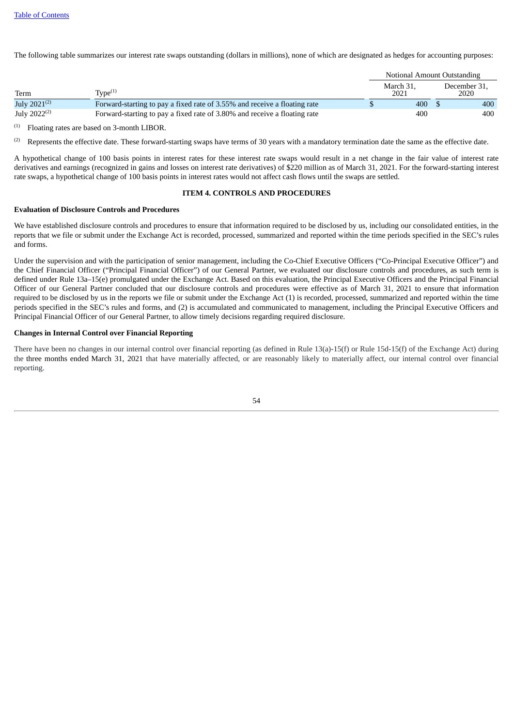The following table summarizes our interest rate swaps outstanding (dollars in millions), none of which are designated as hedges for accounting purposes:

|                   |                                                                           | Notional Amount Outstanding |                   |  |                      |
|-------------------|---------------------------------------------------------------------------|-----------------------------|-------------------|--|----------------------|
| Term              | ${\rm Twoe}^{\scriptscriptstyle (1)}$                                     |                             | March 31,<br>2021 |  | December 31,<br>2020 |
| July $2021^{(2)}$ | Forward-starting to pay a fixed rate of 3.55% and receive a floating rate |                             | 400               |  | 400                  |
| July $2022^{(2)}$ | Forward-starting to pay a fixed rate of 3.80% and receive a floating rate |                             | 400               |  | 400                  |

Floating rates are based on 3-month LIBOR. (1)

Represents the effective date. These forward-starting swaps have terms of 30 years with a mandatory termination date the same as the effective date. (2)

A hypothetical change of 100 basis points in interest rates for these interest rate swaps would result in a net change in the fair value of interest rate derivatives and earnings (recognized in gains and losses on interest rate derivatives) of \$220 million as of March 31, 2021. For the forward-starting interest rate swaps, a hypothetical change of 100 basis points in interest rates would not affect cash flows until the swaps are settled.

## **ITEM 4. CONTROLS AND PROCEDURES**

#### <span id="page-57-0"></span>**Evaluation of Disclosure Controls and Procedures**

We have established disclosure controls and procedures to ensure that information required to be disclosed by us, including our consolidated entities, in the reports that we file or submit under the Exchange Act is recorded, processed, summarized and reported within the time periods specified in the SEC's rules and forms.

Under the supervision and with the participation of senior management, including the Co-Chief Executive Officers ("Co-Principal Executive Officer") and the Chief Financial Officer ("Principal Financial Officer") of our General Partner, we evaluated our disclosure controls and procedures, as such term is defined under Rule 13a–15(e) promulgated under the Exchange Act. Based on this evaluation, the Principal Executive Officers and the Principal Financial Officer of our General Partner concluded that our disclosure controls and procedures were effective as of March 31, 2021 to ensure that information required to be disclosed by us in the reports we file or submit under the Exchange Act (1) is recorded, processed, summarized and reported within the time periods specified in the SEC's rules and forms, and (2) is accumulated and communicated to management, including the Principal Executive Officers and Principal Financial Officer of our General Partner, to allow timely decisions regarding required disclosure.

## **Changes in Internal Control over Financial Reporting**

<span id="page-57-1"></span>There have been no changes in our internal control over financial reporting (as defined in Rule 13(a)-15(f) or Rule 15d-15(f) of the Exchange Act) during the three months ended March 31, 2021 that have materially affected, or are reasonably likely to materially affect, our internal control over financial reporting.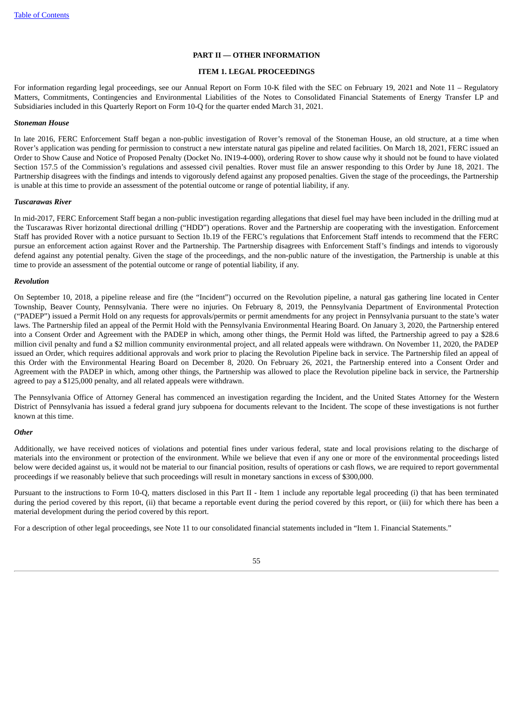## **PART II — OTHER INFORMATION**

#### **ITEM 1. LEGAL PROCEEDINGS**

<span id="page-58-0"></span>For information regarding legal proceedings, see our Annual Report on Form 10-K filed with the SEC on February 19, 2021 and Note 11 – Regulatory Matters, Commitments, Contingencies and Environmental Liabilities of the Notes to Consolidated Financial Statements of Energy Transfer LP and Subsidiaries included in this Quarterly Report on Form 10-Q for the quarter ended March 31, 2021.

#### *Stoneman House*

In late 2016, FERC Enforcement Staff began a non-public investigation of Rover's removal of the Stoneman House, an old structure, at a time when Rover's application was pending for permission to construct a new interstate natural gas pipeline and related facilities. On March 18, 2021, FERC issued an Order to Show Cause and Notice of Proposed Penalty (Docket No. IN19-4-000), ordering Rover to show cause why it should not be found to have violated Section 157.5 of the Commission's regulations and assessed civil penalties. Rover must file an answer responding to this Order by June 18, 2021. The Partnership disagrees with the findings and intends to vigorously defend against any proposed penalties. Given the stage of the proceedings, the Partnership is unable at this time to provide an assessment of the potential outcome or range of potential liability, if any.

#### *Tuscarawas River*

In mid-2017, FERC Enforcement Staff began a non-public investigation regarding allegations that diesel fuel may have been included in the drilling mud at the Tuscarawas River horizontal directional drilling ("HDD") operations. Rover and the Partnership are cooperating with the investigation. Enforcement Staff has provided Rover with a notice pursuant to Section 1b.19 of the FERC's regulations that Enforcement Staff intends to recommend that the FERC pursue an enforcement action against Rover and the Partnership. The Partnership disagrees with Enforcement Staff's findings and intends to vigorously defend against any potential penalty. Given the stage of the proceedings, and the non-public nature of the investigation, the Partnership is unable at this time to provide an assessment of the potential outcome or range of potential liability, if any.

#### *Revolution*

On September 10, 2018, a pipeline release and fire (the "Incident") occurred on the Revolution pipeline, a natural gas gathering line located in Center Township, Beaver County, Pennsylvania. There were no injuries. On February 8, 2019, the Pennsylvania Department of Environmental Protection ("PADEP") issued a Permit Hold on any requests for approvals/permits or permit amendments for any project in Pennsylvania pursuant to the state's water laws. The Partnership filed an appeal of the Permit Hold with the Pennsylvania Environmental Hearing Board. On January 3, 2020, the Partnership entered into a Consent Order and Agreement with the PADEP in which, among other things, the Permit Hold was lifted, the Partnership agreed to pay a \$28.6 million civil penalty and fund a \$2 million community environmental project, and all related appeals were withdrawn. On November 11, 2020, the PADEP issued an Order, which requires additional approvals and work prior to placing the Revolution Pipeline back in service. The Partnership filed an appeal of this Order with the Environmental Hearing Board on December 8, 2020. On February 26, 2021, the Partnership entered into a Consent Order and Agreement with the PADEP in which, among other things, the Partnership was allowed to place the Revolution pipeline back in service, the Partnership agreed to pay a \$125,000 penalty, and all related appeals were withdrawn.

The Pennsylvania Office of Attorney General has commenced an investigation regarding the Incident, and the United States Attorney for the Western District of Pennsylvania has issued a federal grand jury subpoena for documents relevant to the Incident. The scope of these investigations is not further known at this time.

#### *Other*

Additionally, we have received notices of violations and potential fines under various federal, state and local provisions relating to the discharge of materials into the environment or protection of the environment. While we believe that even if any one or more of the environmental proceedings listed below were decided against us, it would not be material to our financial position, results of operations or cash flows, we are required to report governmental proceedings if we reasonably believe that such proceedings will result in monetary sanctions in excess of \$300,000.

Pursuant to the instructions to Form 10-Q, matters disclosed in this Part II - Item 1 include any reportable legal proceeding (i) that has been terminated during the period covered by this report, (ii) that became a reportable event during the period covered by this report, or (iii) for which there has been a material development during the period covered by this report.

<span id="page-58-1"></span>For a description of other legal proceedings, see Note 11 to our consolidated financial statements included in "Item 1. Financial Statements."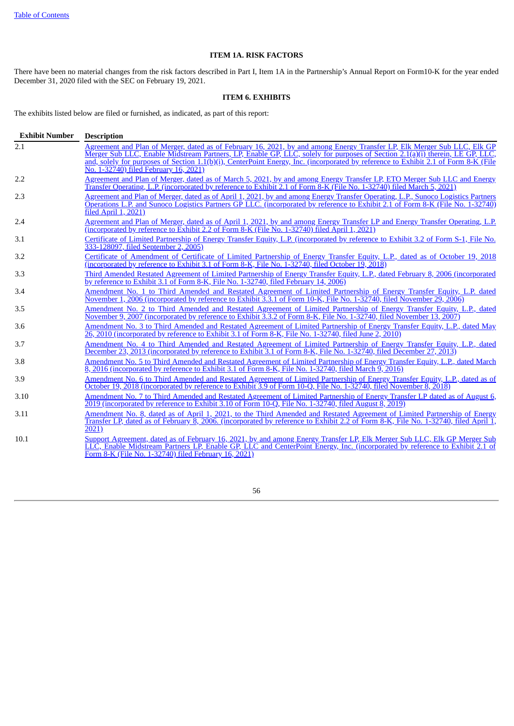# **ITEM 1A. RISK FACTORS**

<span id="page-59-0"></span>There have been no material changes from the risk factors described in Part I, Item 1A in the Partnership's Annual Report on Form10-K for the year ended December 31, 2020 filed with the SEC on February 19, 2021.

## **ITEM 6. EXHIBITS**

The exhibits listed below are filed or furnished, as indicated, as part of this report:

| <b>Exhibit Number</b> | <b>Description</b>                                                                                                                                                                                                                                                                                                                                                                                                                       |
|-----------------------|------------------------------------------------------------------------------------------------------------------------------------------------------------------------------------------------------------------------------------------------------------------------------------------------------------------------------------------------------------------------------------------------------------------------------------------|
| 2.1                   | Agreement and Plan of Merger, dated as of February 16, 2021, by and among Energy Transfer LP, Elk Merger Sub LLC, Elk GP<br>Merger Sub LLC, Enable Midstream Partners, LP, Enable GP, LLC, solely for purposes of Section 2.1(a)(i) therein, LE GP, LLC,<br>and, solely for purposes of Section 1.1(b)(i), CenterPoint Energy, Inc. (incorporated by reference to Exhibit 2.1 of Form 8-K (File<br>No. 1-32740) filed February 16, 2021) |
| 2.2                   | Agreement and Plan of Merger, dated as of March 5, 2021, by and among Energy Transfer LP, ETO Merger Sub LLC and Energy<br>Transfer Operating, L.P. (incorporated by reference to Exhibit 2.1 of Form 8-K (File No. 1-32740) filed March 5, 2021)                                                                                                                                                                                        |
| 2.3                   | Agreement and Plan of Merger, dated as of April 1, 2021, by and among Energy Transfer Operating, L.P., Sunoco Logistics Partners<br>Operations L.P. and Sunoco Logistics Partners GP LLC. (incorporated by reference to Exhibit 2.1 of Form 8-K (File No. 1-32740)<br>filed April 1, 2021)                                                                                                                                               |
| 2.4                   | Agreement and Plan of Merger, dated as of April 1, 2021, by and among Energy Transfer LP and Energy Transfer Operating, L.P.<br>(incorporated by reference to Exhibit 2.2 of Form 8-K (File No. 1-32740) filed April 1, 2021)                                                                                                                                                                                                            |
| 3.1                   | Certificate of Limited Partnership of Energy Transfer Equity, L.P. (incorporated by reference to Exhibit 3.2 of Form S-1, File No.<br>333-128097, filed September 2, 2005)                                                                                                                                                                                                                                                               |
| 3.2                   | Certificate of Amendment of Certificate of Limited Partnership of Energy Transfer Equity, L.P., dated as of October 19, 2018<br>(incorporated by reference to Exhibit 3.1 of Form 8-K, File No. 1-32740, filed October 19, 2018)                                                                                                                                                                                                         |
| 3.3                   | Third Amended Restated Agreement of Limited Partnership of Energy Transfer Equity, L.P., dated February 8, 2006 (incorporated<br>by reference to Exhibit 3.1 of Form 8-K, File No. 1-32740, filed February 14, 2006)                                                                                                                                                                                                                     |
| 3.4                   | Amendment No. 1 to Third Amended and Restated Agreement of Limited Partnership of Energy Transfer Equity, L.P. dated<br>November 1, 2006 (incorporated by reference to Exhibit 3.3.1 of Form 10-K, File No. 1-32740, filed November 29, 2006)                                                                                                                                                                                            |
| 3.5                   | Amendment No. 2 to Third Amended and Restated Agreement of Limited Partnership of Energy Transfer Equity, L.P., dated<br>November 9, 2007 (incorporated by reference to Exhibit 3.3.2 of Form 8-K, File No. 1-32740, filed November 13, 2007)                                                                                                                                                                                            |
| 3.6                   | Amendment No. 3 to Third Amended and Restated Agreement of Limited Partnership of Energy Transfer Equity, L.P., dated May<br>26, 2010 (incorporated by reference to Exhibit 3.1 of Form 8-K, File No. 1-32740, filed June 2, 2010)                                                                                                                                                                                                       |
| 3.7                   | Amendment No. 4 to Third Amended and Restated Agreement of Limited Partnership of Energy Transfer Equity, L.P., dated<br>December 23, 2013 (incorporated by reference to Exhibit 3.1 of Form 8-K, File No. 1-32740, filed December 27, 2013)                                                                                                                                                                                             |
| 3.8                   | Amendment No. 5 to Third Amended and Restated Agreement of Limited Partnership of Energy Transfer Equity, L.P., dated March<br>8, 2016 (incorporated by reference to Exhibit 3.1 of Form 8-K, File No. 1-32740, filed March 9, 2016)                                                                                                                                                                                                     |
| 3.9                   | Amendment No. 6 to Third Amended and Restated Agreement of Limited Partnership of Energy Transfer Equity, L.P., dated as of<br>October 19, 2018 (incorporated by reference to Exhibit 3.9 of Form 10-Q, File No. 1-32740, filed November 8, 2018)                                                                                                                                                                                        |
| 3.10                  | Amendment No. 7 to Third Amended and Restated Agreement of Limited Partnership of Energy Transfer LP dated as of August 6,<br>2019 (incorporated by reference to Exhibit 3.10 of Form 10-Q, File No. 1-32740, filed August 8, 2019)                                                                                                                                                                                                      |
| 3.11                  | Amendment No. 8, dated as of April 1, 2021, to the Third Amended and Restated Agreement of Limited Partnership of Energy<br>Transfer LP, dated as of February 8, 2006. (incorporated by reference to Exhibit 2.2 of Form 8-K, File No. 1-32740, filed April 1,<br>2021)                                                                                                                                                                  |
| 10.1                  | Support Agreement, dated as of February 16, 2021, by and among Energy Transfer LP, Elk Merger Sub LLC, Elk GP Merger Sub<br>LLC, Enable Midstream Partners LP, Enable GP, LLC and CenterPoint Energy, Inc. (incorporated by reference to Exhibit 2.1 of<br>Form 8-K (File No. 1-32740) filed February 16, 2021)                                                                                                                          |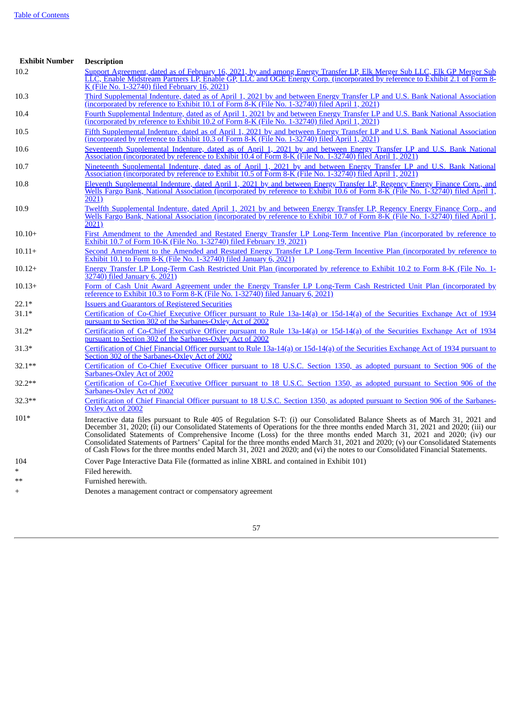<span id="page-60-0"></span>

| <b>Exhibit Number</b> | <b>Description</b>                                                                                                                                                                                                                                                                                                                                                                                                                                                                                                                                                                                                                                          |
|-----------------------|-------------------------------------------------------------------------------------------------------------------------------------------------------------------------------------------------------------------------------------------------------------------------------------------------------------------------------------------------------------------------------------------------------------------------------------------------------------------------------------------------------------------------------------------------------------------------------------------------------------------------------------------------------------|
| 10.2                  | Support Agreement, dated as of February 16, 2021, by and among Energy Transfer LP, Elk Merger Sub LLC, Elk GP Merger Sub<br>LLC, Enable Midstream Partners LP, Enable GP, LLC and OGE Energy Corp. (incorporated by reference to Exhibit 2.1 of Form 8-<br>K (File No. 1-32740) filed February 16, 2021)                                                                                                                                                                                                                                                                                                                                                    |
| 10.3                  | Third Supplemental Indenture, dated as of April 1, 2021 by and between Energy Transfer LP and U.S. Bank National Association<br>(incorporated by reference to Exhibit 10.1 of Form 8-K (File No. 1-32740) filed April 1, 2021)                                                                                                                                                                                                                                                                                                                                                                                                                              |
| 10.4                  | Fourth Supplemental Indenture, dated as of April 1, 2021 by and between Energy Transfer LP and U.S. Bank National Association<br>(incorporated by reference to Exhibit 10.2 of Form 8-K (File No. 1-32740) filed April 1, 2021)                                                                                                                                                                                                                                                                                                                                                                                                                             |
| 10.5                  | Fifth Supplemental Indenture, dated as of April 1, 2021 by and between Energy Transfer LP and U.S. Bank National Association<br>(incorporated by reference to Exhibit 10.3 of Form 8-K (File No. 1-32740) filed April 1, 2021)                                                                                                                                                                                                                                                                                                                                                                                                                              |
| 10.6                  | Seventeenth Supplemental Indenture, dated as of April 1, 2021 by and between Energy Transfer LP and U.S. Bank National<br>Association (incorporated by reference to Exhibit 10.4 of Form 8-K (File No. 1-32740) filed April 1, 2021)                                                                                                                                                                                                                                                                                                                                                                                                                        |
| 10.7                  | Nineteenth Supplemental Indenture, dated as of April 1, 2021 by and between Energy Transfer LP and U.S. Bank National<br>Association (incorporated by reference to Exhibit 10.5 of Form 8-K (File No. 1-32740) filed April 1, 2021)                                                                                                                                                                                                                                                                                                                                                                                                                         |
| 10.8                  | Eleventh Supplemental Indenture, dated April 1, 2021 by and between Energy Transfer LP, Regency Energy Finance Corp., and<br>Wells Fargo Bank, National Association (incorporated by reference to Exhibit 10.6 of Form 8-K (File No. 1-32740) filed April 1,<br>$\overline{2021}$                                                                                                                                                                                                                                                                                                                                                                           |
| 10.9                  | Twelfth Supplemental Indenture, dated April 1, 2021 by and between Energy Transfer LP, Regency Energy Finance Corp., and<br>Wells Fargo Bank, National Association (incorporated by reference to Exhibit 10.7 of Form 8-K (File No. 1-32740) filed April 1,<br>2021)                                                                                                                                                                                                                                                                                                                                                                                        |
| $10.10+$              | First Amendment to the Amended and Restated Energy Transfer LP Long-Term Incentive Plan (incorporated by reference to<br>Exhibit 10.7 of Form 10-K (File No. 1-32740) filed February 19, 2021)                                                                                                                                                                                                                                                                                                                                                                                                                                                              |
| $10.11+$              | Second Amendment to the Amended and Restated Energy Transfer LP Long-Term Incentive Plan (incorporated by reference to<br>Exhibit 10.1 to Form 8-K (File No. 1-32740) filed January 6, 2021)                                                                                                                                                                                                                                                                                                                                                                                                                                                                |
| $10.12+$              | Energy Transfer LP Long-Term Cash Restricted Unit Plan (incorporated by reference to Exhibit 10.2 to Form 8-K (File No. 1-<br>32740) filed January 6, 2021)                                                                                                                                                                                                                                                                                                                                                                                                                                                                                                 |
| $10.13+$              | Form of Cash Unit Award Agreement under the Energy Transfer LP Long-Term Cash Restricted Unit Plan (incorporated by<br>reference to Exhibit 10.3 to Form 8-K (File No. 1-32740) filed January 6, 2021)                                                                                                                                                                                                                                                                                                                                                                                                                                                      |
| $22.1*$               | <b>Issuers and Guarantors of Registered Securities</b>                                                                                                                                                                                                                                                                                                                                                                                                                                                                                                                                                                                                      |
| $31.1*$               | Certification of Co-Chief Executive Officer pursuant to Rule 13a-14(a) or 15d-14(a) of the Securities Exchange Act of 1934<br>pursuant to Section 302 of the Sarbanes-Oxley Act of 2002                                                                                                                                                                                                                                                                                                                                                                                                                                                                     |
| $31.2*$               | Certification of Co-Chief Executive Officer pursuant to Rule 13a-14(a) or 15d-14(a) of the Securities Exchange Act of 1934<br>pursuant to Section 302 of the Sarbanes-Oxley Act of 2002                                                                                                                                                                                                                                                                                                                                                                                                                                                                     |
| $31.3*$               | Certification of Chief Financial Officer pursuant to Rule 13a-14(a) or 15d-14(a) of the Securities Exchange Act of 1934 pursuant to<br>Section 302 of the Sarbanes-Oxley Act of 2002                                                                                                                                                                                                                                                                                                                                                                                                                                                                        |
| $32.1***$             | Certification of Co-Chief Executive Officer pursuant to 18 U.S.C. Section 1350, as adopted pursuant to Section 906 of the<br>Sarbanes-Oxley Act of 2002                                                                                                                                                                                                                                                                                                                                                                                                                                                                                                     |
| $32.2**$              | Certification of Co-Chief Executive Officer pursuant to 18 U.S.C. Section 1350, as adopted pursuant to Section 906 of the<br>Sarbanes-Oxley Act of 2002                                                                                                                                                                                                                                                                                                                                                                                                                                                                                                     |
| $32.3**$              | Certification of Chief Financial Officer pursuant to 18 U.S.C. Section 1350, as adopted pursuant to Section 906 of the Sarbanes-<br><b>Oxley Act of 2002</b>                                                                                                                                                                                                                                                                                                                                                                                                                                                                                                |
| $101*$                | Interactive data files pursuant to Rule 405 of Regulation S-T: (i) our Consolidated Balance Sheets as of March 31, 2021 and<br>December 31, 2020; (ii) our Consolidated Statements of Operations for the three months ended March 31, 2021 and 2020; (iii) our<br>Consolidated Statements of Comprehensive Income (Loss) for the three months ended March 31, 2021 and 2020; (iv) our<br>Consolidated Statements of Partners' Capital for the three months ended March 31, 2021 and 2020; (v) our Consolidated Statements<br>of Cash Flows for the three months ended March 31, 2021 and 2020; and (vi) the notes to our Consolidated Financial Statements. |
| 104                   | Cover Page Interactive Data File (formatted as inline XBRL and contained in Exhibit 101)                                                                                                                                                                                                                                                                                                                                                                                                                                                                                                                                                                    |
| ∗                     | Filed herewith.                                                                                                                                                                                                                                                                                                                                                                                                                                                                                                                                                                                                                                             |
| $***$                 | Furnished herewith.                                                                                                                                                                                                                                                                                                                                                                                                                                                                                                                                                                                                                                         |
| $^{+}$                | Denotes a management contract or compensatory agreement                                                                                                                                                                                                                                                                                                                                                                                                                                                                                                                                                                                                     |
|                       |                                                                                                                                                                                                                                                                                                                                                                                                                                                                                                                                                                                                                                                             |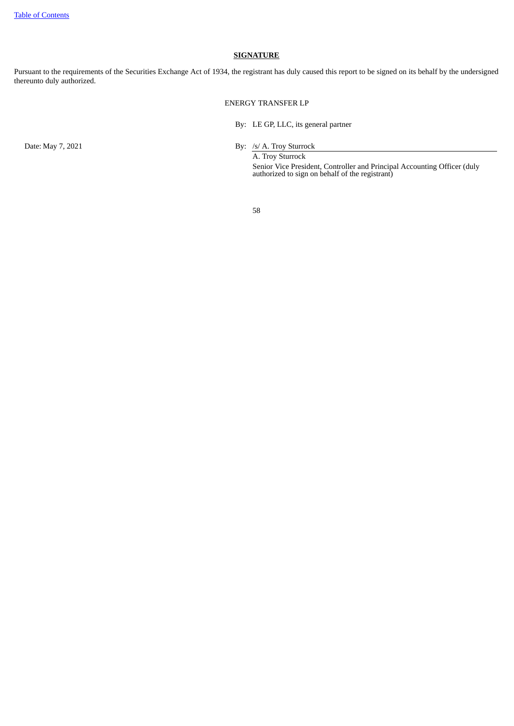# **SIGNATURE**

Pursuant to the requirements of the Securities Exchange Act of 1934, the registrant has duly caused this report to be signed on its behalf by the undersigned thereunto duly authorized.

## ENERGY TRANSFER LP

By: LE GP, LLC, its general partner

Date: May 7, 2021 By: /s/ A. Troy Sturrock

A. Troy Sturrock Senior Vice President, Controller and Principal Accounting Officer (duly authorized to sign on behalf of the registrant)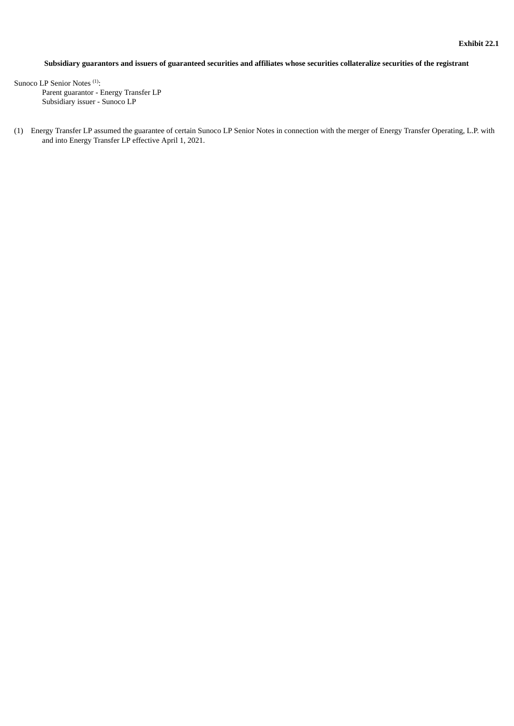## <span id="page-62-0"></span>Subsidiary guarantors and issuers of guaranteed securities and affiliates whose securities collateralize securities of the registrant

Sunoco LP Senior Notes<sup>(1)</sup>: Parent guarantor - Energy Transfer LP Subsidiary issuer - Sunoco LP

(1) Energy Transfer LP assumed the guarantee of certain Sunoco LP Senior Notes in connection with the merger of Energy Transfer Operating, L.P. with and into Energy Transfer LP effective April 1, 2021.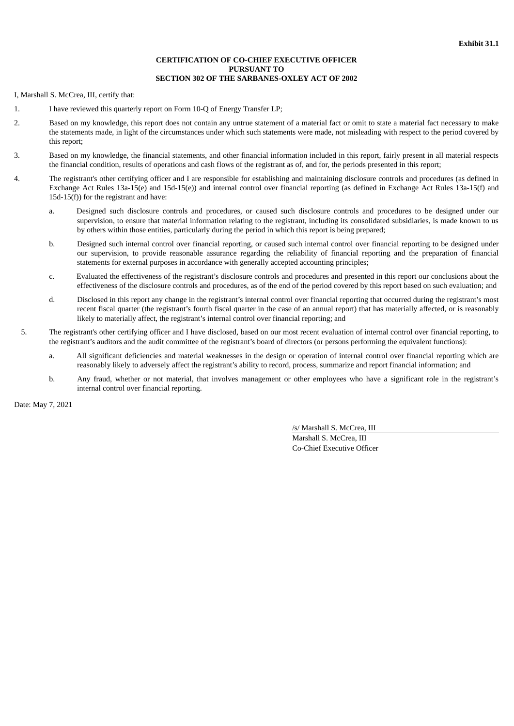## **CERTIFICATION OF CO-CHIEF EXECUTIVE OFFICER PURSUANT TO SECTION 302 OF THE SARBANES-OXLEY ACT OF 2002**

<span id="page-63-0"></span>I, Marshall S. McCrea, III, certify that:

- 1. I have reviewed this quarterly report on Form 10-Q of Energy Transfer LP;
- 2. Based on my knowledge, this report does not contain any untrue statement of a material fact or omit to state a material fact necessary to make the statements made, in light of the circumstances under which such statements were made, not misleading with respect to the period covered by this report;
- 3. Based on my knowledge, the financial statements, and other financial information included in this report, fairly present in all material respects the financial condition, results of operations and cash flows of the registrant as of, and for, the periods presented in this report;
- 4. The registrant's other certifying officer and I are responsible for establishing and maintaining disclosure controls and procedures (as defined in Exchange Act Rules 13a-15(e) and 15d-15(e)) and internal control over financial reporting (as defined in Exchange Act Rules 13a-15(f) and 15d-15(f)) for the registrant and have:
	- a. Designed such disclosure controls and procedures, or caused such disclosure controls and procedures to be designed under our supervision, to ensure that material information relating to the registrant, including its consolidated subsidiaries, is made known to us by others within those entities, particularly during the period in which this report is being prepared;
	- b. Designed such internal control over financial reporting, or caused such internal control over financial reporting to be designed under our supervision, to provide reasonable assurance regarding the reliability of financial reporting and the preparation of financial statements for external purposes in accordance with generally accepted accounting principles;
	- c. Evaluated the effectiveness of the registrant's disclosure controls and procedures and presented in this report our conclusions about the effectiveness of the disclosure controls and procedures, as of the end of the period covered by this report based on such evaluation; and
	- d. Disclosed in this report any change in the registrant's internal control over financial reporting that occurred during the registrant's most recent fiscal quarter (the registrant's fourth fiscal quarter in the case of an annual report) that has materially affected, or is reasonably likely to materially affect, the registrant's internal control over financial reporting; and
- 5. The registrant's other certifying officer and I have disclosed, based on our most recent evaluation of internal control over financial reporting, to the registrant's auditors and the audit committee of the registrant's board of directors (or persons performing the equivalent functions):
	- a. All significant deficiencies and material weaknesses in the design or operation of internal control over financial reporting which are reasonably likely to adversely affect the registrant's ability to record, process, summarize and report financial information; and
	- b. Any fraud, whether or not material, that involves management or other employees who have a significant role in the registrant's internal control over financial reporting.

Date: May 7, 2021

/s/ Marshall S. McCrea, III Marshall S. McCrea, III Co-Chief Executive Officer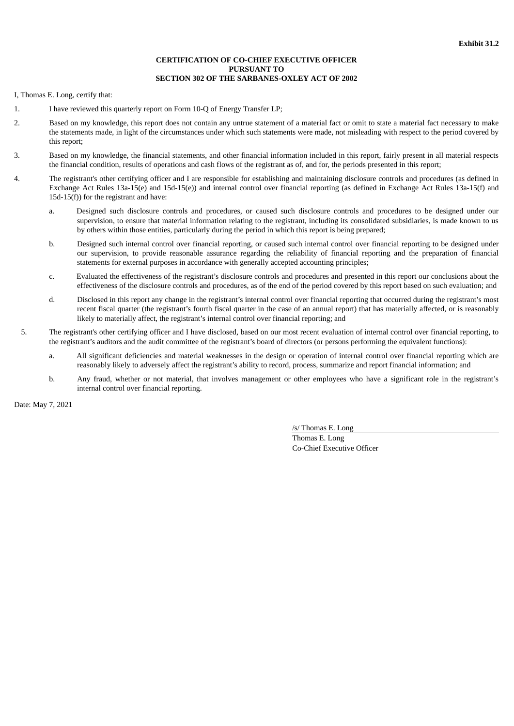## **CERTIFICATION OF CO-CHIEF EXECUTIVE OFFICER PURSUANT TO SECTION 302 OF THE SARBANES-OXLEY ACT OF 2002**

<span id="page-64-0"></span>I, Thomas E. Long, certify that:

- 1. I have reviewed this quarterly report on Form 10-Q of Energy Transfer LP;
- 2. Based on my knowledge, this report does not contain any untrue statement of a material fact or omit to state a material fact necessary to make the statements made, in light of the circumstances under which such statements were made, not misleading with respect to the period covered by this report;
- 3. Based on my knowledge, the financial statements, and other financial information included in this report, fairly present in all material respects the financial condition, results of operations and cash flows of the registrant as of, and for, the periods presented in this report;
- 4. The registrant's other certifying officer and I are responsible for establishing and maintaining disclosure controls and procedures (as defined in Exchange Act Rules 13a-15(e) and 15d-15(e)) and internal control over financial reporting (as defined in Exchange Act Rules 13a-15(f) and 15d-15(f)) for the registrant and have:
	- a. Designed such disclosure controls and procedures, or caused such disclosure controls and procedures to be designed under our supervision, to ensure that material information relating to the registrant, including its consolidated subsidiaries, is made known to us by others within those entities, particularly during the period in which this report is being prepared;
	- b. Designed such internal control over financial reporting, or caused such internal control over financial reporting to be designed under our supervision, to provide reasonable assurance regarding the reliability of financial reporting and the preparation of financial statements for external purposes in accordance with generally accepted accounting principles;
	- c. Evaluated the effectiveness of the registrant's disclosure controls and procedures and presented in this report our conclusions about the effectiveness of the disclosure controls and procedures, as of the end of the period covered by this report based on such evaluation; and
	- d. Disclosed in this report any change in the registrant's internal control over financial reporting that occurred during the registrant's most recent fiscal quarter (the registrant's fourth fiscal quarter in the case of an annual report) that has materially affected, or is reasonably likely to materially affect, the registrant's internal control over financial reporting; and
- 5. The registrant's other certifying officer and I have disclosed, based on our most recent evaluation of internal control over financial reporting, to the registrant's auditors and the audit committee of the registrant's board of directors (or persons performing the equivalent functions):
	- a. All significant deficiencies and material weaknesses in the design or operation of internal control over financial reporting which are reasonably likely to adversely affect the registrant's ability to record, process, summarize and report financial information; and
	- b. Any fraud, whether or not material, that involves management or other employees who have a significant role in the registrant's internal control over financial reporting.

Date: May 7, 2021

/s/ Thomas E. Long

Thomas E. Long Co-Chief Executive Officer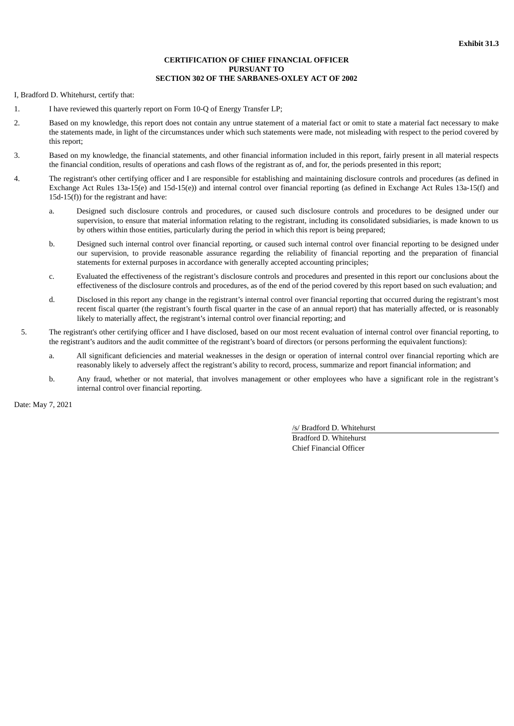## **CERTIFICATION OF CHIEF FINANCIAL OFFICER PURSUANT TO SECTION 302 OF THE SARBANES-OXLEY ACT OF 2002**

<span id="page-65-0"></span>I, Bradford D. Whitehurst, certify that:

- 1. I have reviewed this quarterly report on Form 10-Q of Energy Transfer LP;
- 2. Based on my knowledge, this report does not contain any untrue statement of a material fact or omit to state a material fact necessary to make the statements made, in light of the circumstances under which such statements were made, not misleading with respect to the period covered by this report;
- 3. Based on my knowledge, the financial statements, and other financial information included in this report, fairly present in all material respects the financial condition, results of operations and cash flows of the registrant as of, and for, the periods presented in this report;
- 4. The registrant's other certifying officer and I are responsible for establishing and maintaining disclosure controls and procedures (as defined in Exchange Act Rules 13a-15(e) and 15d-15(e)) and internal control over financial reporting (as defined in Exchange Act Rules 13a-15(f) and 15d-15(f)) for the registrant and have:
	- a. Designed such disclosure controls and procedures, or caused such disclosure controls and procedures to be designed under our supervision, to ensure that material information relating to the registrant, including its consolidated subsidiaries, is made known to us by others within those entities, particularly during the period in which this report is being prepared;
	- b. Designed such internal control over financial reporting, or caused such internal control over financial reporting to be designed under our supervision, to provide reasonable assurance regarding the reliability of financial reporting and the preparation of financial statements for external purposes in accordance with generally accepted accounting principles;
	- c. Evaluated the effectiveness of the registrant's disclosure controls and procedures and presented in this report our conclusions about the effectiveness of the disclosure controls and procedures, as of the end of the period covered by this report based on such evaluation; and
	- d. Disclosed in this report any change in the registrant's internal control over financial reporting that occurred during the registrant's most recent fiscal quarter (the registrant's fourth fiscal quarter in the case of an annual report) that has materially affected, or is reasonably likely to materially affect, the registrant's internal control over financial reporting; and
- 5. The registrant's other certifying officer and I have disclosed, based on our most recent evaluation of internal control over financial reporting, to the registrant's auditors and the audit committee of the registrant's board of directors (or persons performing the equivalent functions):
	- a. All significant deficiencies and material weaknesses in the design or operation of internal control over financial reporting which are reasonably likely to adversely affect the registrant's ability to record, process, summarize and report financial information; and
	- b. Any fraud, whether or not material, that involves management or other employees who have a significant role in the registrant's internal control over financial reporting.

Date: May 7, 2021

/s/ Bradford D. Whitehurst Bradford D. Whitehurst Chief Financial Officer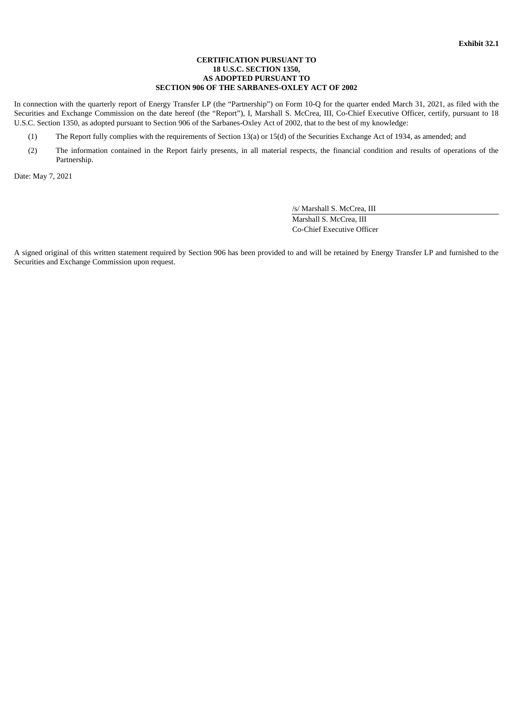## **CERTIFICATION PURSUANT TO 18 U.S.C. SECTION 1350, AS ADOPTED PURSUANT TO SECTION 906 OF THE SARBANES-OXLEY ACT OF 2002**

<span id="page-66-0"></span>In connection with the quarterly report of Energy Transfer LP (the "Partnership") on Form 10-Q for the quarter ended March 31, 2021, as filed with the Securities and Exchange Commission on the date hereof (the "Report"), I, Marshall S. McCrea, III, Co-Chief Executive Officer, certify, pursuant to 18 U.S.C. Section 1350, as adopted pursuant to Section 906 of the Sarbanes-Oxley Act of 2002, that to the best of my knowledge:

- (1) The Report fully complies with the requirements of Section 13(a) or 15(d) of the Securities Exchange Act of 1934, as amended; and
- (2) The information contained in the Report fairly presents, in all material respects, the financial condition and results of operations of the Partnership.

Date: May 7, 2021

/s/ Marshall S. McCrea, III

Marshall S. McCrea, III Co-Chief Executive Officer

A signed original of this written statement required by Section 906 has been provided to and will be retained by Energy Transfer LP and furnished to the Securities and Exchange Commission upon request.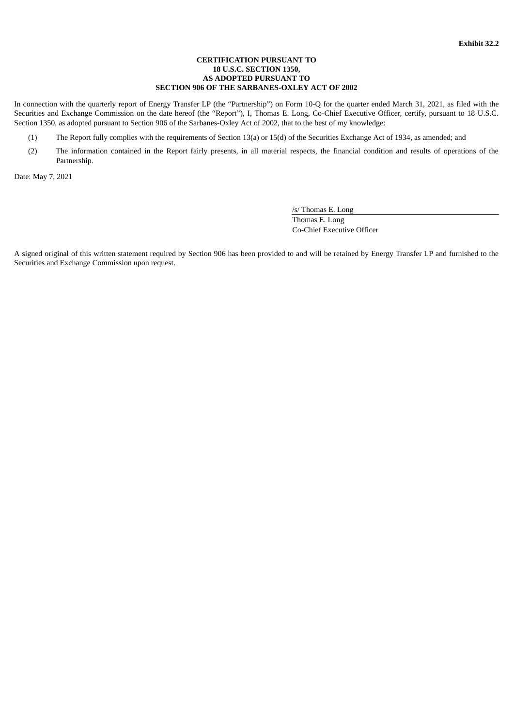## **CERTIFICATION PURSUANT TO 18 U.S.C. SECTION 1350, AS ADOPTED PURSUANT TO SECTION 906 OF THE SARBANES-OXLEY ACT OF 2002**

<span id="page-67-0"></span>In connection with the quarterly report of Energy Transfer LP (the "Partnership") on Form 10-Q for the quarter ended March 31, 2021, as filed with the Securities and Exchange Commission on the date hereof (the "Report"), I, Thomas E. Long, Co-Chief Executive Officer, certify, pursuant to 18 U.S.C. Section 1350, as adopted pursuant to Section 906 of the Sarbanes-Oxley Act of 2002, that to the best of my knowledge:

- (1) The Report fully complies with the requirements of Section 13(a) or 15(d) of the Securities Exchange Act of 1934, as amended; and
- (2) The information contained in the Report fairly presents, in all material respects, the financial condition and results of operations of the Partnership.

Date: May 7, 2021

/s/ Thomas E. Long

Thomas E. Long Co-Chief Executive Officer

A signed original of this written statement required by Section 906 has been provided to and will be retained by Energy Transfer LP and furnished to the Securities and Exchange Commission upon request.